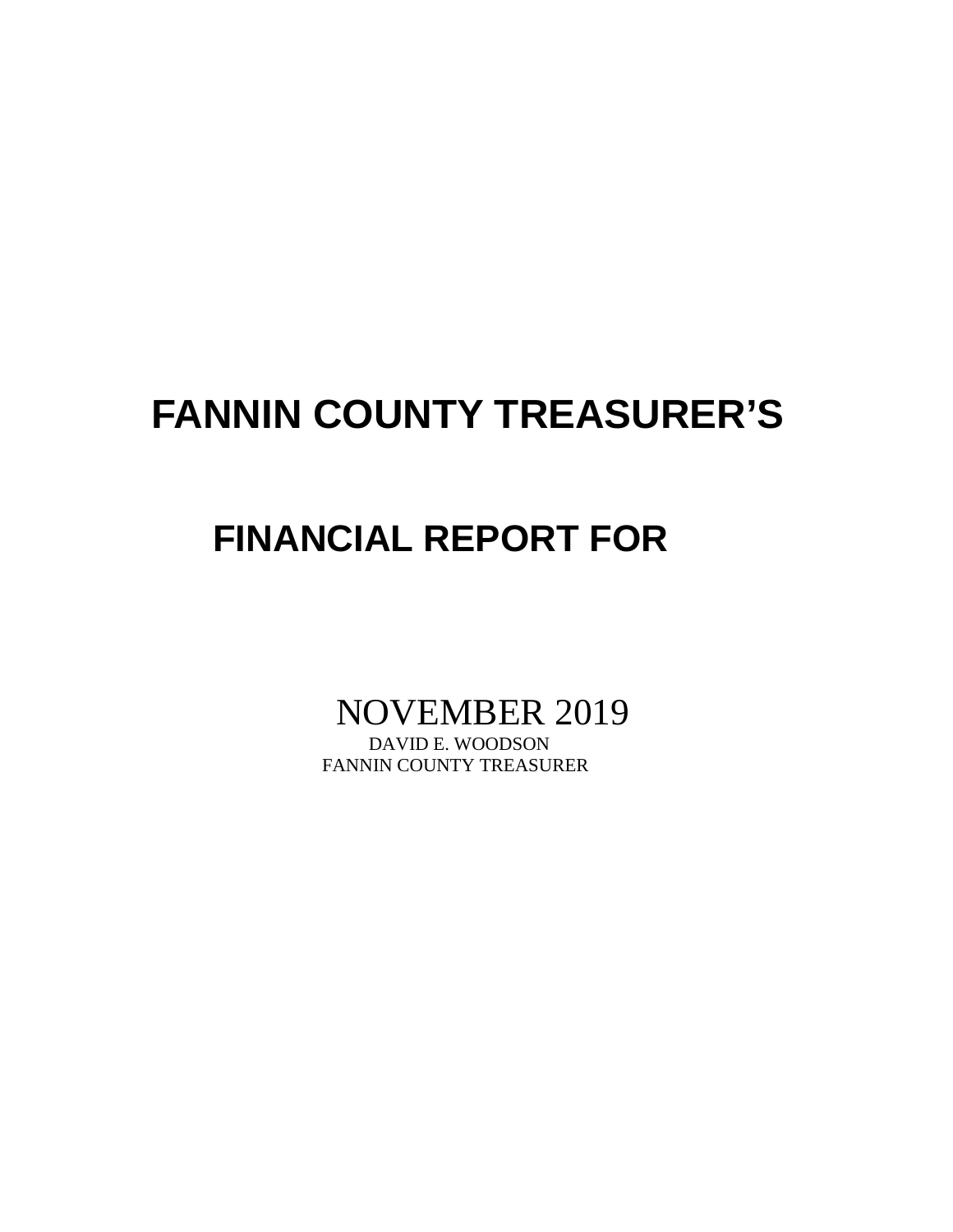# **FANNIN COUNTY TREASURER'S**

# **FINANCIAL REPORT FOR**

# NOVEMBER 2019

FANNIN COUNTY TREASURER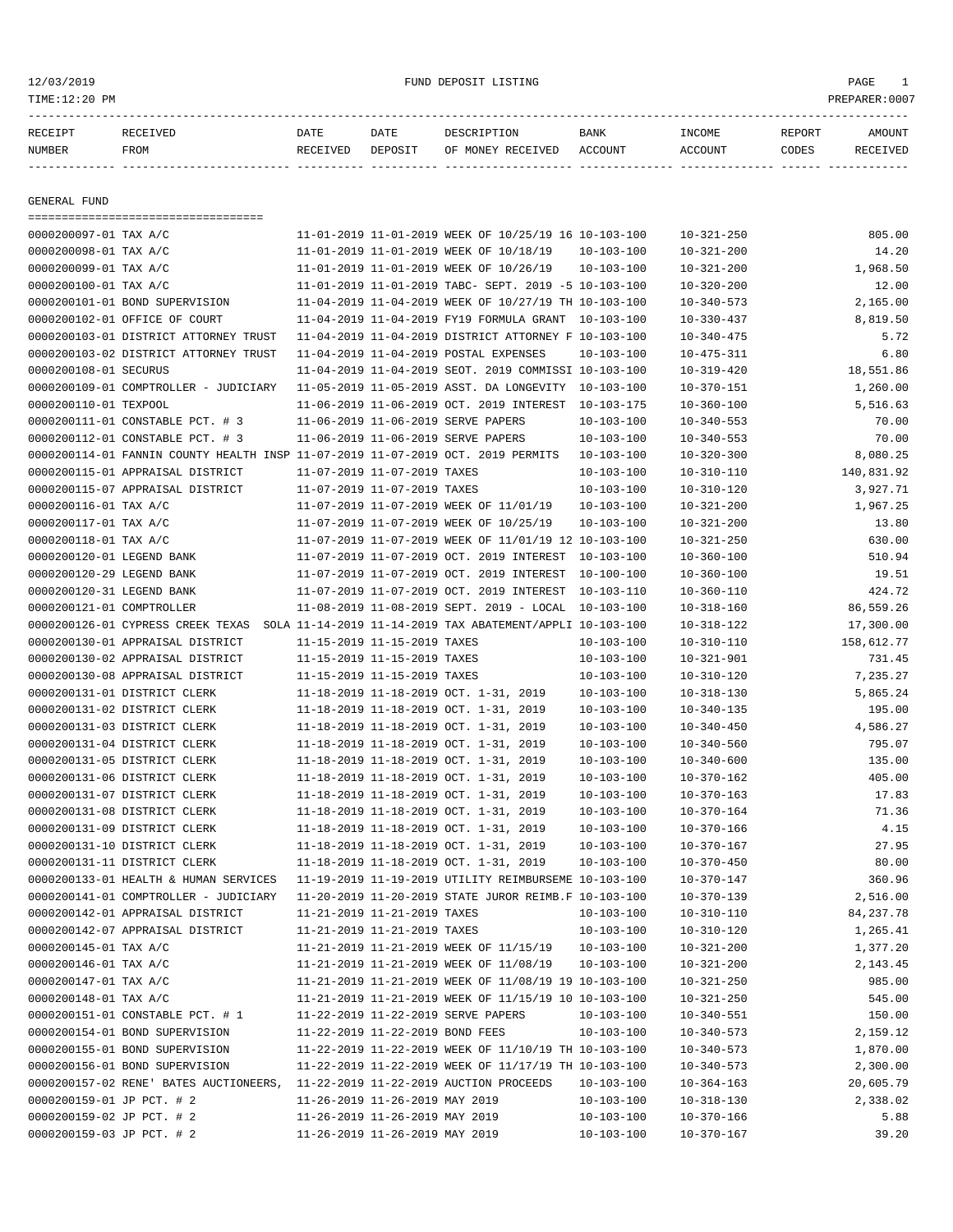===================================

12/03/2019 FUND DEPOSIT LISTING PAGE 1

| RECEIPT      | RECEIVED | DATE     | DATE    | DESCRIPTION       | BANK    | INCOME  | REPORT | AMOUNT   |
|--------------|----------|----------|---------|-------------------|---------|---------|--------|----------|
| NUMBER       | FROM     | RECEIVED | DEPOSIT | OF MONEY RECEIVED | ACCOUNT | ACCOUNT | CODES  | RECEIVED |
|              |          |          |         |                   |         |         |        |          |
|              |          |          |         |                   |         |         |        |          |
| GENERAL FUND |          |          |         |                   |         |         |        |          |

| 0000200097-01 TAX A/C     |                                                                                 |                                 | 11-01-2019 11-01-2019 WEEK OF 10/25/19 16 10-103-100      |                  | $10 - 321 - 250$ | 805.00      |
|---------------------------|---------------------------------------------------------------------------------|---------------------------------|-----------------------------------------------------------|------------------|------------------|-------------|
| 0000200098-01 TAX A/C     |                                                                                 |                                 | 11-01-2019 11-01-2019 WEEK OF 10/18/19                    | $10 - 103 - 100$ | $10 - 321 - 200$ | 14.20       |
| 0000200099-01 TAX A/C     |                                                                                 |                                 | 11-01-2019 11-01-2019 WEEK OF 10/26/19                    | $10 - 103 - 100$ | $10 - 321 - 200$ | 1,968.50    |
| 0000200100-01 TAX A/C     |                                                                                 |                                 | 11-01-2019 11-01-2019 TABC- SEPT. 2019 -5 10-103-100      |                  | $10 - 320 - 200$ | 12.00       |
|                           | 0000200101-01 BOND SUPERVISION                                                  |                                 | 11-04-2019 11-04-2019 WEEK OF 10/27/19 TH 10-103-100      |                  | $10 - 340 - 573$ | 2,165.00    |
|                           | 0000200102-01 OFFICE OF COURT                                                   |                                 | 11-04-2019 11-04-2019 FY19 FORMULA GRANT 10-103-100       |                  | $10 - 330 - 437$ | 8,819.50    |
|                           | 0000200103-01 DISTRICT ATTORNEY TRUST                                           |                                 | 11-04-2019 11-04-2019 DISTRICT ATTORNEY F 10-103-100      |                  | $10 - 340 - 475$ | 5.72        |
|                           | 0000200103-02 DISTRICT ATTORNEY TRUST                                           |                                 | 11-04-2019 11-04-2019 POSTAL EXPENSES                     | 10-103-100       | $10 - 475 - 311$ | 6.80        |
| 0000200108-01 SECURUS     |                                                                                 |                                 | 11-04-2019 11-04-2019 SEOT. 2019 COMMISSI 10-103-100      |                  | $10 - 319 - 420$ | 18,551.86   |
|                           | 0000200109-01 COMPTROLLER - JUDICIARY                                           |                                 | 11-05-2019 11-05-2019 ASST. DA LONGEVITY 10-103-100       |                  | $10 - 370 - 151$ | 1,260.00    |
| 0000200110-01 TEXPOOL     |                                                                                 |                                 | 11-06-2019 11-06-2019 OCT. 2019 INTEREST                  | $10 - 103 - 175$ | $10 - 360 - 100$ | 5,516.63    |
|                           | 0000200111-01 CONSTABLE PCT. # 3                                                |                                 | 11-06-2019 11-06-2019 SERVE PAPERS                        | $10 - 103 - 100$ | $10 - 340 - 553$ | 70.00       |
|                           | 0000200112-01 CONSTABLE PCT. # 3                                                |                                 | 11-06-2019 11-06-2019 SERVE PAPERS                        | $10 - 103 - 100$ | $10 - 340 - 553$ | 70.00       |
|                           | 0000200114-01 FANNIN COUNTY HEALTH INSP 11-07-2019 11-07-2019 OCT. 2019 PERMITS |                                 |                                                           | 10-103-100       | $10 - 320 - 300$ | 8,080.25    |
|                           | 0000200115-01 APPRAISAL DISTRICT                                                | 11-07-2019 11-07-2019 TAXES     |                                                           | $10 - 103 - 100$ | $10 - 310 - 110$ | 140,831.92  |
|                           | 0000200115-07 APPRAISAL DISTRICT                                                | 11-07-2019 11-07-2019 TAXES     |                                                           | $10 - 103 - 100$ | $10 - 310 - 120$ | 3,927.71    |
| 0000200116-01 TAX A/C     |                                                                                 |                                 | 11-07-2019 11-07-2019 WEEK OF 11/01/19                    | $10 - 103 - 100$ | $10 - 321 - 200$ | 1,967.25    |
| 0000200117-01 TAX A/C     |                                                                                 |                                 | 11-07-2019 11-07-2019 WEEK OF 10/25/19                    | 10-103-100       | $10 - 321 - 200$ | 13.80       |
| 0000200118-01 TAX A/C     |                                                                                 |                                 | 11-07-2019 11-07-2019 WEEK OF 11/01/19 12 10-103-100      |                  | $10 - 321 - 250$ | 630.00      |
| 0000200120-01 LEGEND BANK |                                                                                 |                                 | 11-07-2019 11-07-2019 OCT. 2019 INTEREST 10-103-100       |                  | $10 - 360 - 100$ | 510.94      |
| 0000200120-29 LEGEND BANK |                                                                                 |                                 | 11-07-2019 11-07-2019 OCT. 2019 INTEREST                  | 10-100-100       | $10 - 360 - 100$ | 19.51       |
| 0000200120-31 LEGEND BANK |                                                                                 |                                 | 11-07-2019 11-07-2019 OCT. 2019 INTEREST                  | 10-103-110       | $10 - 360 - 110$ | 424.72      |
| 0000200121-01 COMPTROLLER |                                                                                 |                                 | $11-08-2019$ $11-08-2019$ SEPT. 2019 - LOCAL $10-103-100$ |                  | $10 - 318 - 160$ | 86,559.26   |
|                           | 0000200126-01 CYPRESS CREEK TEXAS                                               |                                 | SOLA 11-14-2019 11-14-2019 TAX ABATEMENT/APPLI 10-103-100 |                  | 10-318-122       | 17,300.00   |
|                           | 0000200130-01 APPRAISAL DISTRICT                                                | 11-15-2019 11-15-2019 TAXES     |                                                           | $10 - 103 - 100$ | $10 - 310 - 110$ | 158,612.77  |
|                           | 0000200130-02 APPRAISAL DISTRICT                                                | 11-15-2019 11-15-2019 TAXES     |                                                           | $10 - 103 - 100$ | $10 - 321 - 901$ | 731.45      |
|                           | 0000200130-08 APPRAISAL DISTRICT                                                | 11-15-2019 11-15-2019 TAXES     |                                                           | $10 - 103 - 100$ | $10 - 310 - 120$ | 7,235.27    |
|                           | 0000200131-01 DISTRICT CLERK                                                    |                                 | 11-18-2019 11-18-2019 OCT. 1-31, 2019                     | $10 - 103 - 100$ | $10 - 318 - 130$ | 5,865.24    |
|                           | 0000200131-02 DISTRICT CLERK                                                    |                                 | 11-18-2019 11-18-2019 OCT. 1-31, 2019                     | $10 - 103 - 100$ | $10 - 340 - 135$ | 195.00      |
|                           | 0000200131-03 DISTRICT CLERK                                                    |                                 | 11-18-2019 11-18-2019 OCT. 1-31, 2019                     | $10 - 103 - 100$ | $10 - 340 - 450$ | 4,586.27    |
|                           | 0000200131-04 DISTRICT CLERK                                                    |                                 | 11-18-2019 11-18-2019 OCT. 1-31, 2019                     | $10 - 103 - 100$ | $10 - 340 - 560$ | 795.07      |
|                           | 0000200131-05 DISTRICT CLERK                                                    |                                 | 11-18-2019 11-18-2019 OCT. 1-31, 2019                     | $10 - 103 - 100$ | $10 - 340 - 600$ | 135.00      |
|                           | 0000200131-06 DISTRICT CLERK                                                    |                                 | 11-18-2019 11-18-2019 OCT. 1-31, 2019                     | $10 - 103 - 100$ | $10 - 370 - 162$ | 405.00      |
|                           | 0000200131-07 DISTRICT CLERK                                                    |                                 | 11-18-2019 11-18-2019 OCT. 1-31, 2019                     | $10 - 103 - 100$ | $10 - 370 - 163$ | 17.83       |
|                           | 0000200131-08 DISTRICT CLERK                                                    |                                 | 11-18-2019 11-18-2019 OCT. 1-31, 2019                     | $10 - 103 - 100$ | $10 - 370 - 164$ | 71.36       |
|                           | 0000200131-09 DISTRICT CLERK                                                    |                                 | 11-18-2019 11-18-2019 OCT. 1-31, 2019                     | $10 - 103 - 100$ | $10 - 370 - 166$ | 4.15        |
|                           | 0000200131-10 DISTRICT CLERK                                                    |                                 | 11-18-2019 11-18-2019 OCT. 1-31, 2019                     | $10 - 103 - 100$ | $10 - 370 - 167$ | 27.95       |
|                           | 0000200131-11 DISTRICT CLERK                                                    |                                 | 11-18-2019 11-18-2019 OCT. 1-31, 2019                     | $10 - 103 - 100$ | $10 - 370 - 450$ | 80.00       |
|                           | 0000200133-01 HEALTH & HUMAN SERVICES                                           |                                 | 11-19-2019 11-19-2019 UTILITY REIMBURSEME 10-103-100      |                  | $10 - 370 - 147$ | 360.96      |
|                           | 0000200141-01 COMPTROLLER - JUDICIARY                                           |                                 | 11-20-2019 11-20-2019 STATE JUROR REIMB.F 10-103-100      |                  | $10 - 370 - 139$ | 2,516.00    |
|                           | 0000200142-01 APPRAISAL DISTRICT                                                | 11-21-2019 11-21-2019 TAXES     |                                                           | $10 - 103 - 100$ | $10 - 310 - 110$ | 84, 237. 78 |
|                           | 0000200142-07 APPRAISAL DISTRICT                                                | 11-21-2019 11-21-2019 TAXES     |                                                           | $10 - 103 - 100$ | $10 - 310 - 120$ | 1,265.41    |
| 0000200145-01 TAX A/C     |                                                                                 |                                 | 11-21-2019 11-21-2019 WEEK OF 11/15/19                    | $10 - 103 - 100$ | $10 - 321 - 200$ | 1,377.20    |
| 0000200146-01 TAX A/C     |                                                                                 |                                 | 11-21-2019 11-21-2019 WEEK OF 11/08/19                    | 10-103-100       | $10 - 321 - 200$ | 2,143.45    |
| 0000200147-01 TAX A/C     |                                                                                 |                                 | 11-21-2019 11-21-2019 WEEK OF 11/08/19 19 10-103-100      |                  | $10 - 321 - 250$ | 985.00      |
| 0000200148-01 TAX A/C     |                                                                                 |                                 | 11-21-2019 11-21-2019 WEEK OF 11/15/19 10 10-103-100      |                  | $10 - 321 - 250$ | 545.00      |
|                           | 0000200151-01 CONSTABLE PCT. # 1                                                |                                 | 11-22-2019 11-22-2019 SERVE PAPERS                        | $10 - 103 - 100$ | $10 - 340 - 551$ | 150.00      |
|                           | 0000200154-01 BOND SUPERVISION                                                  | 11-22-2019 11-22-2019 BOND FEES |                                                           | $10 - 103 - 100$ | $10 - 340 - 573$ | 2,159.12    |
|                           | 0000200155-01 BOND SUPERVISION                                                  |                                 | 11-22-2019 11-22-2019 WEEK OF 11/10/19 TH 10-103-100      |                  | $10 - 340 - 573$ | 1,870.00    |
|                           | 0000200156-01 BOND SUPERVISION                                                  |                                 | 11-22-2019 11-22-2019 WEEK OF 11/17/19 TH 10-103-100      |                  | $10 - 340 - 573$ | 2,300.00    |
|                           | 0000200157-02 RENE' BATES AUCTIONEERS,                                          |                                 | 11-22-2019 11-22-2019 AUCTION PROCEEDS                    | $10 - 103 - 100$ | $10 - 364 - 163$ | 20,605.79   |
| 0000200159-01 JP PCT. # 2 |                                                                                 | 11-26-2019 11-26-2019 MAY 2019  |                                                           | $10 - 103 - 100$ | $10 - 318 - 130$ | 2,338.02    |
| 0000200159-02 JP PCT. # 2 |                                                                                 | 11-26-2019 11-26-2019 MAY 2019  |                                                           | $10 - 103 - 100$ | $10 - 370 - 166$ | 5.88        |
| 0000200159-03 JP PCT. # 2 |                                                                                 | 11-26-2019 11-26-2019 MAY 2019  |                                                           |                  |                  | 39.20       |
|                           |                                                                                 |                                 |                                                           | $10 - 103 - 100$ | $10 - 370 - 167$ |             |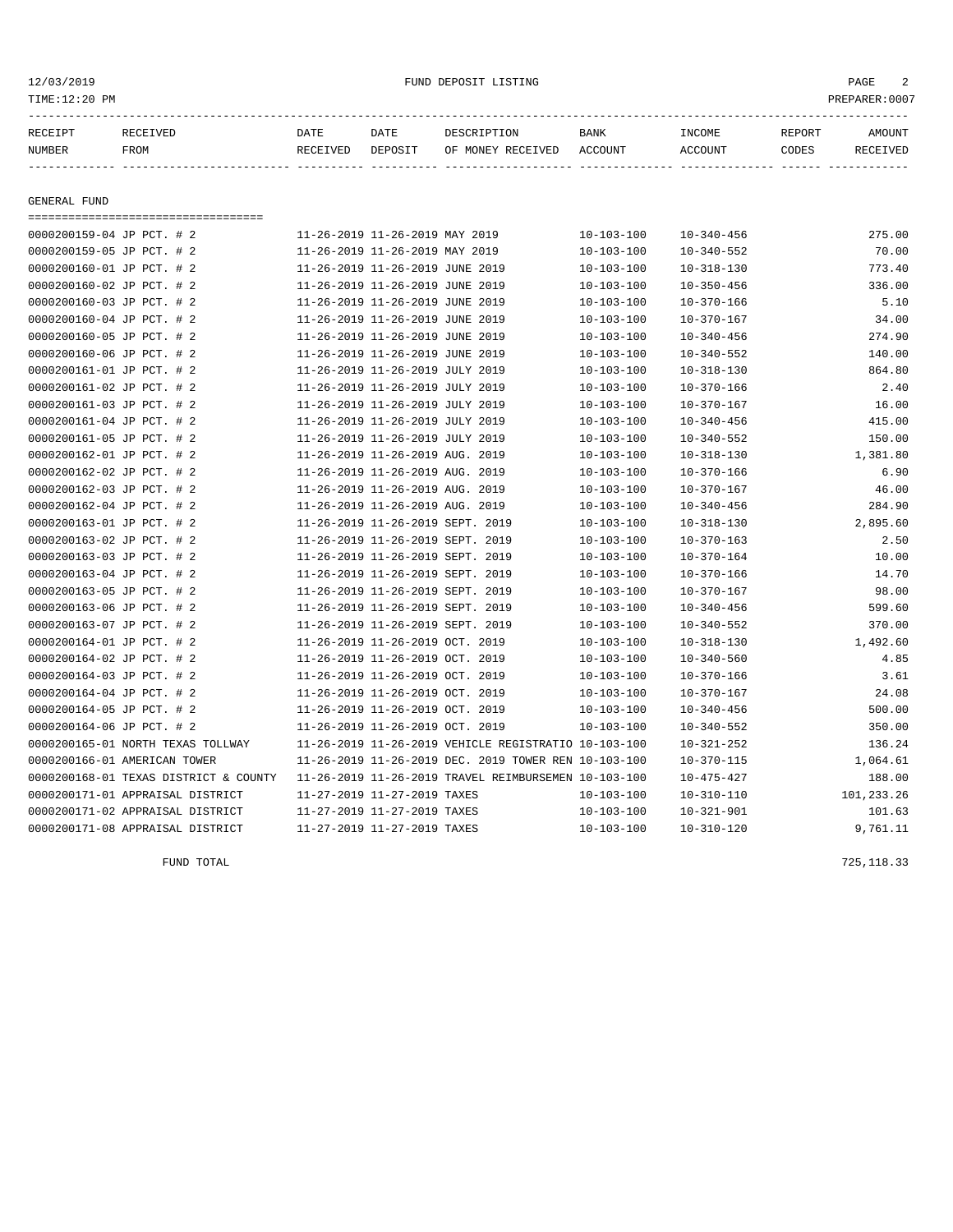# 12/03/2019 FUND DEPOSIT LISTING PAGE 2

| RECEIPT       | RECEIVED    | DATE     | DATE    | DESCRIPTION               | BANK | INCOME  | REPORT | AMOUNT          |
|---------------|-------------|----------|---------|---------------------------|------|---------|--------|-----------------|
| <b>NUMBER</b> | <b>FROM</b> | RECEIVED | DEPOSIT | OF MONEY RECEIVED ACCOUNT |      | ACCOUNT | CODES  | <b>RECEIVED</b> |
|               |             |          |         |                           |      |         |        |                 |

GENERAL FUND

===================================

| 0000200159-04 JP PCT. # 2             | 11-26-2019 11-26-2019 MAY 2019   |                                                      | $10 - 103 - 100$ | $10 - 340 - 456$ | 275.00     |
|---------------------------------------|----------------------------------|------------------------------------------------------|------------------|------------------|------------|
| 0000200159-05 JP PCT. # 2             | 11-26-2019 11-26-2019 MAY 2019   |                                                      | $10 - 103 - 100$ | $10 - 340 - 552$ | 70.00      |
| 0000200160-01 JP PCT. # 2             | 11-26-2019 11-26-2019 JUNE 2019  |                                                      | $10 - 103 - 100$ | $10 - 318 - 130$ | 773.40     |
| 0000200160-02 JP PCT. # 2             | 11-26-2019 11-26-2019 JUNE 2019  |                                                      | $10 - 103 - 100$ | $10 - 350 - 456$ | 336.00     |
| 0000200160-03 JP PCT. # 2             | 11-26-2019 11-26-2019 JUNE 2019  |                                                      | $10 - 103 - 100$ | $10 - 370 - 166$ | 5.10       |
| 0000200160-04 JP PCT. # 2             | 11-26-2019 11-26-2019 JUNE 2019  |                                                      | $10 - 103 - 100$ | $10 - 370 - 167$ | 34.00      |
| 0000200160-05 JP PCT. # 2             | 11-26-2019 11-26-2019 JUNE 2019  |                                                      | $10 - 103 - 100$ | $10 - 340 - 456$ | 274.90     |
| 0000200160-06 JP PCT. # 2             | 11-26-2019 11-26-2019 JUNE 2019  |                                                      | $10 - 103 - 100$ | $10 - 340 - 552$ | 140.00     |
| 0000200161-01 JP PCT. # 2             | 11-26-2019 11-26-2019 JULY 2019  |                                                      | $10 - 103 - 100$ | $10 - 318 - 130$ | 864.80     |
| 0000200161-02 JP PCT. # 2             | 11-26-2019 11-26-2019 JULY 2019  |                                                      | $10 - 103 - 100$ | $10 - 370 - 166$ | 2.40       |
| 0000200161-03 JP PCT. # 2             | 11-26-2019 11-26-2019 JULY 2019  |                                                      | $10 - 103 - 100$ | $10 - 370 - 167$ | 16.00      |
| 0000200161-04 JP PCT. # 2             | 11-26-2019 11-26-2019 JULY 2019  |                                                      | $10 - 103 - 100$ | $10 - 340 - 456$ | 415.00     |
| 0000200161-05 JP PCT. # 2             | 11-26-2019 11-26-2019 JULY 2019  |                                                      | $10 - 103 - 100$ | $10 - 340 - 552$ | 150.00     |
| 0000200162-01 JP PCT. # 2             | 11-26-2019 11-26-2019 AUG. 2019  |                                                      | $10 - 103 - 100$ | $10 - 318 - 130$ | 1,381.80   |
| 0000200162-02 JP PCT. # 2             | 11-26-2019 11-26-2019 AUG. 2019  |                                                      | $10 - 103 - 100$ | $10 - 370 - 166$ | 6.90       |
| 0000200162-03 JP PCT. # 2             | 11-26-2019 11-26-2019 AUG. 2019  |                                                      | $10 - 103 - 100$ | $10 - 370 - 167$ | 46.00      |
| 0000200162-04 JP PCT. # 2             | 11-26-2019 11-26-2019 AUG. 2019  |                                                      | $10 - 103 - 100$ | $10 - 340 - 456$ | 284.90     |
| 0000200163-01 JP PCT. # 2             | 11-26-2019 11-26-2019 SEPT. 2019 |                                                      | $10 - 103 - 100$ | $10 - 318 - 130$ | 2,895.60   |
| 0000200163-02 JP PCT. # 2             | 11-26-2019 11-26-2019 SEPT. 2019 |                                                      | $10 - 103 - 100$ | $10 - 370 - 163$ | 2.50       |
| 0000200163-03 JP PCT. # 2             | 11-26-2019 11-26-2019 SEPT. 2019 |                                                      | $10 - 103 - 100$ | $10 - 370 - 164$ | 10.00      |
| 0000200163-04 JP PCT. # 2             | 11-26-2019 11-26-2019 SEPT. 2019 |                                                      | $10 - 103 - 100$ | $10 - 370 - 166$ | 14.70      |
| 0000200163-05 JP PCT. # 2             | 11-26-2019 11-26-2019 SEPT. 2019 |                                                      | $10 - 103 - 100$ | $10 - 370 - 167$ | 98.00      |
| 0000200163-06 JP PCT. # 2             | 11-26-2019 11-26-2019 SEPT. 2019 |                                                      | $10 - 103 - 100$ | $10 - 340 - 456$ | 599.60     |
| 0000200163-07 JP PCT. # 2             | 11-26-2019 11-26-2019 SEPT. 2019 |                                                      | $10 - 103 - 100$ | $10 - 340 - 552$ | 370.00     |
| 0000200164-01 JP PCT. # 2             | 11-26-2019 11-26-2019 OCT. 2019  |                                                      | $10 - 103 - 100$ | $10 - 318 - 130$ | 1,492.60   |
| 0000200164-02 JP PCT. # 2             | 11-26-2019 11-26-2019 OCT. 2019  |                                                      | $10 - 103 - 100$ | $10 - 340 - 560$ | 4.85       |
| 0000200164-03 JP PCT. # 2             | 11-26-2019 11-26-2019 OCT. 2019  |                                                      | $10 - 103 - 100$ | $10 - 370 - 166$ | 3.61       |
| 0000200164-04 JP PCT. # 2             | 11-26-2019 11-26-2019 OCT. 2019  |                                                      | $10 - 103 - 100$ | $10 - 370 - 167$ | 24.08      |
| 0000200164-05 JP PCT. # 2             | 11-26-2019 11-26-2019 OCT. 2019  |                                                      | $10 - 103 - 100$ | $10 - 340 - 456$ | 500.00     |
| 0000200164-06 JP PCT. # 2             | 11-26-2019 11-26-2019 OCT. 2019  |                                                      | $10 - 103 - 100$ | $10 - 340 - 552$ | 350.00     |
| 0000200165-01 NORTH TEXAS TOLLWAY     |                                  | 11-26-2019 11-26-2019 VEHICLE REGISTRATIO 10-103-100 |                  | $10 - 321 - 252$ | 136.24     |
| 0000200166-01 AMERICAN TOWER          |                                  | 11-26-2019 11-26-2019 DEC. 2019 TOWER REN 10-103-100 |                  | $10 - 370 - 115$ | 1,064.61   |
| 0000200168-01 TEXAS DISTRICT & COUNTY |                                  | 11-26-2019 11-26-2019 TRAVEL REIMBURSEMEN 10-103-100 |                  | 10-475-427       | 188.00     |
| 0000200171-01 APPRAISAL DISTRICT      | 11-27-2019 11-27-2019 TAXES      |                                                      | $10 - 103 - 100$ | $10 - 310 - 110$ | 101,233.26 |
| 0000200171-02 APPRAISAL DISTRICT      | 11-27-2019 11-27-2019 TAXES      |                                                      | $10 - 103 - 100$ | $10 - 321 - 901$ | 101.63     |
| 0000200171-08 APPRAISAL DISTRICT      | 11-27-2019 11-27-2019 TAXES      |                                                      | $10 - 103 - 100$ | $10 - 310 - 120$ | 9,761.11   |

FUND TOTAL 725,118.33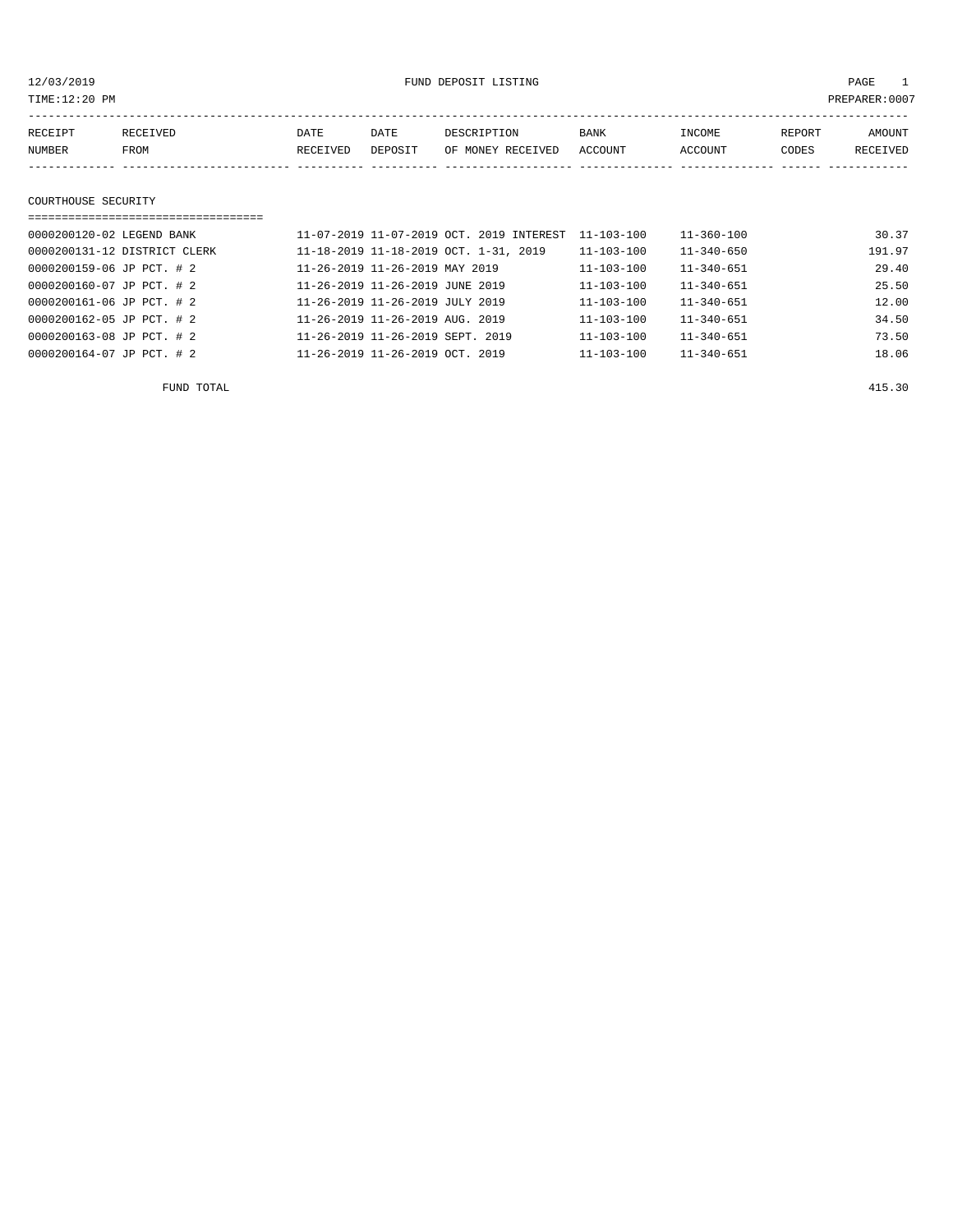12/03/2019 FUND DEPOSIT LISTING PAGE 1

| RECEIPT | RECEIVED | DATE     | DATE    | DESCRIPTION               | <b>BANK</b> | INCOME  | REPORT | AMOUNT   |
|---------|----------|----------|---------|---------------------------|-------------|---------|--------|----------|
| NUMBER  | FROM     | RECEIVED | DEPOSIT | OF MONEY RECEIVED ACCOUNT |             | ACCOUNT | CODES  | RECEIVED |
|         |          |          |         |                           |             |         |        |          |
|         |          |          |         |                           |             |         |        |          |

#### COURTHOUSE SECURITY

| =============================== |                                             |                  |                  |        |
|---------------------------------|---------------------------------------------|------------------|------------------|--------|
| 0000200120-02 LEGEND BANK       | 11-07-2019 11-07-2019 OCT. 2019 INTEREST    | $11 - 103 - 100$ | $11 - 360 - 100$ | 30.37  |
| 0000200131-12 DISTRICT CLERK    | 11-18-2019 11-18-2019 OCT. 1-31, 2019       | 11-103-100       | $11 - 340 - 650$ | 191.97 |
| 0000200159-06 JP PCT. # 2       | $11 - 26 - 2019$ $11 - 26 - 2019$ MAY 2019  | $11 - 103 - 100$ | $11 - 340 - 651$ | 29.40  |
| 0000200160-07 JP PCT. # 2       | 11-26-2019 11-26-2019 JUNE 2019             | $11 - 103 - 100$ | $11 - 340 - 651$ | 25.50  |
| 0000200161-06 JP PCT. # 2       | 11-26-2019 11-26-2019 JULY 2019             | $11 - 103 - 100$ | $11 - 340 - 651$ | 12.00  |
| 0000200162-05 JP PCT. # 2       | $11 - 26 - 2019$ $11 - 26 - 2019$ AUG. 2019 | $11 - 103 - 100$ | $11 - 340 - 651$ | 34.50  |
| 0000200163-08 JP PCT. # 2       | 11-26-2019 11-26-2019 SEPT. 2019            | $11 - 103 - 100$ | $11 - 340 - 651$ | 73.50  |
| 0000200164-07 JP PCT. # 2       | $11 - 26 - 2019$ $11 - 26 - 2019$ OCT, 2019 | $11 - 103 - 100$ | $11 - 340 - 651$ | 18.06  |

FUND TOTAL 415.30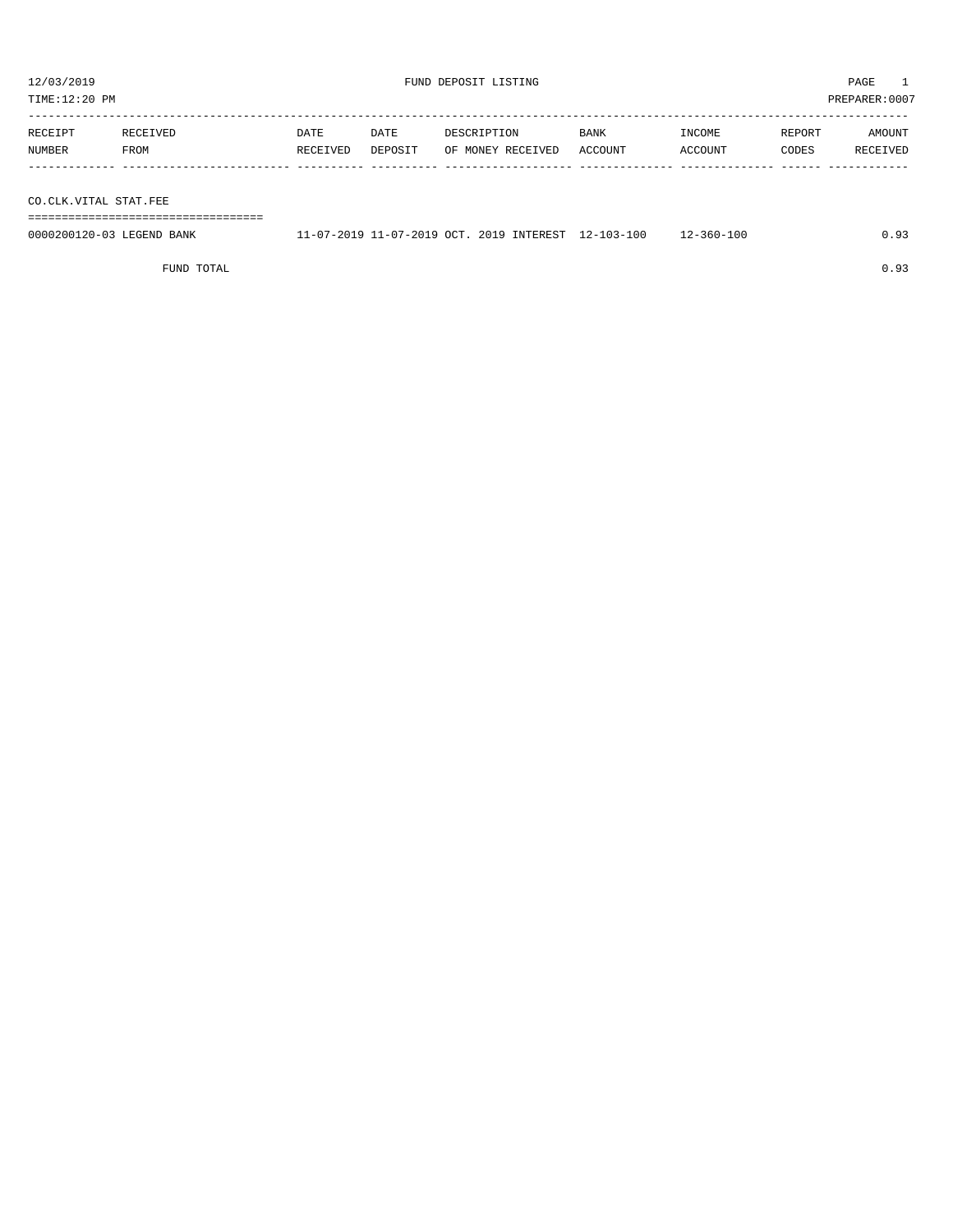${\rm FUND\ DEPOSIT\ LISTING} \begin{array}{l} {\rm \end{array}} {\rm \end{array}} {\rm \end{array}} {\rm \begin{array}} {\rm \end{array}} {\rm \begin{array}} {2} {\rm \end{array}} {\rm \begin{array}} {2} {\rm \end{array}} {\rm \begin{array}} {2} {\rm \end{array}} {\rm \begin{array}} {2} {\rm \end{array}} {\rm \begin{array}} {2} {\rm \end{array}} {\rm \begin{array}} {2} {\rm \end{array}} {\rm \begin{array}} {2} {\rm \end{array}} {\rm \begin{array}} {2} {\rm \end{array}} {\rm \begin{array}} {2} {\rm \end{array}} {\rm \begin{array}} {2} {\rm \$ 

| PREPARER: 0007<br>TIME:12:20 PM |                  |                  |                 |                                  |                        |                   |                 |                    |
|---------------------------------|------------------|------------------|-----------------|----------------------------------|------------------------|-------------------|-----------------|--------------------|
| RECEIPT<br>NUMBER               | RECEIVED<br>FROM | DATE<br>RECEIVED | DATE<br>DEPOSIT | DESCRIPTION<br>OF MONEY RECEIVED | <b>BANK</b><br>ACCOUNT | INCOME<br>ACCOUNT | REPORT<br>CODES | AMOUNT<br>RECEIVED |
|                                 |                  |                  |                 |                                  |                        |                   |                 |                    |
| CO.CLK.VITAL STAT.FEE           |                  |                  |                 |                                  |                        |                   |                 |                    |

===================================

0000200120-03 LEGEND BANK 11-07-2019 11-07-2019 OCT. 2019 INTEREST 12-103-100 12-360-100 0.93

FUND TOTAL  $0.93$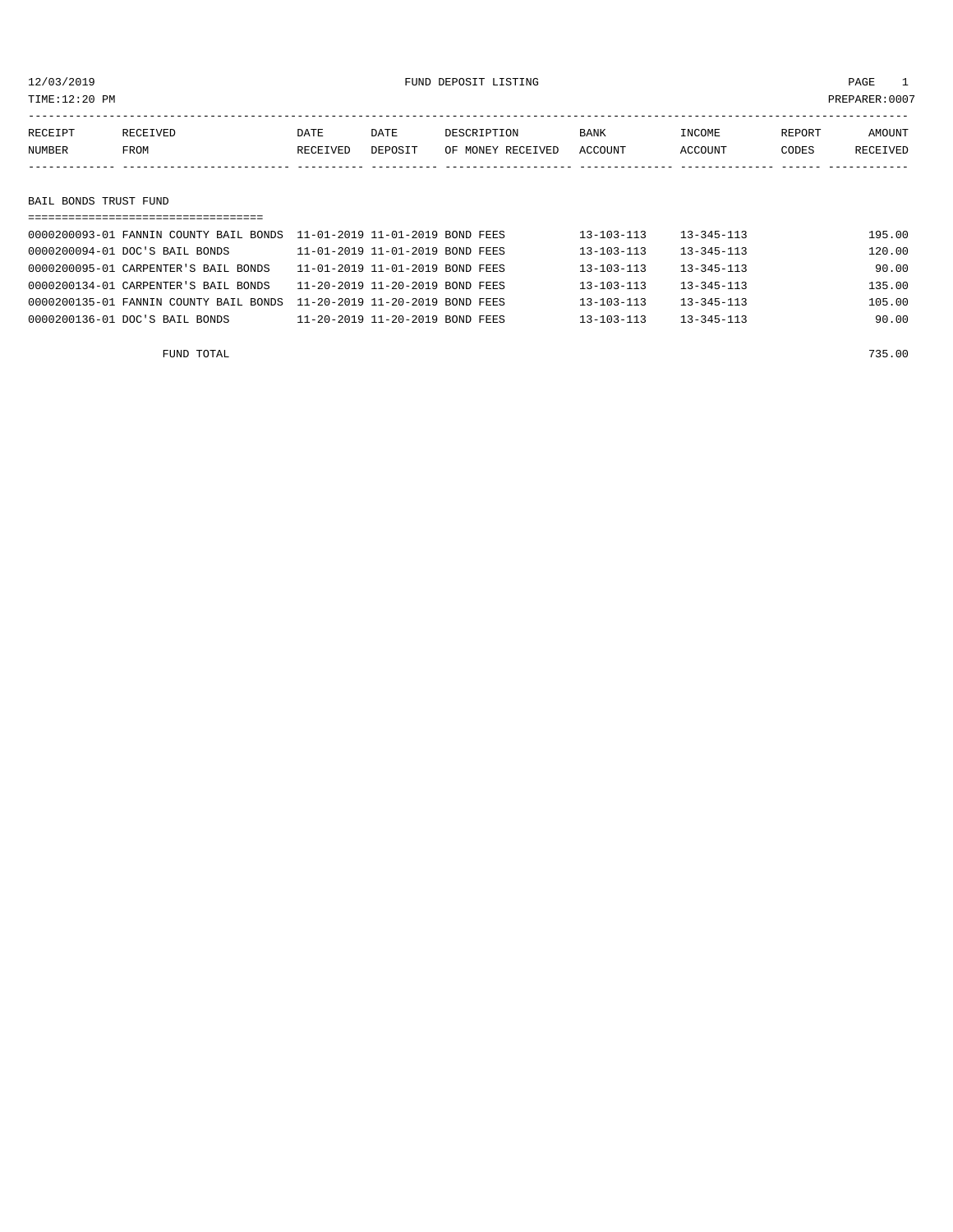12/03/2019 FUND DEPOSIT LISTING PAGE 1

| RECEIPT               | RECEIVED | DATE     | DATE    | DESCRIPTION       | BANK    | INCOME  | REPORT | <b>AMOUNT</b> |
|-----------------------|----------|----------|---------|-------------------|---------|---------|--------|---------------|
| NUMBER                | FROM     | RECEIVED | DEPOSIT | OF MONEY RECEIVED | ACCOUNT | ACCOUNT | CODES  | RECEIVED      |
|                       |          |          |         |                   |         |         |        |               |
|                       |          |          |         |                   |         |         |        |               |
| BAIL BONDS TRUST FUND |          |          |         |                   |         |         |        |               |
|                       |          |          |         |                   |         |         |        |               |
|                       |          |          |         |                   | .       | .       |        | .             |

|  | 0000200093-01 FANNIN COUNTY BAIL BONDS    11-01-2019 11-01-2019 BOND FEES |                                 | $13 - 103 - 113$ | $13 - 345 - 113$ | 195.00 |
|--|---------------------------------------------------------------------------|---------------------------------|------------------|------------------|--------|
|  | 0000200094-01 DOC'S BAIL BONDS                                            | 11-01-2019 11-01-2019 BOND FEES | $13 - 103 - 113$ | $13 - 345 - 113$ | 120.00 |
|  | 0000200095-01 CARPENTER'S BAIL BONDS                                      | 11-01-2019 11-01-2019 BOND FEES | $13 - 103 - 113$ | $13 - 345 - 113$ | 90.00  |
|  | 0000200134-01 CARPENTER'S BAIL BONDS                                      | 11-20-2019 11-20-2019 BOND FEES | $13 - 103 - 113$ | $13 - 345 - 113$ | 135.00 |
|  | 0000200135-01 FANNIN COUNTY BAIL BONDS                                    | 11-20-2019 11-20-2019 BOND FEES | $13 - 103 - 113$ | $13 - 345 - 113$ | 105.00 |
|  | 0000200136-01 DOC'S BAIL BONDS                                            | 11-20-2019 11-20-2019 BOND FEES | $13 - 103 - 113$ | $13 - 345 - 113$ | 90.00  |
|  |                                                                           |                                 |                  |                  |        |

FUND TOTAL 735.00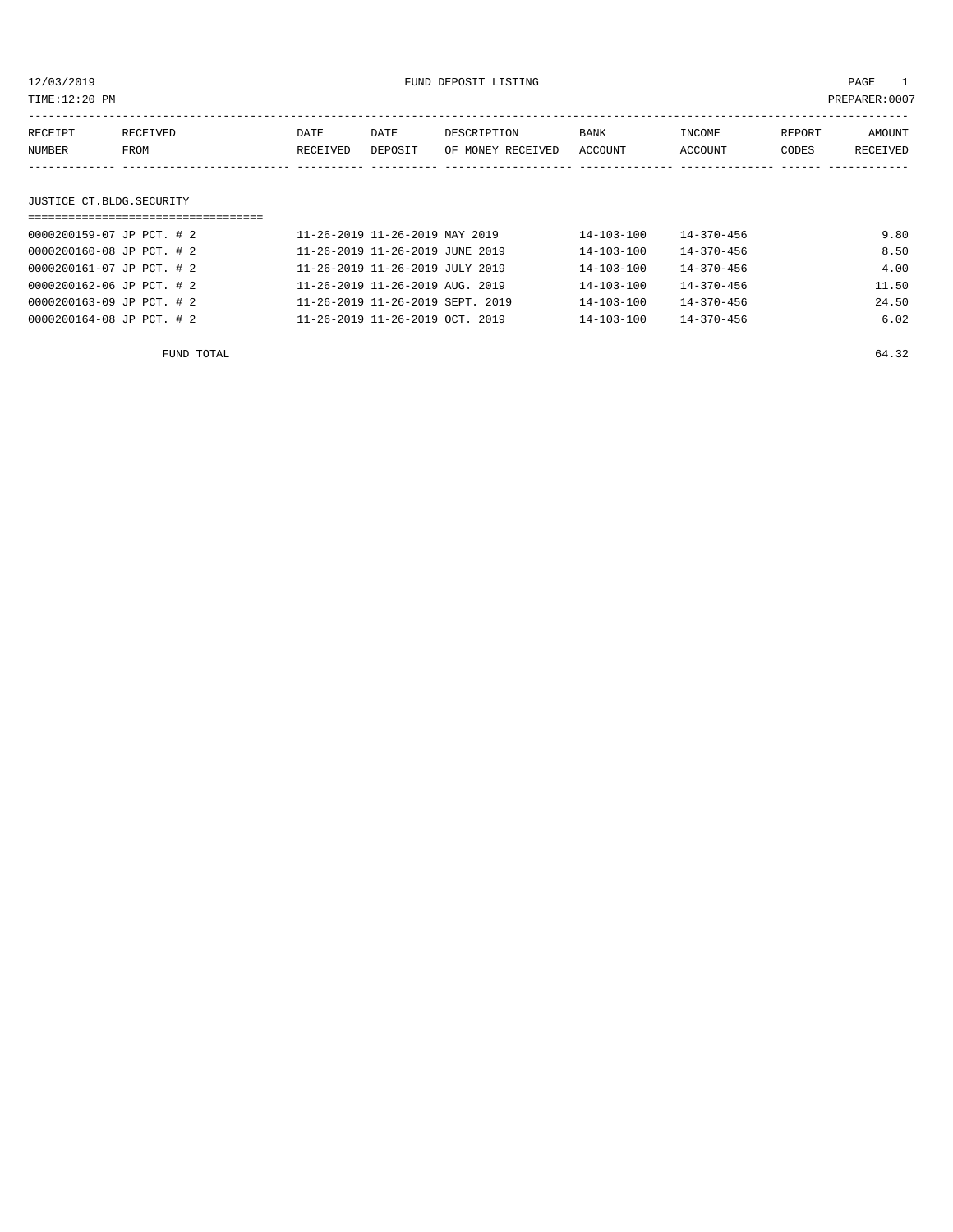| TIME:12:20 PM             |          |          |                                 |                   |                  |                  |        | PREPARER:0007 |
|---------------------------|----------|----------|---------------------------------|-------------------|------------------|------------------|--------|---------------|
| RECEIPT                   | RECEIVED | DATE     | DATE                            | DESCRIPTION       | <b>BANK</b>      | INCOME           | REPORT | AMOUNT        |
| NUMBER                    | FROM     | RECEIVED | DEPOSIT                         | OF MONEY RECEIVED | <b>ACCOUNT</b>   | ACCOUNT          | CODES  | RECEIVED      |
|                           |          |          |                                 |                   |                  |                  |        |               |
| JUSTICE CT.BLDG.SECURITY  |          |          |                                 |                   |                  |                  |        |               |
|                           |          |          |                                 |                   |                  |                  |        |               |
| 0000200159-07 JP PCT. # 2 |          |          | 11-26-2019 11-26-2019 MAY 2019  |                   | $14 - 103 - 100$ | $14 - 370 - 456$ |        | 9.80          |
| 0000200160-08 JP PCT. # 2 |          |          | 11-26-2019 11-26-2019 JUNE 2019 |                   | $14 - 103 - 100$ | $14 - 370 - 456$ |        | 8.50          |

0000200161-07 JP PCT. # 2 11-26-2019 11-26-2019 JULY 2019 14-103-100 14-370-456 4.00 0000200162-06 JP PCT. # 2 11-26-2019 11-26-2019 AUG. 2019 14-103-100 14-370-456 11.50

| 0000200163-09 JP PCT. # 2 | 11-26-2019 11-26-2019 SEPT. 2019 | 14-103-100       | $14 - 370 - 456$ | 24.50 |
|---------------------------|----------------------------------|------------------|------------------|-------|
| 0000200164-08 JP PCT. # 2 | 11-26-2019 11-26-2019 OCT. 2019  | $14 - 103 - 100$ | $14 - 370 - 456$ | 6.02  |
| FUND TOTAL                |                                  |                  |                  | 64.32 |
|                           |                                  |                  |                  |       |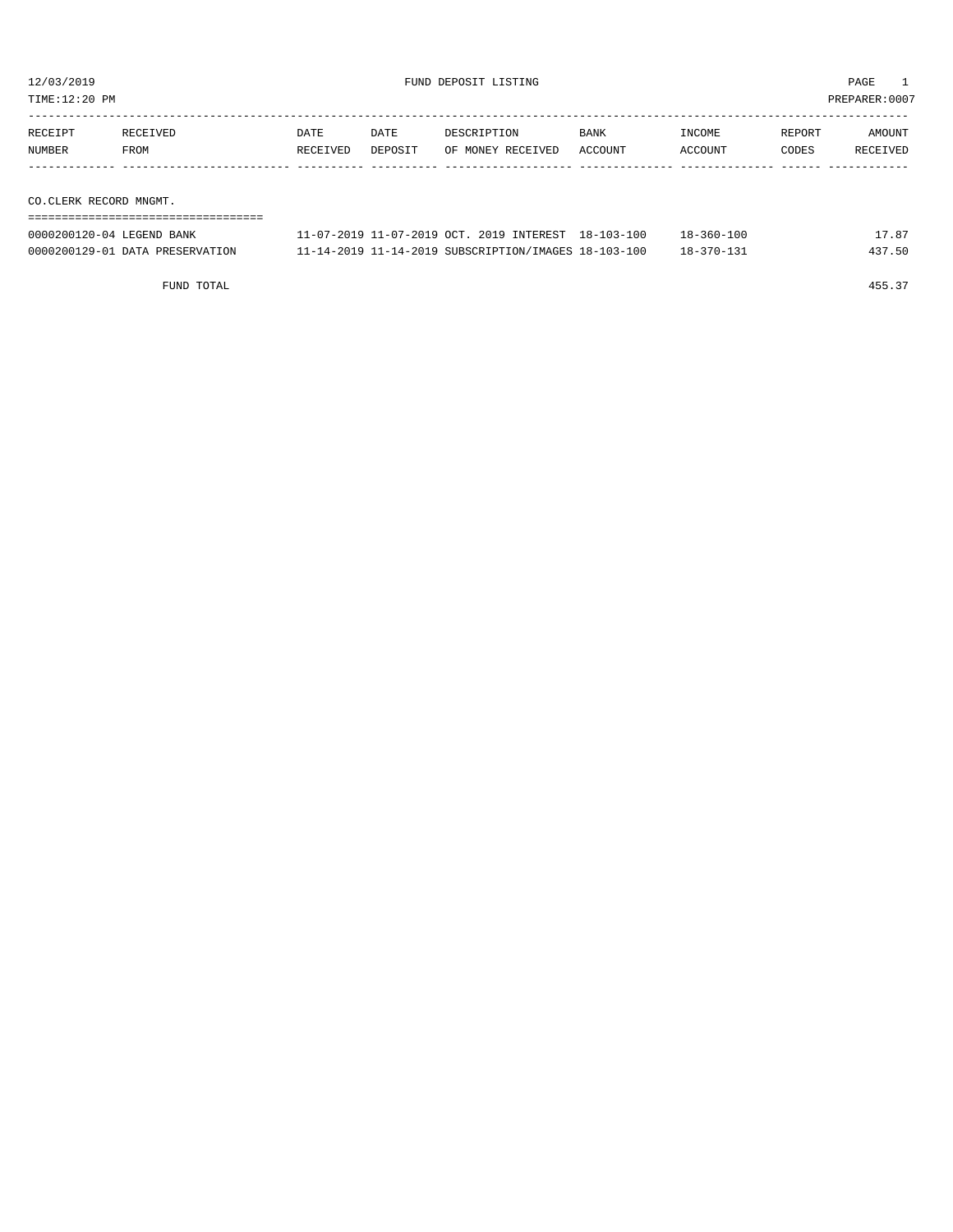TIME:12:20 PM PREPARER:0007

| RECEIPT               | RECEIVED | <b>DATE</b> | DATE    | DESCRIPTION       | <b>BANK</b> | INCOME  | REPORT | AMOUNT   |
|-----------------------|----------|-------------|---------|-------------------|-------------|---------|--------|----------|
| <b>NUMBER</b>         | FROM     | RECEIVED    | DEPOSIT | OF MONEY RECEIVED | ACCOUNT     | ACCOUNT | CODES  | RECEIVED |
|                       |          |             |         |                   |             |         |        |          |
|                       |          |             |         |                   |             |         |        |          |
| CO CLEPT PEGOPP WIGHT |          |             |         |                   |             |         |        |          |

CO.CLERK RECORD MNGMT.

| ===========================     |                                                      |                  |        |
|---------------------------------|------------------------------------------------------|------------------|--------|
| 0000200120-04 LEGEND BANK       | 11-07-2019 11-07-2019 OCT. 2019 INTEREST 18-103-100  | $18 - 360 - 100$ | 17.87  |
| 0000200129-01 DATA PRESERVATION | 11-14-2019 11-14-2019 SUBSCRIPTION/IMAGES 18-103-100 | $18 - 370 - 131$ | 437.50 |

FUND TOTAL 455.37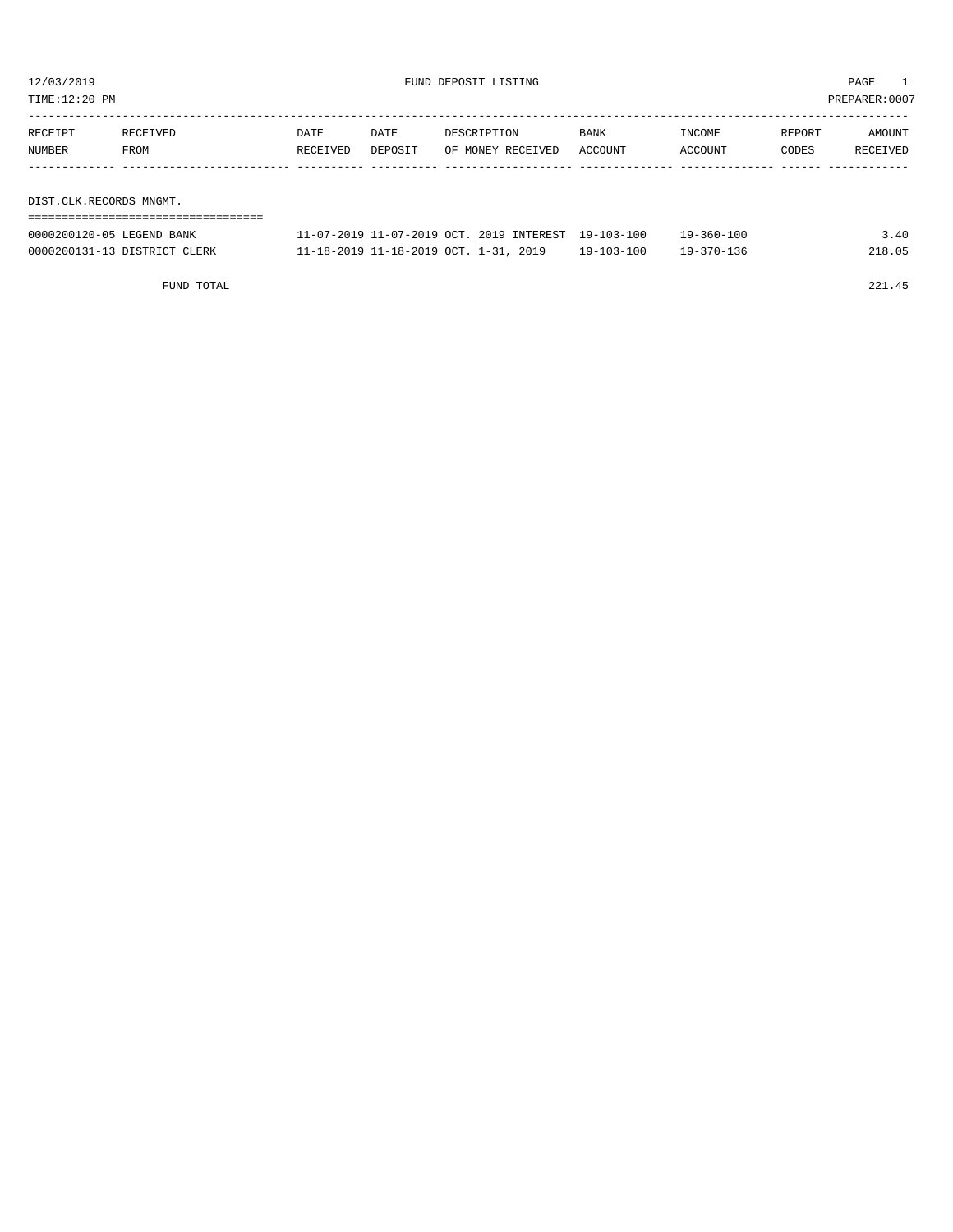TIME:12:20 PM PREPARER:0007

| RECEIPT                 | RECEIVED | DATE     | DATE    | DESCRIPTION       | <b>BANK</b> | INCOME  | REPORT | AMOUNT   |
|-------------------------|----------|----------|---------|-------------------|-------------|---------|--------|----------|
| NUMBER                  | FROM     | RECEIVED | DEPOSIT | OF MONEY RECEIVED | ACCOUNT     | ACCOUNT | CODES  | RECEIVED |
|                         |          |          |         |                   |             |         |        |          |
|                         |          |          |         |                   |             |         |        |          |
| DIST.CLK.RECORDS MNGMT. |          |          |         |                   |             |         |        |          |

| -----------------------      |                                                     |                  |                  |        |
|------------------------------|-----------------------------------------------------|------------------|------------------|--------|
| 0000200120-05 LEGEND BANK    | 11-07-2019 11-07-2019 OCT, 2019 INTEREST 19-103-100 |                  | $19 - 360 - 100$ | 3.40   |
| 0000200131-13 DISTRICT CLERK | 11-18-2019 11-18-2019 OCT. 1-31, 2019               | $19 - 103 - 100$ | $19 - 370 - 136$ | 218.05 |

FUND TOTAL 221.45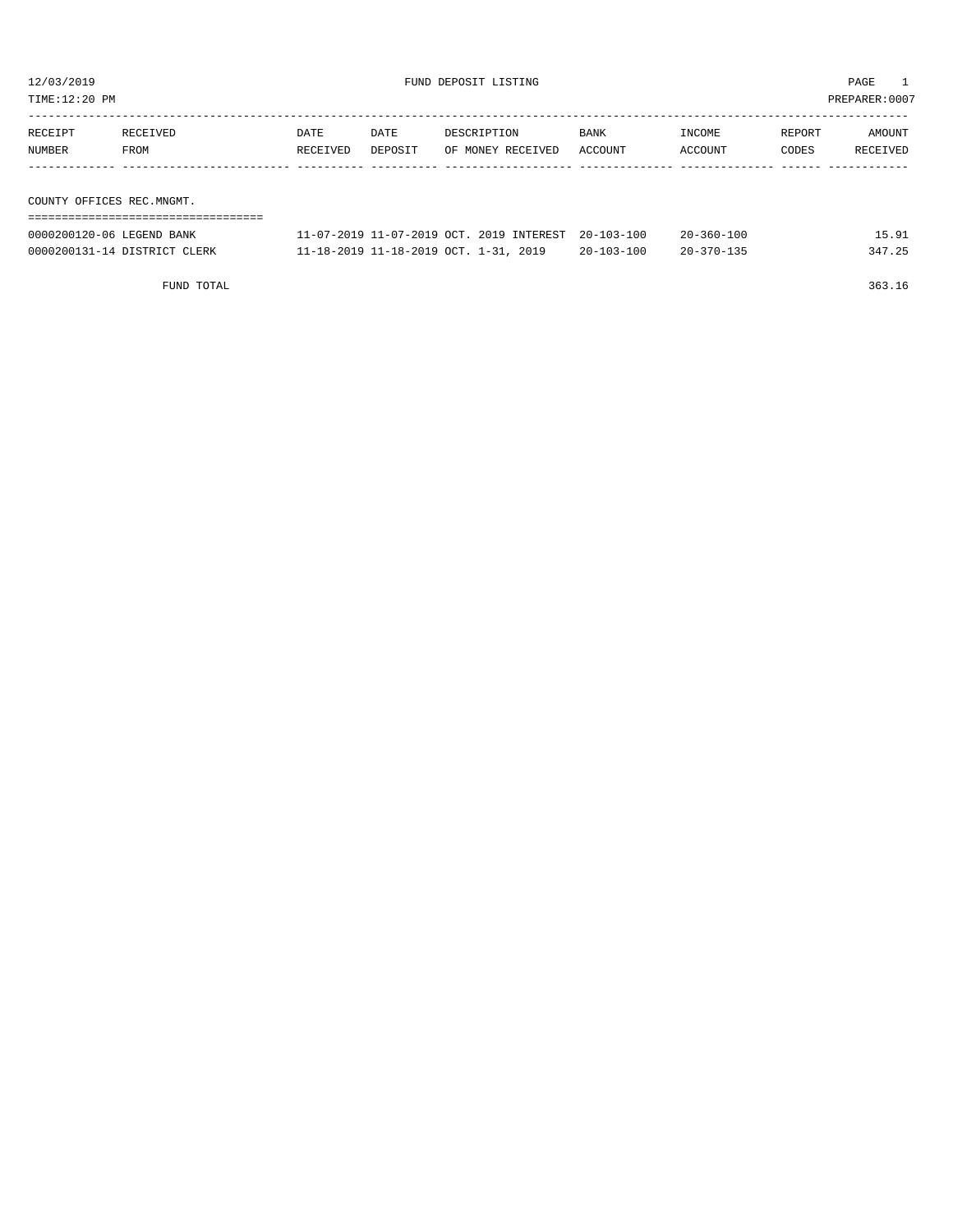TIME:12:20 PM PREPARER:0007

| RECEIPT | RECEIVED                  | DATE     | DATE    | DESCRIPTION       | <b>BANK</b> | INCOME  | REPORT | AMOUNT   |
|---------|---------------------------|----------|---------|-------------------|-------------|---------|--------|----------|
| NUMBER  | FROM                      | RECEIVED | DEPOSIT | OF MONEY RECEIVED | ACCOUNT     | ACCOUNT | CODES  | RECEIVED |
|         |                           |          |         |                   |             |         |        |          |
|         |                           |          |         |                   |             |         |        |          |
|         | COUNTY OFFICES REC.MNGMT. |          |         |                   |             |         |        |          |
|         |                           |          |         |                   |             |         |        |          |

| 0000200120-06 LEGEND BANK    | 11-07-2019 11-07-2019 OCT. 2019 INTEREST 20-103-100 |                  | $20 - 360 - 100$ | 15.91  |
|------------------------------|-----------------------------------------------------|------------------|------------------|--------|
| 0000200131-14 DISTRICT CLERK | 11-18-2019 11-18-2019 OCT. 1-31, 2019               | $20 - 103 - 100$ | $20 - 370 - 135$ | 347.25 |

FUND TOTAL 363.16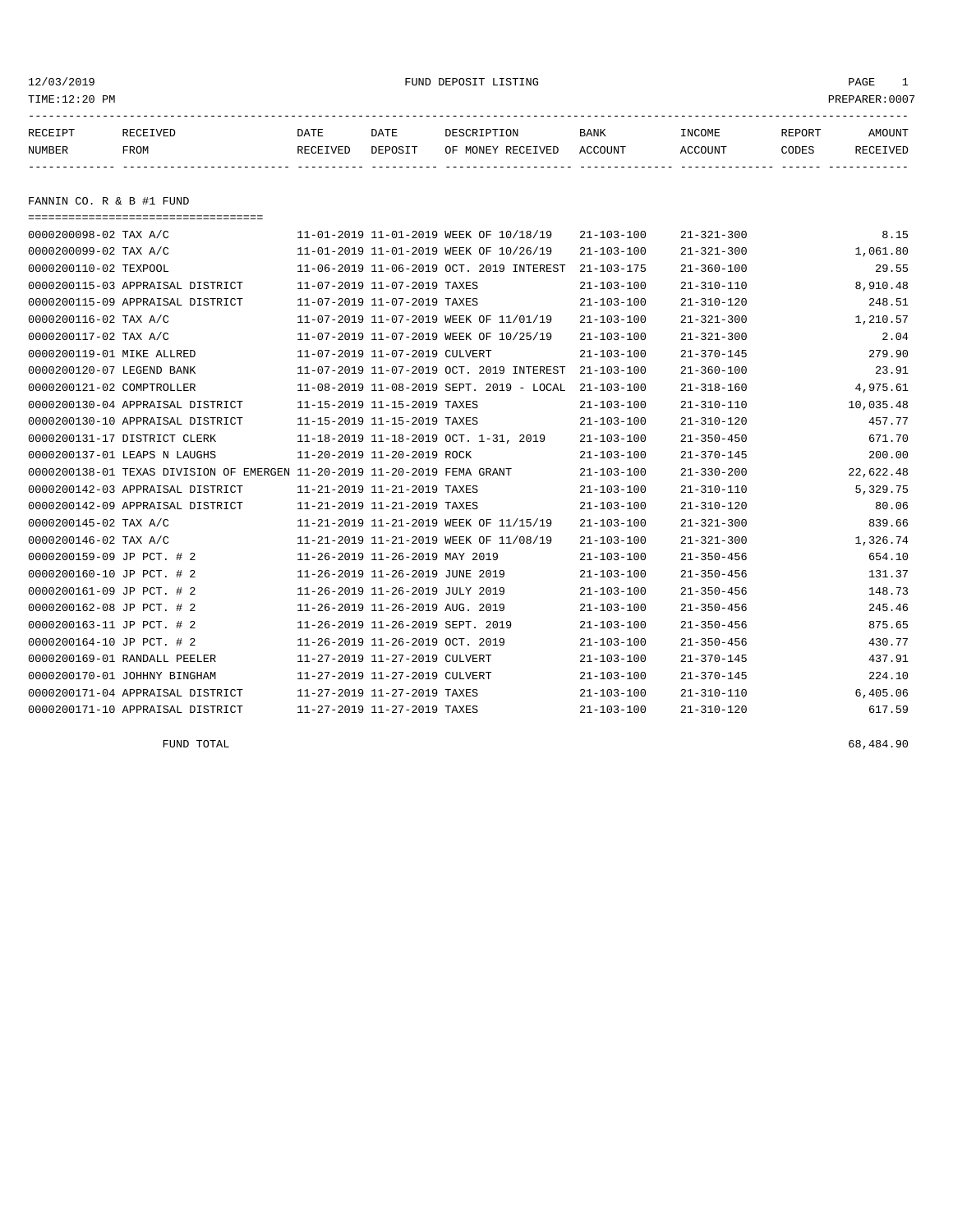12/03/2019 FUND DEPOSIT LISTING PAGE 1

| RECEIPT       | RECEIVED    | DATE     | DATE    | DESCRIPTION               | BANK | <b>TNCOME</b> | REPORT | AMOUNT          |
|---------------|-------------|----------|---------|---------------------------|------|---------------|--------|-----------------|
| <b>NUMBER</b> | <b>FROM</b> | RECEIVED | DEPOSIT | OF MONEY RECEIVED ACCOUNT |      | ACCOUNT       | CODES  | <b>RECEIVED</b> |
|               |             |          |         |                           |      |               |        |                 |

FANNIN CO. R & B #1 FUND

| ======================================                                   |                                            |                  |                  |           |
|--------------------------------------------------------------------------|--------------------------------------------|------------------|------------------|-----------|
| 0000200098-02 TAX A/C                                                    | 11-01-2019 11-01-2019 WEEK OF 10/18/19     | $21 - 103 - 100$ | $21 - 321 - 300$ | 8.15      |
| 0000200099-02 TAX A/C                                                    | 11-01-2019 11-01-2019 WEEK OF 10/26/19     | $21 - 103 - 100$ | $21 - 321 - 300$ | 1,061.80  |
| 0000200110-02 TEXPOOL                                                    | 11-06-2019 11-06-2019 OCT. 2019 INTEREST   | $21 - 103 - 175$ | $21 - 360 - 100$ | 29.55     |
| 0000200115-03 APPRAISAL DISTRICT                                         | 11-07-2019 11-07-2019 TAXES                | $21 - 103 - 100$ | $21 - 310 - 110$ | 8,910.48  |
| 0000200115-09 APPRAISAL DISTRICT                                         | 11-07-2019 11-07-2019 TAXES                | $21 - 103 - 100$ | $21 - 310 - 120$ | 248.51    |
| 0000200116-02 TAX A/C                                                    | 11-07-2019 11-07-2019 WEEK OF 11/01/19     | $21 - 103 - 100$ | $21 - 321 - 300$ | 1,210.57  |
| 0000200117-02 TAX A/C                                                    | 11-07-2019 11-07-2019 WEEK OF 10/25/19     | $21 - 103 - 100$ | $21 - 321 - 300$ | 2.04      |
| 0000200119-01 MIKE ALLRED                                                | 11-07-2019 11-07-2019 CULVERT              | $21 - 103 - 100$ | $21 - 370 - 145$ | 279.90    |
| 0000200120-07 LEGEND BANK                                                | 11-07-2019 11-07-2019 OCT. 2019 INTEREST   | $21 - 103 - 100$ | $21 - 360 - 100$ | 23.91     |
| 0000200121-02 COMPTROLLER                                                | 11-08-2019 11-08-2019 SEPT. 2019 - LOCAL   | $21 - 103 - 100$ | $21 - 318 - 160$ | 4,975.61  |
| 0000200130-04 APPRAISAL DISTRICT                                         | 11-15-2019 11-15-2019 TAXES                | $21 - 103 - 100$ | $21 - 310 - 110$ | 10,035.48 |
| 0000200130-10 APPRAISAL DISTRICT                                         | 11-15-2019 11-15-2019 TAXES                | $21 - 103 - 100$ | $21 - 310 - 120$ | 457.77    |
| 0000200131-17 DISTRICT CLERK                                             | 11-18-2019 11-18-2019 OCT. 1-31, 2019      | $21 - 103 - 100$ | $21 - 350 - 450$ | 671.70    |
| 0000200137-01 LEAPS N LAUGHS                                             | 11-20-2019 11-20-2019 ROCK                 | $21 - 103 - 100$ | $21 - 370 - 145$ | 200.00    |
| 0000200138-01 TEXAS DIVISION OF EMERGEN 11-20-2019 11-20-2019 FEMA GRANT |                                            | $21 - 103 - 100$ | $21 - 330 - 200$ | 22,622.48 |
| 0000200142-03 APPRAISAL DISTRICT                                         | 11-21-2019 11-21-2019 TAXES                | $21 - 103 - 100$ | $21 - 310 - 110$ | 5,329.75  |
| 0000200142-09 APPRAISAL DISTRICT                                         | 11-21-2019 11-21-2019 TAXES                | $21 - 103 - 100$ | $21 - 310 - 120$ | 80.06     |
| 0000200145-02 TAX A/C                                                    | 11-21-2019 11-21-2019 WEEK OF 11/15/19     | $21 - 103 - 100$ | $21 - 321 - 300$ | 839.66    |
| 0000200146-02 TAX A/C                                                    | 11-21-2019 11-21-2019 WEEK OF 11/08/19     | $21 - 103 - 100$ | $21 - 321 - 300$ | 1,326.74  |
| 0000200159-09 JP PCT. # 2                                                | $11 - 26 - 2019$ $11 - 26 - 2019$ MAY 2019 | $21 - 103 - 100$ | $21 - 350 - 456$ | 654.10    |
| 0000200160-10 JP PCT. # 2                                                | 11-26-2019 11-26-2019 JUNE 2019            | $21 - 103 - 100$ | $21 - 350 - 456$ | 131.37    |
| 0000200161-09 JP PCT. # 2                                                | 11-26-2019 11-26-2019 JULY 2019            | $21 - 103 - 100$ | $21 - 350 - 456$ | 148.73    |
| 0000200162-08 JP PCT. # 2                                                | 11-26-2019 11-26-2019 AUG. 2019            | $21 - 103 - 100$ | $21 - 350 - 456$ | 245.46    |
| 0000200163-11 JP PCT. # 2                                                | 11-26-2019 11-26-2019 SEPT. 2019           | $21 - 103 - 100$ | $21 - 350 - 456$ | 875.65    |
| 0000200164-10 JP PCT. # 2                                                | 11-26-2019 11-26-2019 OCT. 2019            | $21 - 103 - 100$ | $21 - 350 - 456$ | 430.77    |
| 0000200169-01 RANDALL PEELER                                             | 11-27-2019 11-27-2019 CULVERT              | $21 - 103 - 100$ | $21 - 370 - 145$ | 437.91    |
| 0000200170-01 JOHHNY BINGHAM                                             | 11-27-2019 11-27-2019 CULVERT              | $21 - 103 - 100$ | $21 - 370 - 145$ | 224.10    |
| 0000200171-04 APPRAISAL DISTRICT                                         | 11-27-2019 11-27-2019 TAXES                | $21 - 103 - 100$ | $21 - 310 - 110$ | 6,405.06  |
| 0000200171-10 APPRAISAL DISTRICT                                         | 11-27-2019 11-27-2019 TAXES                | $21 - 103 - 100$ | $21 - 310 - 120$ | 617.59    |

FUND TOTAL 68,484.90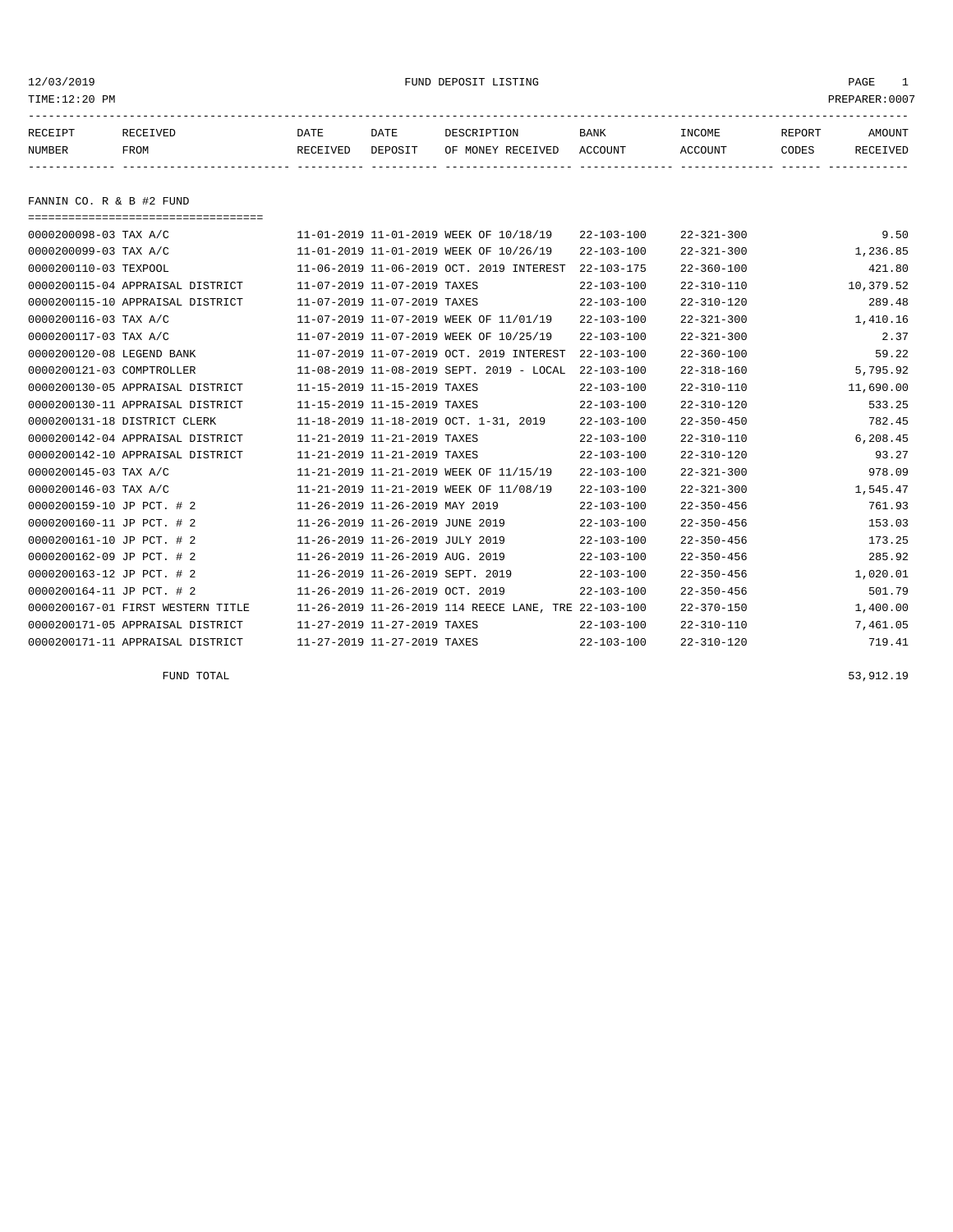12/03/2019 FUND DEPOSIT LISTING PAGE 1

| RECEIPT | RECEIVED | DATE     | DATE    | DESCRIPTION       | <b>BANK</b> | <b>INCOME</b> | REPORT | AMOUNT          |
|---------|----------|----------|---------|-------------------|-------------|---------------|--------|-----------------|
| NUMBER  | FROM     | RECEIVED | DEPOSIT | OF MONEY RECEIVED | ACCOUNT     | ACCOUNT       | CODES  | <b>RECEIVED</b> |
|         |          |          |         |                   |             |               |        |                 |

FANNIN CO. R & B #2 FUND

| ==================================== |                                                      |                  |                  |           |
|--------------------------------------|------------------------------------------------------|------------------|------------------|-----------|
| 0000200098-03 TAX A/C                | 11-01-2019 11-01-2019 WEEK OF 10/18/19               | $22 - 103 - 100$ | $22 - 321 - 300$ | 9.50      |
| 0000200099-03 TAX A/C                | 11-01-2019 11-01-2019 WEEK OF 10/26/19               | $22 - 103 - 100$ | $22 - 321 - 300$ | 1,236.85  |
| 0000200110-03 TEXPOOL                | 11-06-2019 11-06-2019 OCT. 2019 INTEREST             | $22 - 103 - 175$ | $22 - 360 - 100$ | 421.80    |
| 0000200115-04 APPRAISAL DISTRICT     | 11-07-2019 11-07-2019 TAXES                          | $22 - 103 - 100$ | $22 - 310 - 110$ | 10,379.52 |
| 0000200115-10 APPRAISAL DISTRICT     | 11-07-2019 11-07-2019 TAXES                          | $22 - 103 - 100$ | $22 - 310 - 120$ | 289.48    |
| 0000200116-03 TAX A/C                | 11-07-2019 11-07-2019 WEEK OF 11/01/19               | $22 - 103 - 100$ | $22 - 321 - 300$ | 1,410.16  |
| 0000200117-03 TAX A/C                | 11-07-2019 11-07-2019 WEEK OF 10/25/19               | $22 - 103 - 100$ | $22 - 321 - 300$ | 2.37      |
| 0000200120-08 LEGEND BANK            | 11-07-2019 11-07-2019 OCT. 2019 INTEREST             | $22 - 103 - 100$ | $22 - 360 - 100$ | 59.22     |
| 0000200121-03 COMPTROLLER            | 11-08-2019 11-08-2019 SEPT. 2019 - LOCAL             | $22 - 103 - 100$ | $22 - 318 - 160$ | 5,795.92  |
| 0000200130-05 APPRAISAL DISTRICT     | 11-15-2019 11-15-2019 TAXES                          | $22 - 103 - 100$ | $22 - 310 - 110$ | 11,690.00 |
| 0000200130-11 APPRAISAL DISTRICT     | 11-15-2019 11-15-2019 TAXES                          | $22 - 103 - 100$ | $22 - 310 - 120$ | 533.25    |
| 0000200131-18 DISTRICT CLERK         | 11-18-2019 11-18-2019 OCT. 1-31, 2019                | $22 - 103 - 100$ | $22 - 350 - 450$ | 782.45    |
| 0000200142-04 APPRAISAL DISTRICT     | 11-21-2019 11-21-2019 TAXES                          | $22 - 103 - 100$ | $22 - 310 - 110$ | 6,208.45  |
| 0000200142-10 APPRAISAL DISTRICT     | 11-21-2019 11-21-2019 TAXES                          | $22 - 103 - 100$ | $22 - 310 - 120$ | 93.27     |
| 0000200145-03 TAX A/C                | 11-21-2019 11-21-2019 WEEK OF 11/15/19               | $22 - 103 - 100$ | $22 - 321 - 300$ | 978.09    |
| 0000200146-03 TAX A/C                | 11-21-2019 11-21-2019 WEEK OF 11/08/19               | $22 - 103 - 100$ | $22 - 321 - 300$ | 1,545.47  |
| 0000200159-10 JP PCT. # 2            | 11-26-2019 11-26-2019 MAY 2019                       | $22 - 103 - 100$ | $22 - 350 - 456$ | 761.93    |
| 0000200160-11 JP PCT. # 2            | 11-26-2019 11-26-2019 JUNE 2019                      | $22 - 103 - 100$ | $22 - 350 - 456$ | 153.03    |
| 0000200161-10 JP PCT. # 2            | 11-26-2019 11-26-2019 JULY 2019                      | $22 - 103 - 100$ | $22 - 350 - 456$ | 173.25    |
| 0000200162-09 JP PCT. # 2            | 11-26-2019 11-26-2019 AUG. 2019                      | $22 - 103 - 100$ | $22 - 350 - 456$ | 285.92    |
| 0000200163-12 JP PCT. # 2            | 11-26-2019 11-26-2019 SEPT. 2019                     | $22 - 103 - 100$ | $22 - 350 - 456$ | 1,020.01  |
| 0000200164-11 JP PCT. # 2            | 11-26-2019 11-26-2019 OCT. 2019                      | $22 - 103 - 100$ | $22 - 350 - 456$ | 501.79    |
| 0000200167-01 FIRST WESTERN TITLE    | 11-26-2019 11-26-2019 114 REECE LANE, TRE 22-103-100 |                  | $22 - 370 - 150$ | 1,400.00  |
| 0000200171-05 APPRAISAL DISTRICT     | 11-27-2019 11-27-2019 TAXES                          | $22 - 103 - 100$ | $22 - 310 - 110$ | 7,461.05  |
| 0000200171-11 APPRAISAL DISTRICT     | 11-27-2019 11-27-2019 TAXES                          | $22 - 103 - 100$ | $22 - 310 - 120$ | 719.41    |

FUND TOTAL 53,912.19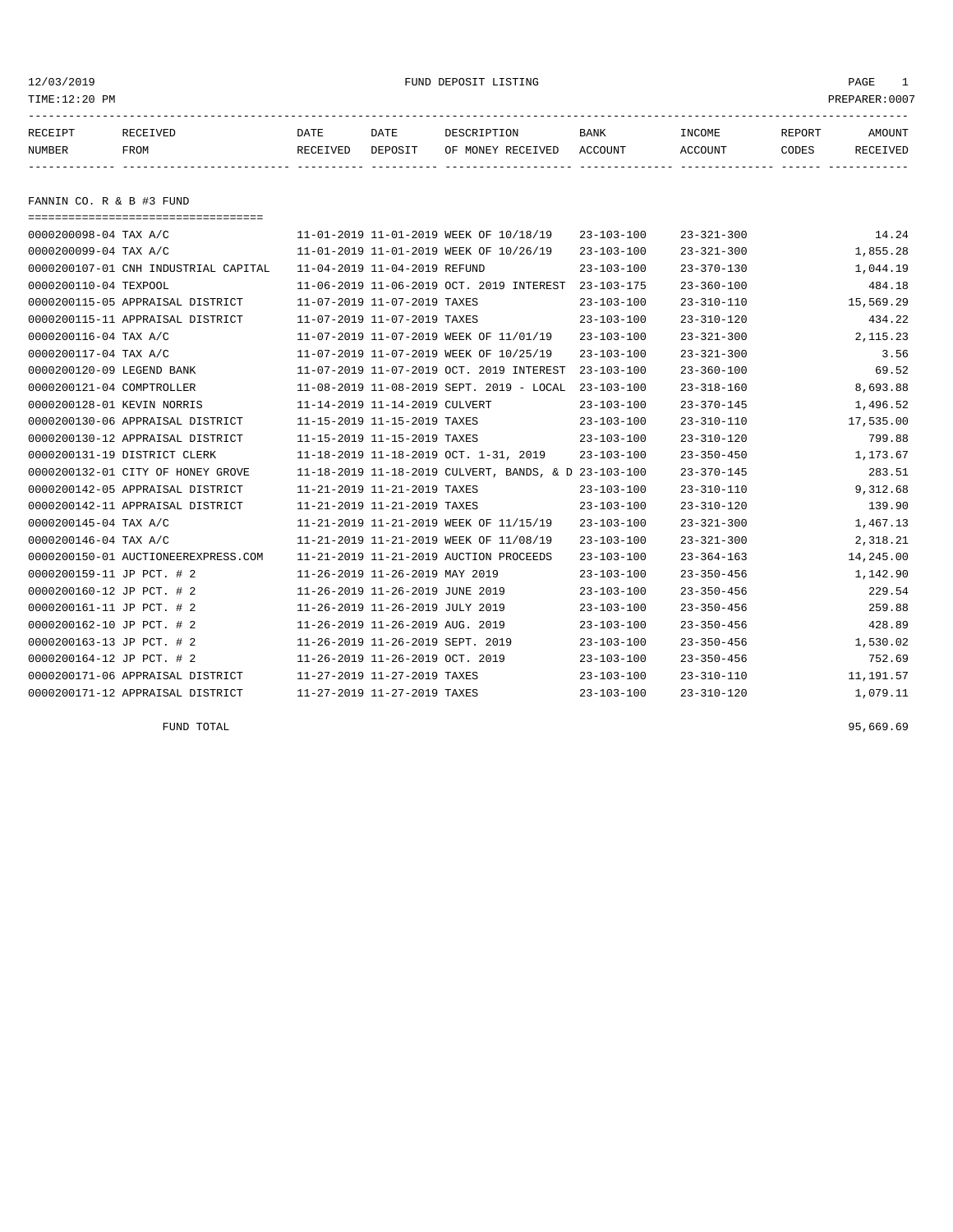12/03/2019 FUND DEPOSIT LISTING PAGE 1

| RECEIPT | <b>RECEIVED</b> | DATE            | DATE    | DESCRIPTION       | <b>BANK</b> | INCOME  | REPORT | AMOUNT   |
|---------|-----------------|-----------------|---------|-------------------|-------------|---------|--------|----------|
| NUMBER  | FROM            | <b>RECEIVED</b> | DEPOSIT | OF MONEY RECEIVED | ACCOUNT     | ACCOUNT | CODES  | RECEIVED |
|         |                 |                 |         |                   |             |         |        |          |

FANNIN CO. R & B #3 FUND

| ====================================== |                                                      |                  |                  |           |
|----------------------------------------|------------------------------------------------------|------------------|------------------|-----------|
| 0000200098-04 TAX A/C                  | 11-01-2019 11-01-2019 WEEK OF 10/18/19               | $23 - 103 - 100$ | $23 - 321 - 300$ | 14.24     |
| 0000200099-04 TAX A/C                  | 11-01-2019 11-01-2019 WEEK OF 10/26/19               | $23 - 103 - 100$ | $23 - 321 - 300$ | 1,855.28  |
| 0000200107-01 CNH INDUSTRIAL CAPITAL   | 11-04-2019 11-04-2019 REFUND                         | $23 - 103 - 100$ | $23 - 370 - 130$ | 1,044.19  |
| 0000200110-04 TEXPOOL                  | 11-06-2019 11-06-2019 OCT. 2019 INTEREST             | $23 - 103 - 175$ | $23 - 360 - 100$ | 484.18    |
| 0000200115-05 APPRAISAL DISTRICT       | 11-07-2019 11-07-2019 TAXES                          | $23 - 103 - 100$ | $23 - 310 - 110$ | 15,569.29 |
| 0000200115-11 APPRAISAL DISTRICT       | 11-07-2019 11-07-2019 TAXES                          | $23 - 103 - 100$ | $23 - 310 - 120$ | 434.22    |
| 0000200116-04 TAX A/C                  | 11-07-2019 11-07-2019 WEEK OF 11/01/19               | $23 - 103 - 100$ | $23 - 321 - 300$ | 2, 115.23 |
| 0000200117-04 TAX A/C                  | 11-07-2019 11-07-2019 WEEK OF 10/25/19               | $23 - 103 - 100$ | $23 - 321 - 300$ | 3.56      |
| 0000200120-09 LEGEND BANK              | 11-07-2019 11-07-2019 OCT. 2019 INTEREST             | $23 - 103 - 100$ | $23 - 360 - 100$ | 69.52     |
| 0000200121-04 COMPTROLLER              | 11-08-2019 11-08-2019 SEPT. 2019 - LOCAL             | $23 - 103 - 100$ | $23 - 318 - 160$ | 8,693.88  |
| 0000200128-01 KEVIN NORRIS             | 11-14-2019 11-14-2019 CULVERT                        | $23 - 103 - 100$ | $23 - 370 - 145$ | 1,496.52  |
| 0000200130-06 APPRAISAL DISTRICT       | 11-15-2019 11-15-2019 TAXES                          | $23 - 103 - 100$ | $23 - 310 - 110$ | 17,535.00 |
| 0000200130-12 APPRAISAL DISTRICT       | 11-15-2019 11-15-2019 TAXES                          | $23 - 103 - 100$ | $23 - 310 - 120$ | 799.88    |
| 0000200131-19 DISTRICT CLERK           | 11-18-2019 11-18-2019 OCT. 1-31, 2019                | $23 - 103 - 100$ | $23 - 350 - 450$ | 1,173.67  |
| 0000200132-01 CITY OF HONEY GROVE      | 11-18-2019 11-18-2019 CULVERT, BANDS, & D 23-103-100 |                  | $23 - 370 - 145$ | 283.51    |
| 0000200142-05 APPRAISAL DISTRICT       | 11-21-2019 11-21-2019 TAXES                          | $23 - 103 - 100$ | $23 - 310 - 110$ | 9,312.68  |
| 0000200142-11 APPRAISAL DISTRICT       | 11-21-2019 11-21-2019 TAXES                          | $23 - 103 - 100$ | $23 - 310 - 120$ | 139.90    |
| 0000200145-04 TAX A/C                  | 11-21-2019 11-21-2019 WEEK OF 11/15/19               | $23 - 103 - 100$ | $23 - 321 - 300$ | 1,467.13  |
| 0000200146-04 TAX A/C                  | 11-21-2019 11-21-2019 WEEK OF 11/08/19               | $23 - 103 - 100$ | $23 - 321 - 300$ | 2,318.21  |
| 0000200150-01 AUCTIONEEREXPRESS.COM    | 11-21-2019 11-21-2019 AUCTION PROCEEDS               | $23 - 103 - 100$ | $23 - 364 - 163$ | 14,245.00 |
| 0000200159-11 JP PCT. # 2              | 11-26-2019 11-26-2019 MAY 2019                       | $23 - 103 - 100$ | $23 - 350 - 456$ | 1,142.90  |
| 0000200160-12 JP PCT. # 2              | 11-26-2019 11-26-2019 JUNE 2019                      | $23 - 103 - 100$ | $23 - 350 - 456$ | 229.54    |
| 0000200161-11 JP PCT. # 2              | 11-26-2019 11-26-2019 JULY 2019                      | $23 - 103 - 100$ | $23 - 350 - 456$ | 259.88    |
| 0000200162-10 JP PCT. # 2              | 11-26-2019 11-26-2019 AUG. 2019                      | $23 - 103 - 100$ | $23 - 350 - 456$ | 428.89    |
| 0000200163-13 JP PCT. # 2              | 11-26-2019 11-26-2019 SEPT. 2019                     | $23 - 103 - 100$ | $23 - 350 - 456$ | 1,530.02  |
| 0000200164-12 JP PCT. # 2              | 11-26-2019 11-26-2019 OCT. 2019                      | $23 - 103 - 100$ | $23 - 350 - 456$ | 752.69    |
| 0000200171-06 APPRAISAL DISTRICT       | 11-27-2019 11-27-2019 TAXES                          | $23 - 103 - 100$ | $23 - 310 - 110$ | 11,191.57 |
| 0000200171-12 APPRAISAL DISTRICT       | 11-27-2019 11-27-2019 TAXES                          | $23 - 103 - 100$ | $23 - 310 - 120$ | 1,079.11  |

FUND TOTAL  $95,669.69$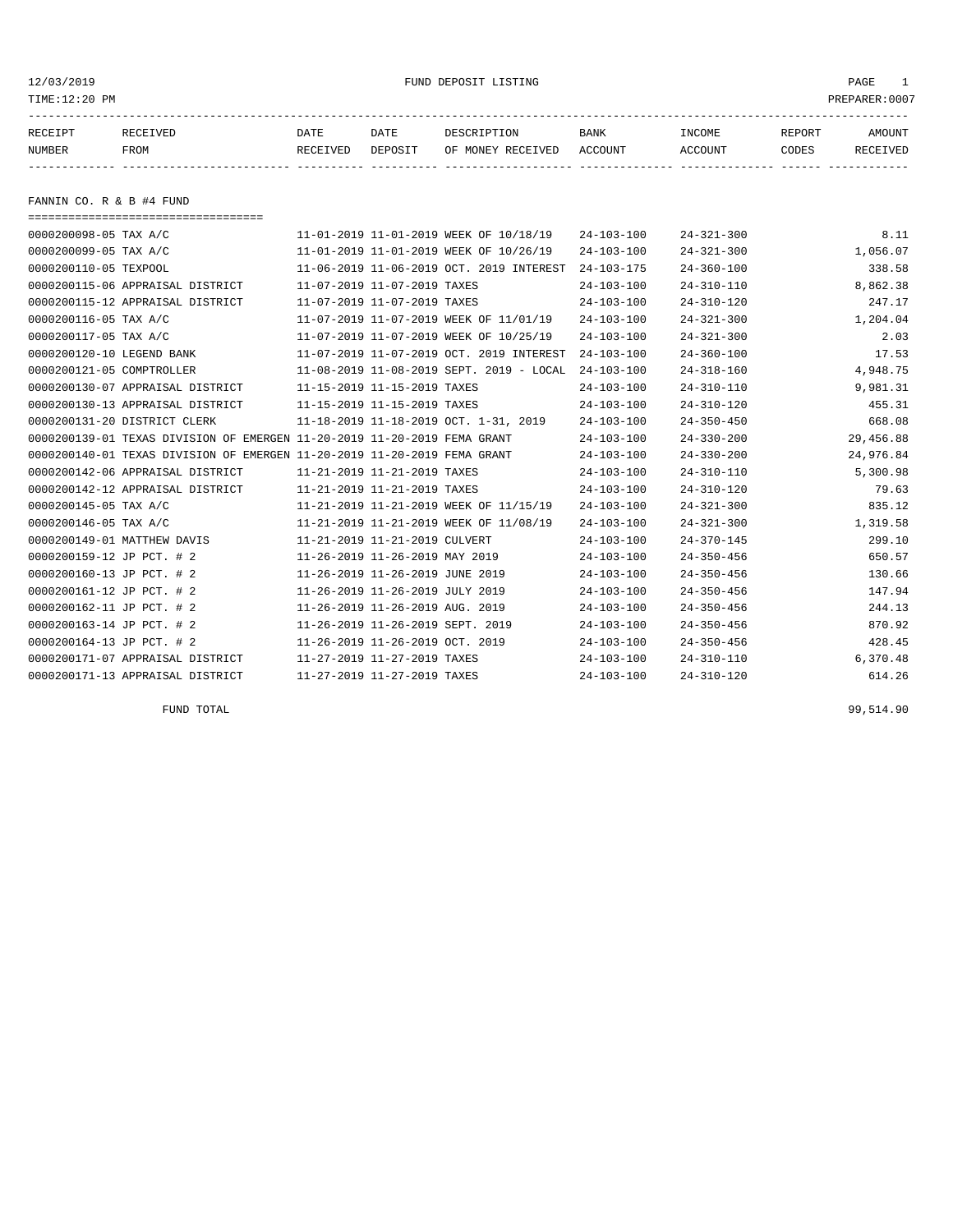12/03/2019 FUND DEPOSIT LISTING PAGE 1

| RECEIPT | RECEIVED | DATE     | DATE    | DESCRIPTION       | <b>BANK</b> | INCOME  | REPORT | AMOUNT   |
|---------|----------|----------|---------|-------------------|-------------|---------|--------|----------|
| NUMBER  | FROM     | RECEIVED | DEPOSIT | OF MONEY RECEIVED | ACCOUNT     | ACCOUNT | CODES  | RECEIVED |
|         |          |          |         |                   |             |         |        |          |

FANNIN CO. R & B #4 FUND

| ======================================                                   |                                          |                  |                  |           |
|--------------------------------------------------------------------------|------------------------------------------|------------------|------------------|-----------|
| 0000200098-05 TAX A/C                                                    | 11-01-2019 11-01-2019 WEEK OF 10/18/19   | $24 - 103 - 100$ | $24 - 321 - 300$ | 8.11      |
| 0000200099-05 TAX A/C                                                    | 11-01-2019 11-01-2019 WEEK OF 10/26/19   | $24 - 103 - 100$ | $24 - 321 - 300$ | 1,056.07  |
| 0000200110-05 TEXPOOL                                                    | 11-06-2019 11-06-2019 OCT. 2019 INTEREST | $24 - 103 - 175$ | $24 - 360 - 100$ | 338.58    |
| 0000200115-06 APPRAISAL DISTRICT                                         | 11-07-2019 11-07-2019 TAXES              | $24 - 103 - 100$ | $24 - 310 - 110$ | 8,862.38  |
| 0000200115-12 APPRAISAL DISTRICT                                         | 11-07-2019 11-07-2019 TAXES              | $24 - 103 - 100$ | $24 - 310 - 120$ | 247.17    |
| 0000200116-05 TAX A/C                                                    | 11-07-2019 11-07-2019 WEEK OF 11/01/19   | $24 - 103 - 100$ | $24 - 321 - 300$ | 1,204.04  |
| 0000200117-05 TAX A/C                                                    | 11-07-2019 11-07-2019 WEEK OF 10/25/19   | $24 - 103 - 100$ | $24 - 321 - 300$ | 2.03      |
| 0000200120-10 LEGEND BANK                                                | 11-07-2019 11-07-2019 OCT. 2019 INTEREST | $24 - 103 - 100$ | $24 - 360 - 100$ | 17.53     |
| 0000200121-05 COMPTROLLER                                                | 11-08-2019 11-08-2019 SEPT. 2019 - LOCAL | $24 - 103 - 100$ | $24 - 318 - 160$ | 4,948.75  |
| 0000200130-07 APPRAISAL DISTRICT                                         | 11-15-2019 11-15-2019 TAXES              | $24 - 103 - 100$ | $24 - 310 - 110$ | 9,981.31  |
| 0000200130-13 APPRAISAL DISTRICT                                         | 11-15-2019 11-15-2019 TAXES              | $24 - 103 - 100$ | $24 - 310 - 120$ | 455.31    |
| 0000200131-20 DISTRICT CLERK                                             | 11-18-2019 11-18-2019 OCT. 1-31, 2019    | $24 - 103 - 100$ | $24 - 350 - 450$ | 668.08    |
| 0000200139-01 TEXAS DIVISION OF EMERGEN 11-20-2019 11-20-2019 FEMA GRANT |                                          | $24 - 103 - 100$ | $24 - 330 - 200$ | 29,456.88 |
| 0000200140-01 TEXAS DIVISION OF EMERGEN 11-20-2019 11-20-2019 FEMA GRANT |                                          | $24 - 103 - 100$ | $24 - 330 - 200$ | 24,976.84 |
| 0000200142-06 APPRAISAL DISTRICT                                         | 11-21-2019 11-21-2019 TAXES              | $24 - 103 - 100$ | $24 - 310 - 110$ | 5,300.98  |
| 0000200142-12 APPRAISAL DISTRICT                                         | 11-21-2019 11-21-2019 TAXES              | $24 - 103 - 100$ | $24 - 310 - 120$ | 79.63     |
| 0000200145-05 TAX A/C                                                    | 11-21-2019 11-21-2019 WEEK OF 11/15/19   | $24 - 103 - 100$ | $24 - 321 - 300$ | 835.12    |
| 0000200146-05 TAX A/C                                                    | 11-21-2019 11-21-2019 WEEK OF 11/08/19   | $24 - 103 - 100$ | $24 - 321 - 300$ | 1,319.58  |
| 0000200149-01 MATTHEW DAVIS                                              | 11-21-2019 11-21-2019 CULVERT            | $24 - 103 - 100$ | $24 - 370 - 145$ | 299.10    |
| 0000200159-12 JP PCT. # 2                                                | 11-26-2019 11-26-2019 MAY 2019           | $24 - 103 - 100$ | $24 - 350 - 456$ | 650.57    |
| 0000200160-13 JP PCT. # 2                                                | 11-26-2019 11-26-2019 JUNE 2019          | $24 - 103 - 100$ | $24 - 350 - 456$ | 130.66    |
| 0000200161-12 JP PCT. # 2                                                | 11-26-2019 11-26-2019 JULY 2019          | $24 - 103 - 100$ | $24 - 350 - 456$ | 147.94    |
| 0000200162-11 JP PCT. # 2                                                | 11-26-2019 11-26-2019 AUG. 2019          | $24 - 103 - 100$ | $24 - 350 - 456$ | 244.13    |
| 0000200163-14 JP PCT. # 2                                                | 11-26-2019 11-26-2019 SEPT. 2019         | $24 - 103 - 100$ | $24 - 350 - 456$ | 870.92    |
| 0000200164-13 JP PCT. # 2                                                | 11-26-2019 11-26-2019 OCT. 2019          | $24 - 103 - 100$ | $24 - 350 - 456$ | 428.45    |
| 0000200171-07 APPRAISAL DISTRICT                                         | 11-27-2019 11-27-2019 TAXES              | $24 - 103 - 100$ | $24 - 310 - 110$ | 6,370.48  |
| 0000200171-13 APPRAISAL DISTRICT                                         | 11-27-2019 11-27-2019 TAXES              | $24 - 103 - 100$ | $24 - 310 - 120$ | 614.26    |

FUND TOTAL 99,514.90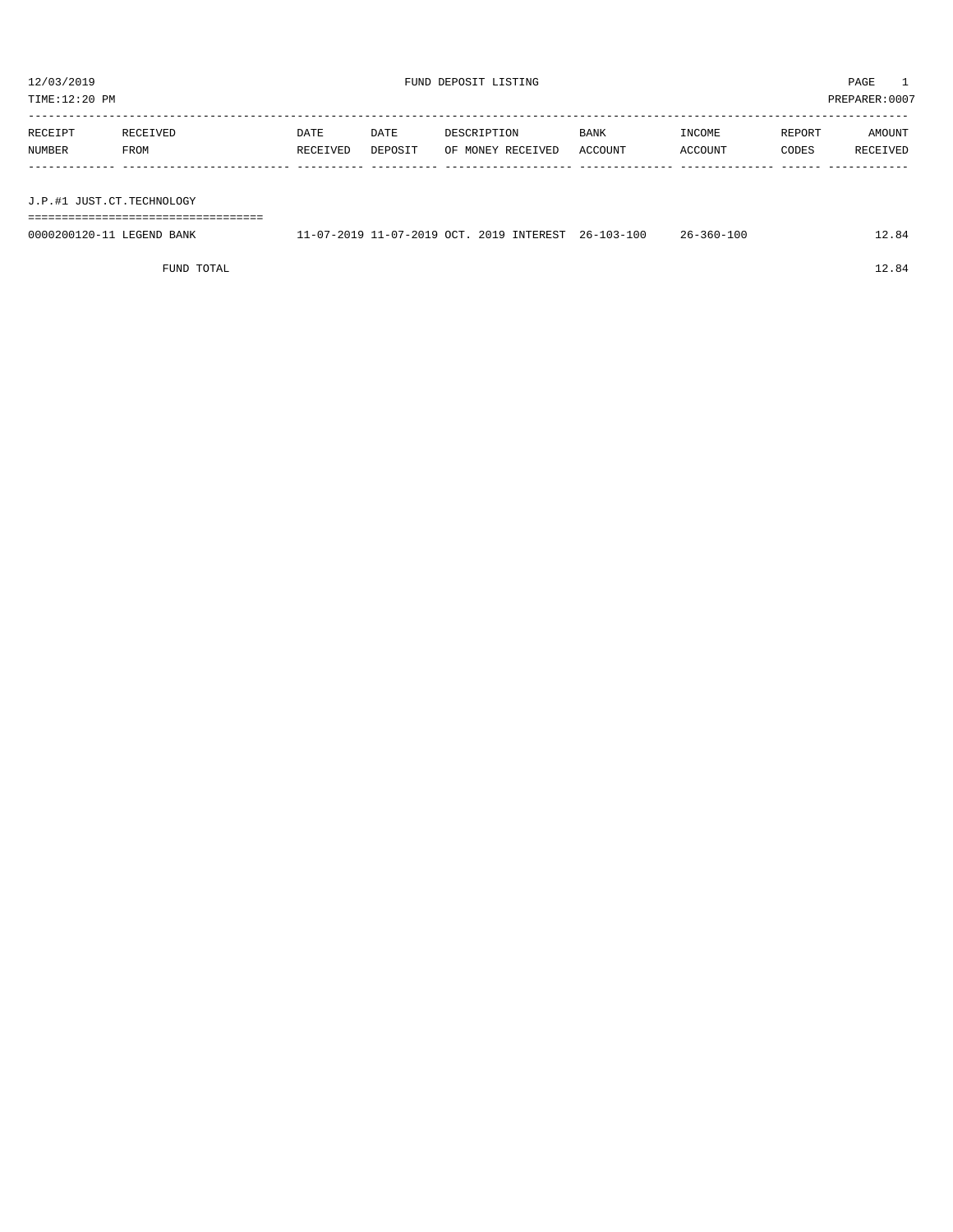TIME:12:20 PM PREPARER:0007 -----------------------------------------------------------------------------------------------------------------------------------

| RECEIPT | RECEIVED | DATE     | DATE    | DESCRIPTION       | <b>BANK</b> | INCOME         | REPORT | AMOUNT   |
|---------|----------|----------|---------|-------------------|-------------|----------------|--------|----------|
| NUMBER  | FROM     | RECEIVED | DEPOSIT | OF MONEY RECEIVED | ACCOUNT     | <b>ACCOUNT</b> | CODES  | RECEIVED |
|         |          |          |         |                   |             |                |        |          |

J.P.#1 JUST.CT.TECHNOLOGY

===================================

| 0000200120-11 LEGEND BANK | 11-07-2019 11-07-2019 OCT, 2019 INTEREST 26-103-100 |  | $26 - 360 - 100$ | 12.84 |
|---------------------------|-----------------------------------------------------|--|------------------|-------|
|                           |                                                     |  |                  |       |

FUND TOTAL 12.84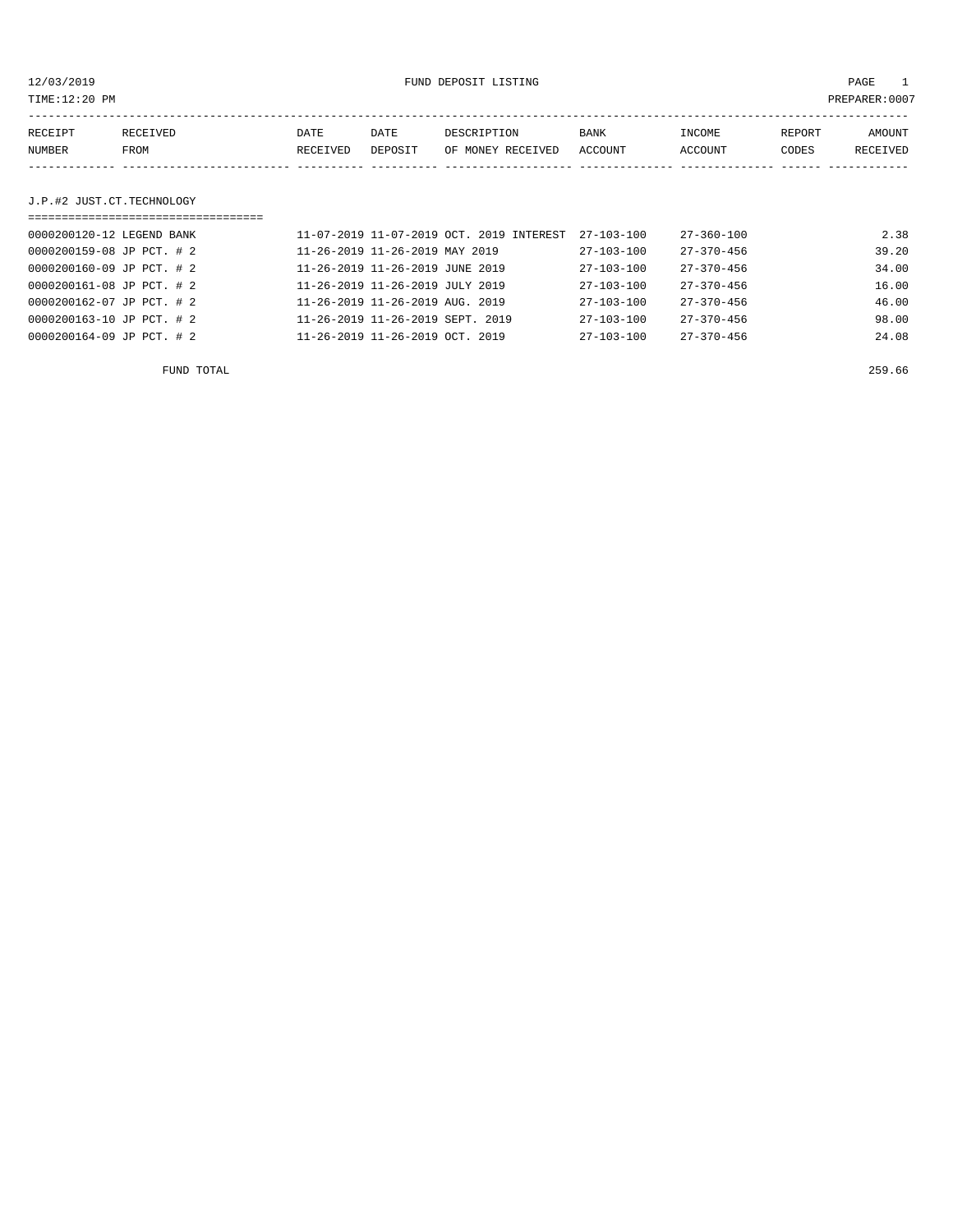12/03/2019 FUND DEPOSIT LISTING PAGE 1

| RECEIPT | RECEIVED | DATE     | DATE    | DESCRIPTION               | <b>BANK</b> | <b>TNCOME</b>  | REPORT | AMOUNT   |
|---------|----------|----------|---------|---------------------------|-------------|----------------|--------|----------|
| NUMBER  | FROM     | RECEIVED | DEPOSIT | OF MONEY RECEIVED ACCOUNT |             | <b>ACCOUNT</b> | CODES  | RECEIVED |
|         |          |          |         |                           |             |                |        |          |

## J.P.#2 JUST.CT.TECHNOLOGY

| =============================== |                                             |                  |                  |       |
|---------------------------------|---------------------------------------------|------------------|------------------|-------|
| 0000200120-12 LEGEND BANK       | 11-07-2019 11-07-2019 OCT. 2019 INTEREST    | $27 - 103 - 100$ | 27-360-100       | 2.38  |
| 0000200159-08 JP PCT. # 2       | 11-26-2019 11-26-2019 MAY 2019              | $27 - 103 - 100$ | $27 - 370 - 456$ | 39.20 |
| 0000200160-09 JP PCT. # 2       | 11-26-2019 11-26-2019 JUNE 2019             | $27 - 103 - 100$ | $27 - 370 - 456$ | 34.00 |
| 0000200161-08 JP PCT. # 2       | 11-26-2019 11-26-2019 JULY 2019             | $27 - 103 - 100$ | $27 - 370 - 456$ | 16.00 |
| 0000200162-07 JP PCT. # 2       | $11 - 26 - 2019$ $11 - 26 - 2019$ AUG. 2019 | $27 - 103 - 100$ | $27 - 370 - 456$ | 46.00 |
| 0000200163-10 JP PCT. # 2       | 11-26-2019 11-26-2019 SEPT. 2019            | $27 - 103 - 100$ | $27 - 370 - 456$ | 98.00 |
| 0000200164-09 JP PCT. # 2       | $11 - 26 - 2019$ $11 - 26 - 2019$ OCT, 2019 | 27-103-100       | $27 - 370 - 456$ | 24.08 |

FUND TOTAL 259.66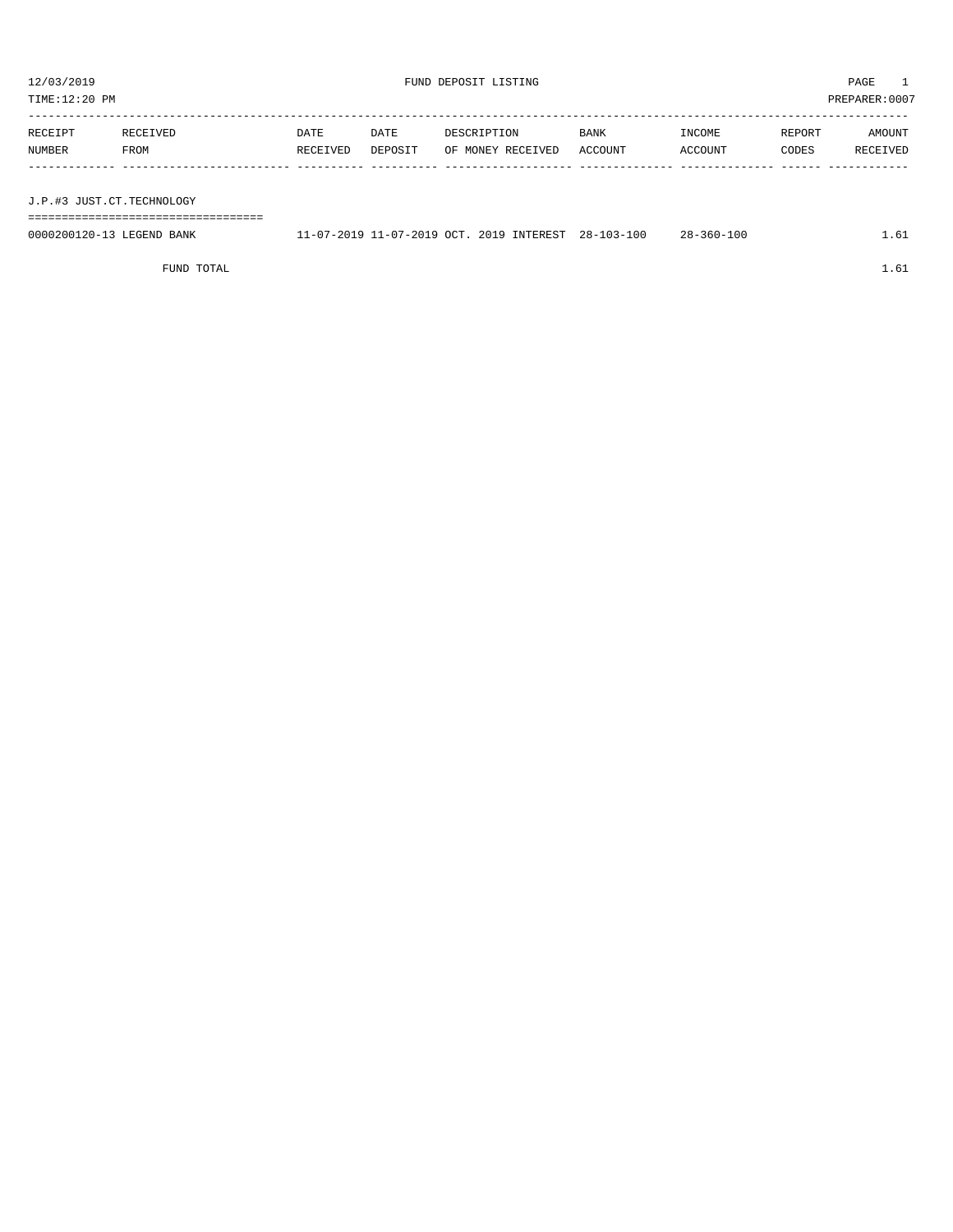| 12/03/2019<br>FUND DEPOSIT LISTING<br>TIME:12:20 PM |                  |                  |                 |                                  |                        | PAGE<br>PREPARER: 0007 |                 |                    |
|-----------------------------------------------------|------------------|------------------|-----------------|----------------------------------|------------------------|------------------------|-----------------|--------------------|
| RECEIPT<br>NUMBER                                   | RECEIVED<br>FROM | DATE<br>RECEIVED | DATE<br>DEPOSIT | DESCRIPTION<br>OF MONEY RECEIVED | <b>BANK</b><br>ACCOUNT | INCOME<br>ACCOUNT      | REPORT<br>CODES | AMOUNT<br>RECEIVED |
| J.P.#3 JUST.CT.TECHNOLOGY                           |                  |                  |                 |                                  |                        |                        |                 |                    |

===================================

| 0000200120-13 LEGEND BANK | 11-07-2019 11-07-2019 OCT. 2019 INTEREST 28-103-100 |  | 28-360-100 | 1.61 |
|---------------------------|-----------------------------------------------------|--|------------|------|
|                           |                                                     |  |            |      |

FUND TOTAL  $1.61$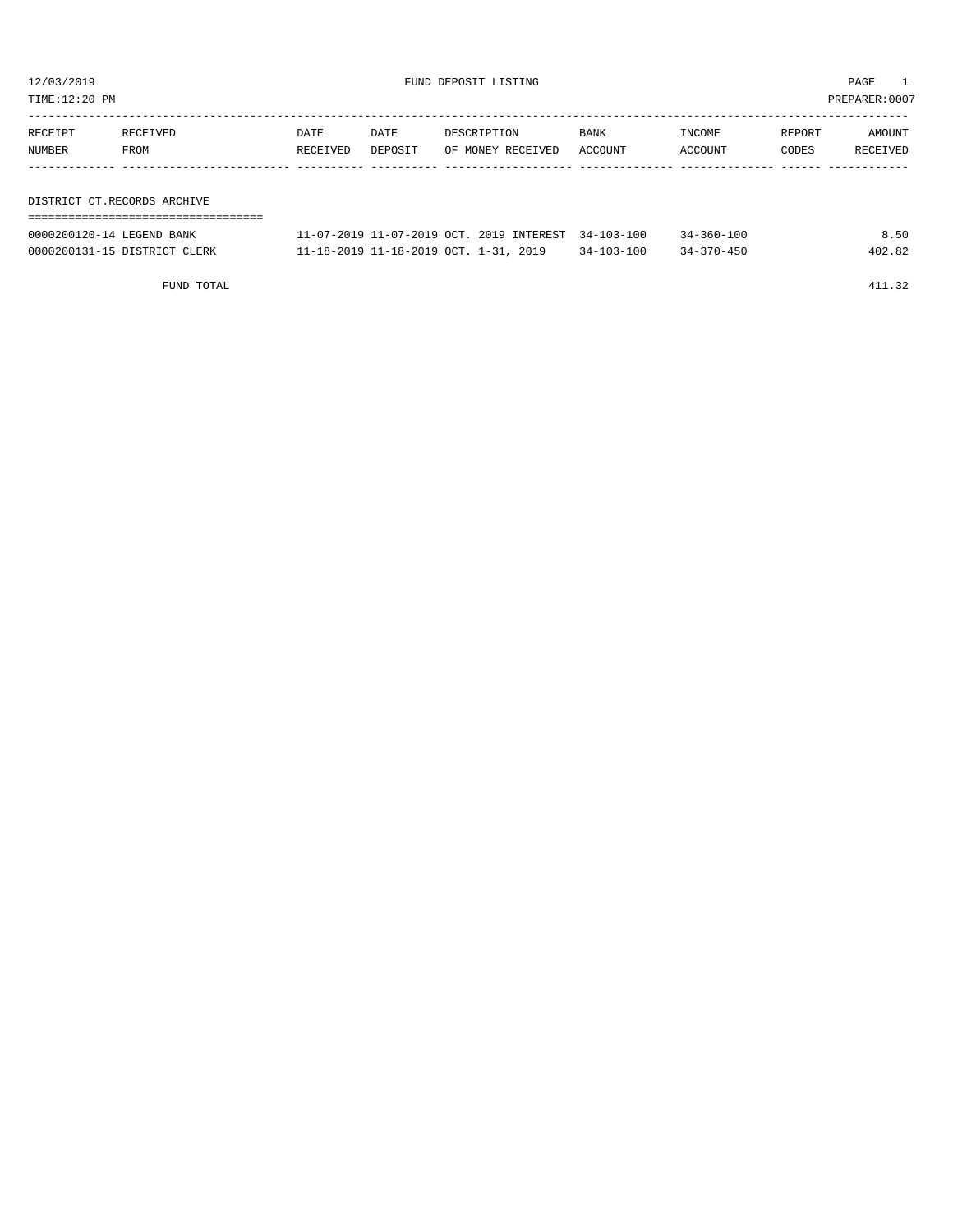TIME:12:20 PM PREPARER:0007

| RECEIPT | RECEIVED                    | DATE     | DATE    | DESCRIPTION       | <b>BANK</b> | INCOME  | REPORT | AMOUNT   |
|---------|-----------------------------|----------|---------|-------------------|-------------|---------|--------|----------|
| NUMBER  | FROM                        | RECEIVED | DEPOSIT | OF MONEY RECEIVED | ACCOUNT     | ACCOUNT | CODES  | RECEIVED |
|         |                             |          |         |                   |             |         |        |          |
|         |                             |          |         |                   |             |         |        |          |
|         | DISTRICT CT.RECORDS ARCHIVE |          |         |                   |             |         |        |          |

===================================

| 0000200120-14 LEGEND BANK    | 11-07-2019 11-07-2019 OCT. 2019 INTEREST 34-103-100 |            | $34 - 360 - 100$ | 8.50   |
|------------------------------|-----------------------------------------------------|------------|------------------|--------|
| 0000200131-15 DISTRICT CLERK | 11-18-2019 11-18-2019 OCT. 1-31, 2019               | 34-103-100 | $34 - 370 - 450$ | 402.82 |

FUND TOTAL 411.32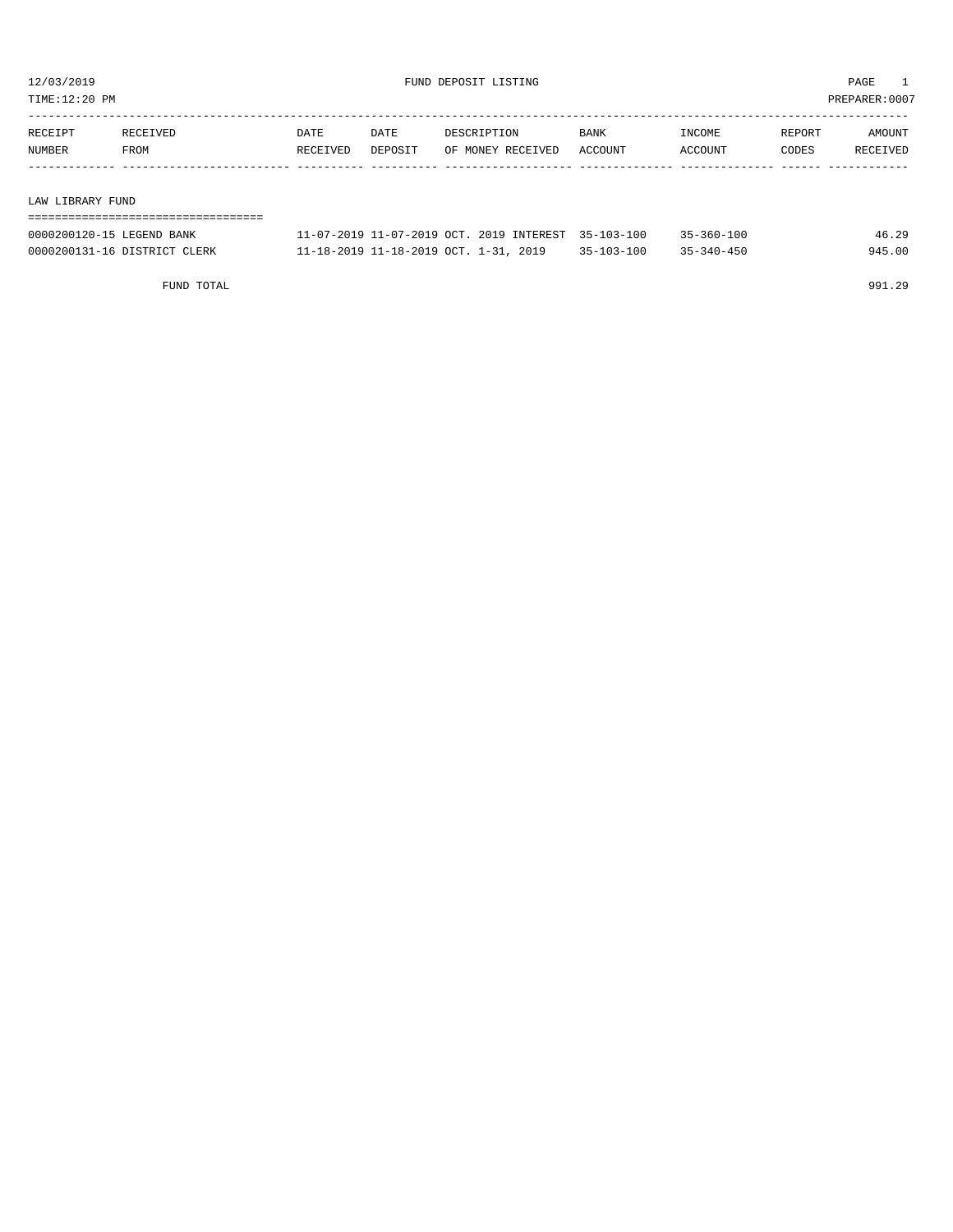TIME:12:20 PM PREPARER:0007

| RECEIPT | RECEIVED | DATE     | DATE    | DESCRIPTION       | BANK    | INCOME  | REPORT | AMOUNT   |
|---------|----------|----------|---------|-------------------|---------|---------|--------|----------|
| NUMBER  | FROM     | RECEIVED | DEPOSIT | OF MONEY RECEIVED | ACCOUNT | ACCOUNT | CODES  | RECEIVED |
|         |          |          |         |                   |         |         |        |          |
|         |          |          |         |                   |         |         |        |          |

#### LAW LIBRARY FUND

| ----------------------------------- |                                                     |            |                  |        |
|-------------------------------------|-----------------------------------------------------|------------|------------------|--------|
| 0000200120-15 LEGEND BANK           | 11-07-2019 11-07-2019 OCT. 2019 INTEREST 35-103-100 |            | $35 - 360 - 100$ | 46.29  |
| 0000200131-16 DISTRICT CLERK        | 11-18-2019 11-18-2019 OCT. 1-31, 2019               | 35-103-100 | 35-340-450       | 945.00 |

FUND TOTAL 991.29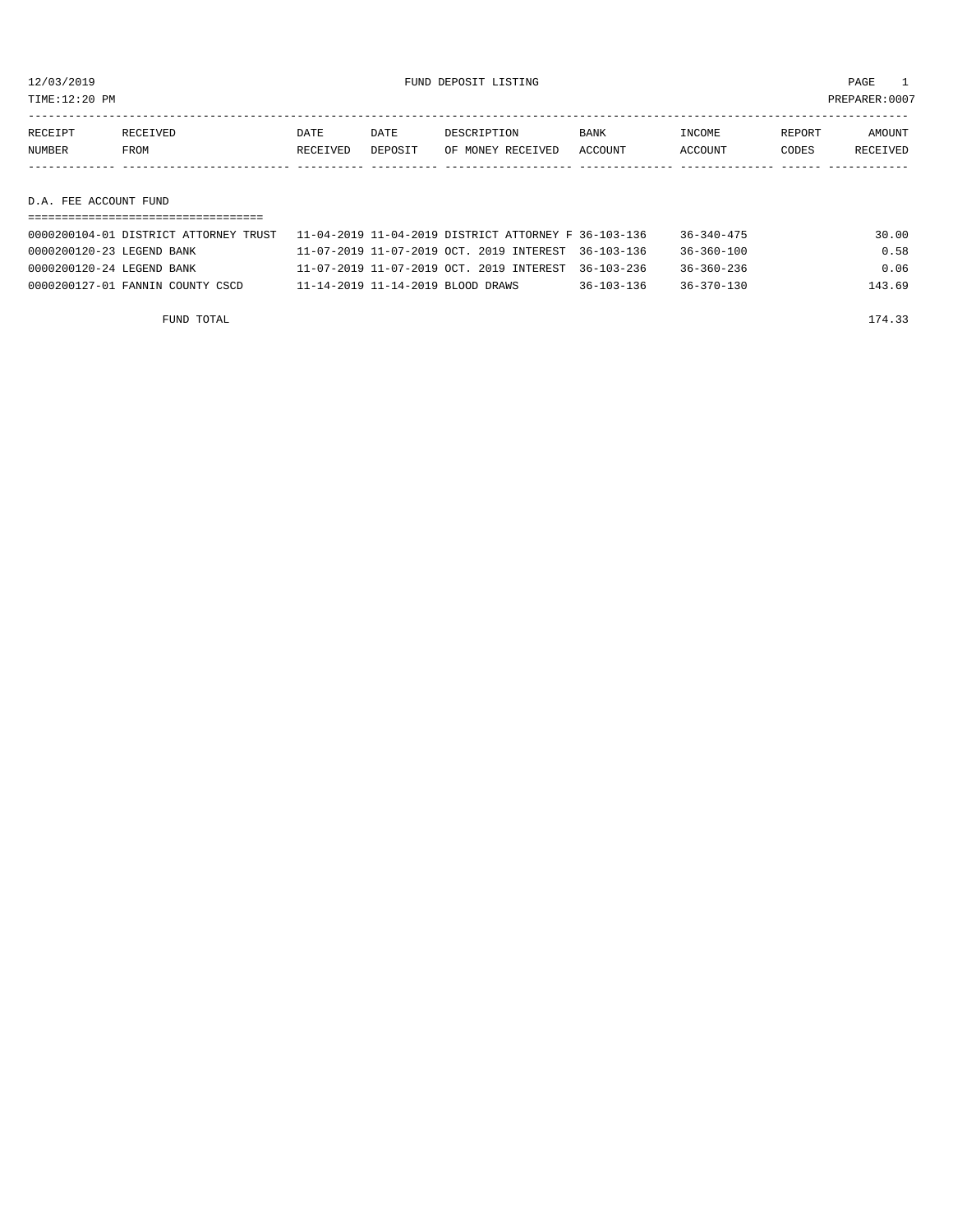TIME:12:20 PM PREPARER:0007

| RECEIPT | <b>RECEIVED</b> | DATE     | DATE    | DESCRIPTION       | <b>BANK</b> | INCOME  | REPORT | <b>AMOUNT</b> |
|---------|-----------------|----------|---------|-------------------|-------------|---------|--------|---------------|
| NUMBER  | FROM            | RECEIVED | DEPOSIT | OF MONEY RECEIVED | ACCOUNT     | ACCOUNT | CODES  | RECEIVED      |
|         |                 |          |         |                   |             |         |        |               |
|         |                 |          |         |                   |             |         |        |               |

# D.A. FEE ACCOUNT FUND

|                                  | 0000200104-01 DISTRICT ATTORNEY TRUST                11-04-2019 11-04-2019 DISTRICT ATTORNEY F 36-103-136 |                  | $36 - 340 - 475$ | 30.00  |
|----------------------------------|-----------------------------------------------------------------------------------------------------------|------------------|------------------|--------|
| 0000200120-23 LEGEND BANK        | 11-07-2019 11-07-2019 OCT. 2019 INTEREST 36-103-136                                                       |                  | $36 - 360 - 100$ | 0.58   |
| 0000200120-24 LEGEND BANK        | 11-07-2019 11-07-2019 OCT. 2019 INTEREST 36-103-236                                                       |                  | $36 - 360 - 236$ | 0.06   |
| 0000200127-01 FANNIN COUNTY CSCD | 11-14-2019 11-14-2019 BLOOD DRAWS                                                                         | $36 - 103 - 136$ | $36 - 370 - 130$ | 143.69 |

FUND TOTAL 23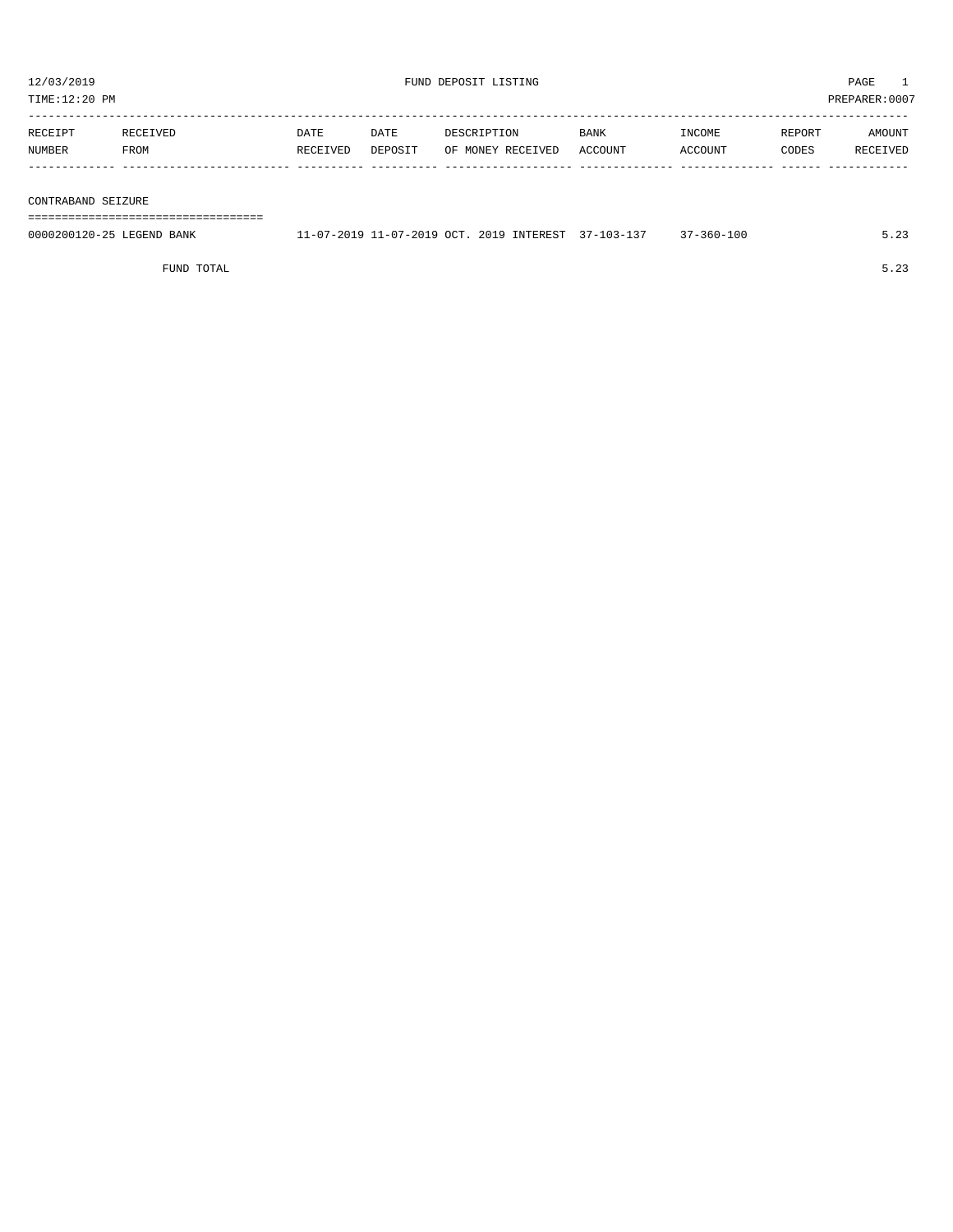| TIME:12:20 PM            |                  |                  |                 |                                  |                 |                   | PREPARER:0007   |                    |
|--------------------------|------------------|------------------|-----------------|----------------------------------|-----------------|-------------------|-----------------|--------------------|
| RECEIPT<br><b>NUMBER</b> | RECEIVED<br>FROM | DATE<br>RECEIVED | DATE<br>DEPOSIT | DESCRIPTION<br>OF MONEY RECEIVED | BANK<br>ACCOUNT | INCOME<br>ACCOUNT | REPORT<br>CODES | AMOUNT<br>RECEIVED |
|                          |                  |                  |                 |                                  |                 |                   |                 |                    |
| CONTRABAND SEIZURE       |                  |                  |                 |                                  |                 |                   |                 |                    |

===================================

| 0000200120-25<br><sup>T</sup> EGEND L<br>BANK | 7.0019.00T<br>. – 07 – 201 | 2019<br>INTEREST | $\sim$ | $-360 - 100$ | $\sim$ |
|-----------------------------------------------|----------------------------|------------------|--------|--------------|--------|
|                                               |                            |                  |        |              |        |

FUND TOTAL 5.23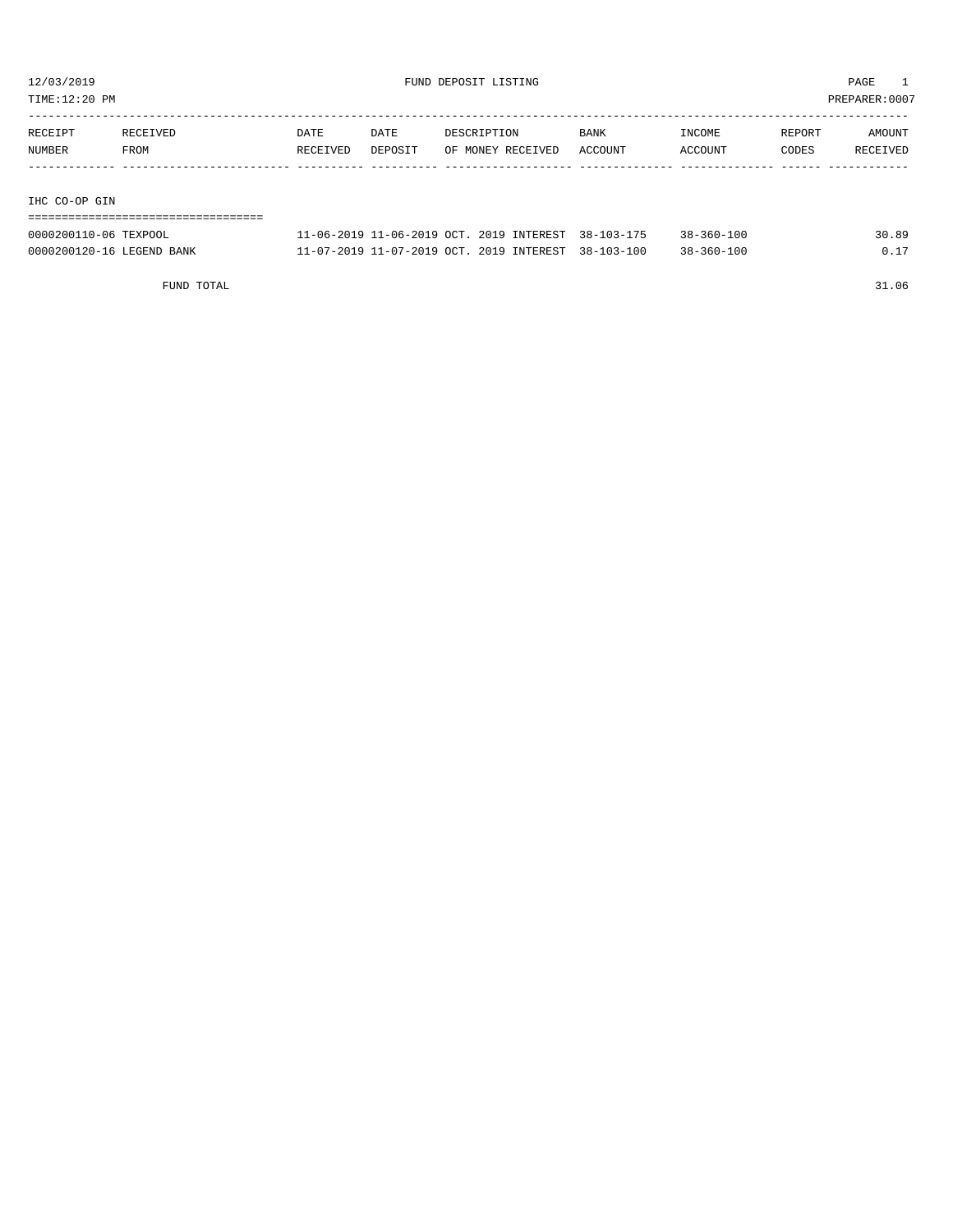TIME:12:20 PM PREPARER:0007

| RECEIPT       | RECEIVED | DATE     | DATE    | DESCRIPTION       | <b>BANK</b> | INCOME  | REPORT | AMOUNT   |
|---------------|----------|----------|---------|-------------------|-------------|---------|--------|----------|
| <b>NUMBER</b> | FROM     | RECEIVED | DEPOSIT | OF MONEY RECEIVED | ACCOUNT     | ACCOUNT | CODES  | RECEIVED |
|               |          |          |         |                   |             |         |        |          |
|               |          |          |         |                   |             |         |        |          |

#### IHC CO-OP GIN

| 0000200110-06 TEXPOOL     | 11-06-2019 11-06-2019 OCT, 2019 INTEREST, 38-103-175 |  | 38-360-100       | 30.89 |
|---------------------------|------------------------------------------------------|--|------------------|-------|
| 0000200120-16 LEGEND BANK | 11-07-2019 11-07-2019 OCT, 2019 INTEREST, 38-103-100 |  | $38 - 360 - 100$ | 0 1 7 |

FUND TOTAL 31.06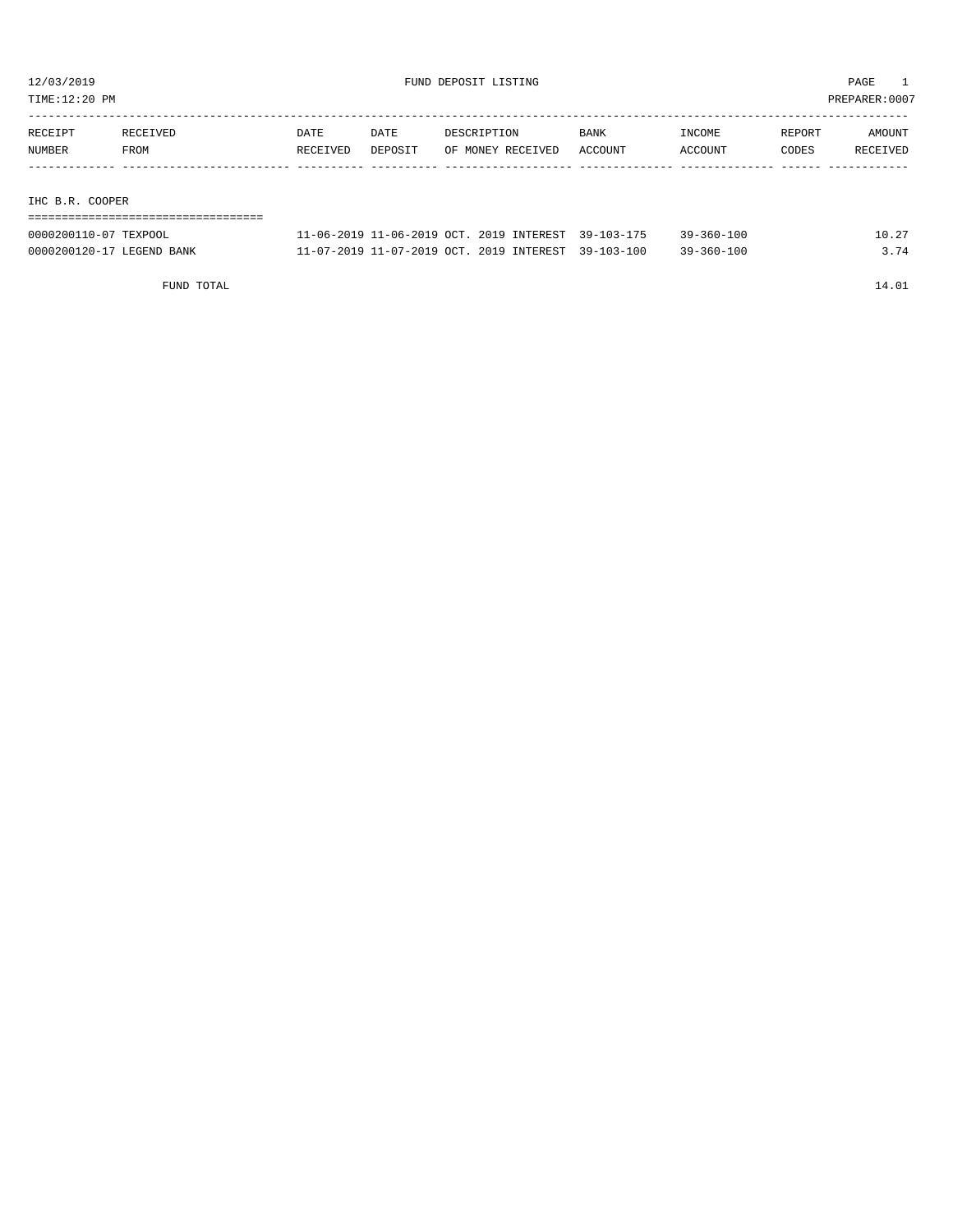TIME:12:20 PM PREPARER:0007

| RECEIPT       | RECEIVED | DATE     | DATE    | DESCRIPTION       | <b>BANK</b> | INCOME  | REPORT | AMOUNT   |
|---------------|----------|----------|---------|-------------------|-------------|---------|--------|----------|
| NUMBER        | FROM     | RECEIVED | DEPOSIT | OF MONEY RECEIVED | ACCOUNT     | ACCOUNT | CODES  | RECEIVED |
|               |          |          |         |                   |             |         |        |          |
|               |          |          |         |                   |             |         |        |          |
| THA B B ACOBB |          |          |         |                   |             |         |        |          |

IHC B.R. COOPER

| 0000200110-07 TEXPOOL     | 11-06-2019 11-06-2019 OCT, 2019 INTEREST 39-103-175 |  | $39 - 360 - 100$ | 10.27 |
|---------------------------|-----------------------------------------------------|--|------------------|-------|
| 0000200120-17 LEGEND BANK | 11-07-2019 11-07-2019 OCT. 2019 INTEREST 39-103-100 |  | 39-360-100       | 3.74  |

FUND TOTAL 14.01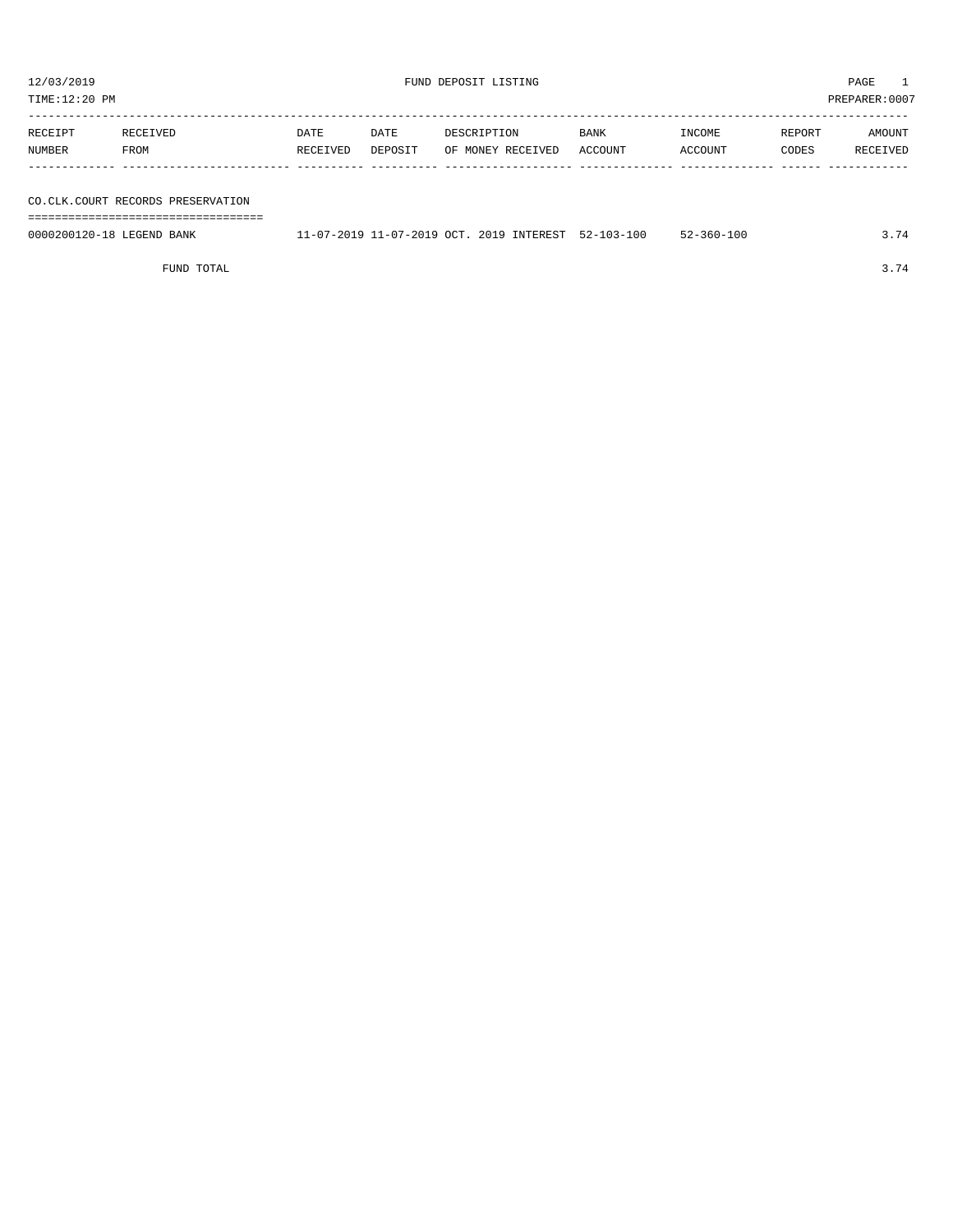| RECEIPT | RECEIVED | DATE     | DATE    | DESCRIPTION       | <b>BANK</b> | INCOME  | REPORT | AMOUNT   |
|---------|----------|----------|---------|-------------------|-------------|---------|--------|----------|
| NUMBER  | FROM     | RECEIVED | DEPOSIT | OF MONEY RECEIVED | ACCOUNT     | ACCOUNT | CODES  | RECEIVED |
|         |          |          |         |                   |             |         |        |          |

# CO.CLK.COURT RE

FUND TOTAL 3.74

| TIME:12:20 PM             |                                     |          |         |             |                                          |                  |                  |        | PREPARER:0007 |
|---------------------------|-------------------------------------|----------|---------|-------------|------------------------------------------|------------------|------------------|--------|---------------|
|                           |                                     |          |         |             |                                          |                  |                  |        |               |
| RECEIPT                   | RECEIVED                            | DATE     | DATE    | DESCRIPTION |                                          | <b>BANK</b>      | INCOME           | REPORT | AMOUNT        |
| NUMBER                    | FROM                                | RECEIVED | DEPOSIT |             | OF MONEY RECEIVED                        | ACCOUNT          | ACCOUNT          | CODES  | RECEIVED      |
|                           |                                     |          |         |             |                                          |                  |                  |        |               |
|                           |                                     |          |         |             |                                          |                  |                  |        |               |
|                           | CO. CLK. COURT RECORDS PRESERVATION |          |         |             |                                          |                  |                  |        |               |
|                           | ---------------------------         |          |         |             |                                          |                  |                  |        |               |
| 0000200120-18 LEGEND BANK |                                     |          |         |             | 11-07-2019 11-07-2019 OCT. 2019 INTEREST | $52 - 103 - 100$ | $52 - 360 - 100$ |        | 3.74          |
|                           |                                     |          |         |             |                                          |                  |                  |        |               |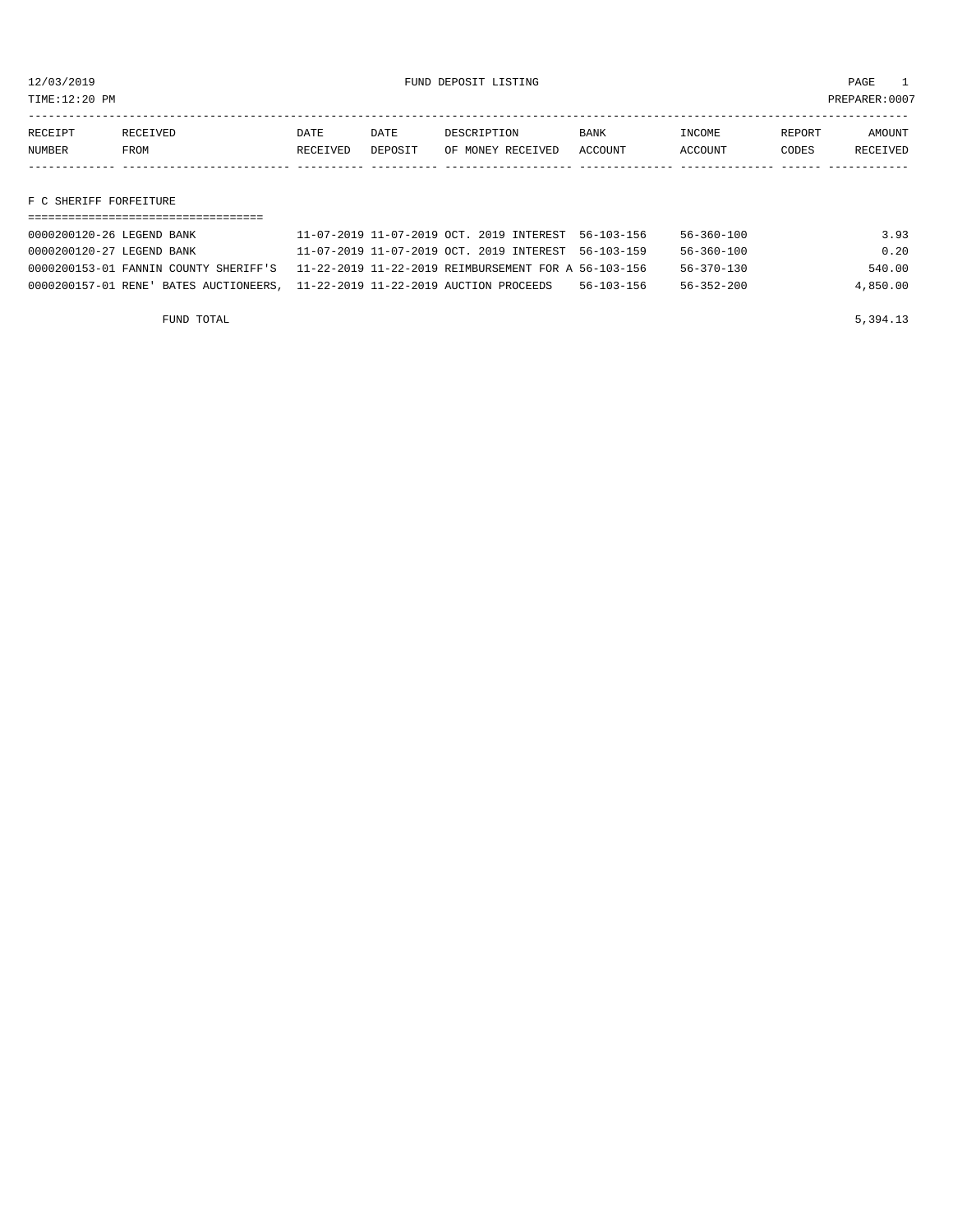TIME:12:20 PM PREPARER:0007

| RECEIPT | <b>RECEIVED</b> | DATE            | DATE    | DESCRIPTION       | <b>BANK</b> | <b>INCOME</b> | REPORT | <b>MOUNT</b>    |
|---------|-----------------|-----------------|---------|-------------------|-------------|---------------|--------|-----------------|
| NUMBER  | FROM            | <b>RECEIVED</b> | DEPOSIT | OF MONEY RECEIVED | ACCOUNT     | ACCOUNT       | CODES  | <b>RECEIVED</b> |
|         |                 |                 |         |                   |             |               |        |                 |

## F C SHERIFF FORFEITURE

| 0000200120-26 LEGEND BANK                                                     | 11-07-2019 11-07-2019 OCT. 2019 INTEREST 56-103-156                                        |                  | 56-360-100 | 3.93     |
|-------------------------------------------------------------------------------|--------------------------------------------------------------------------------------------|------------------|------------|----------|
| 0000200120-27 LEGEND BANK                                                     | 11-07-2019 11-07-2019 OCT. 2019 INTEREST 56-103-159                                        |                  | 56-360-100 | 0.20     |
|                                                                               | 0000200153-01 FANNIN COUNTY SHERIFF'S 11-22-2019 11-22-2019 REIMBURSEMENT FOR A 56-103-156 |                  | 56-370-130 | 540.00   |
| 0000200157-01 RENE' BATES AUCTIONEERS, 11-22-2019 11-22-2019 AUCTION PROCEEDS |                                                                                            | $56 - 103 - 156$ | 56-352-200 | 4,850.00 |

FUND TOTAL  $5,394.13$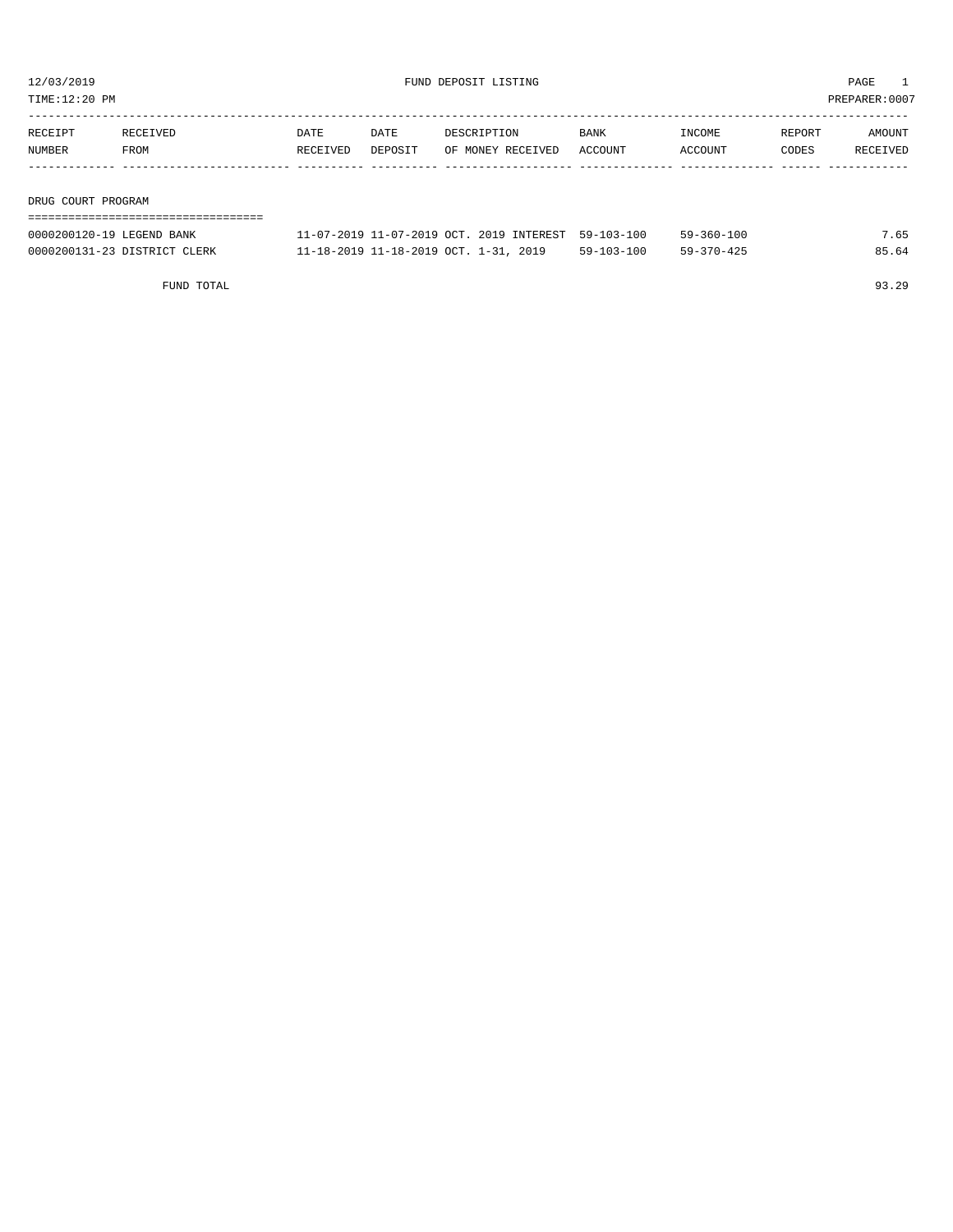TIME:12:20 PM PREPARER:0007

| RECEIPT            | RECEIVED | <b>DATE</b> | DATE    | DESCRIPTION       | <b>BANK</b> | INCOME         | REPORT | AMOUNT   |
|--------------------|----------|-------------|---------|-------------------|-------------|----------------|--------|----------|
| NUMBER             | FROM     | RECEIVED    | DEPOSIT | OF MONEY RECEIVED | ACCOUNT     | <b>ACCOUNT</b> | CODES  | RECEIVED |
|                    |          |             |         |                   |             |                |        |          |
|                    |          |             |         |                   |             |                |        |          |
| DRUG COURT PROGRAM |          |             |         |                   |             |                |        |          |

| 0000200120-19 LEGEND BANK    | 11-07-2019 11-07-2019 OCT. 2019 INTEREST 59-103-100 |            | $59 - 360 - 100$ | 7.65  |
|------------------------------|-----------------------------------------------------|------------|------------------|-------|
| 0000200131-23 DISTRICT CLERK | 11-18-2019 11-18-2019 OCT. 1-31, 2019               | 59-103-100 | 59-370-425       | 85.64 |

FUND TOTAL 93.29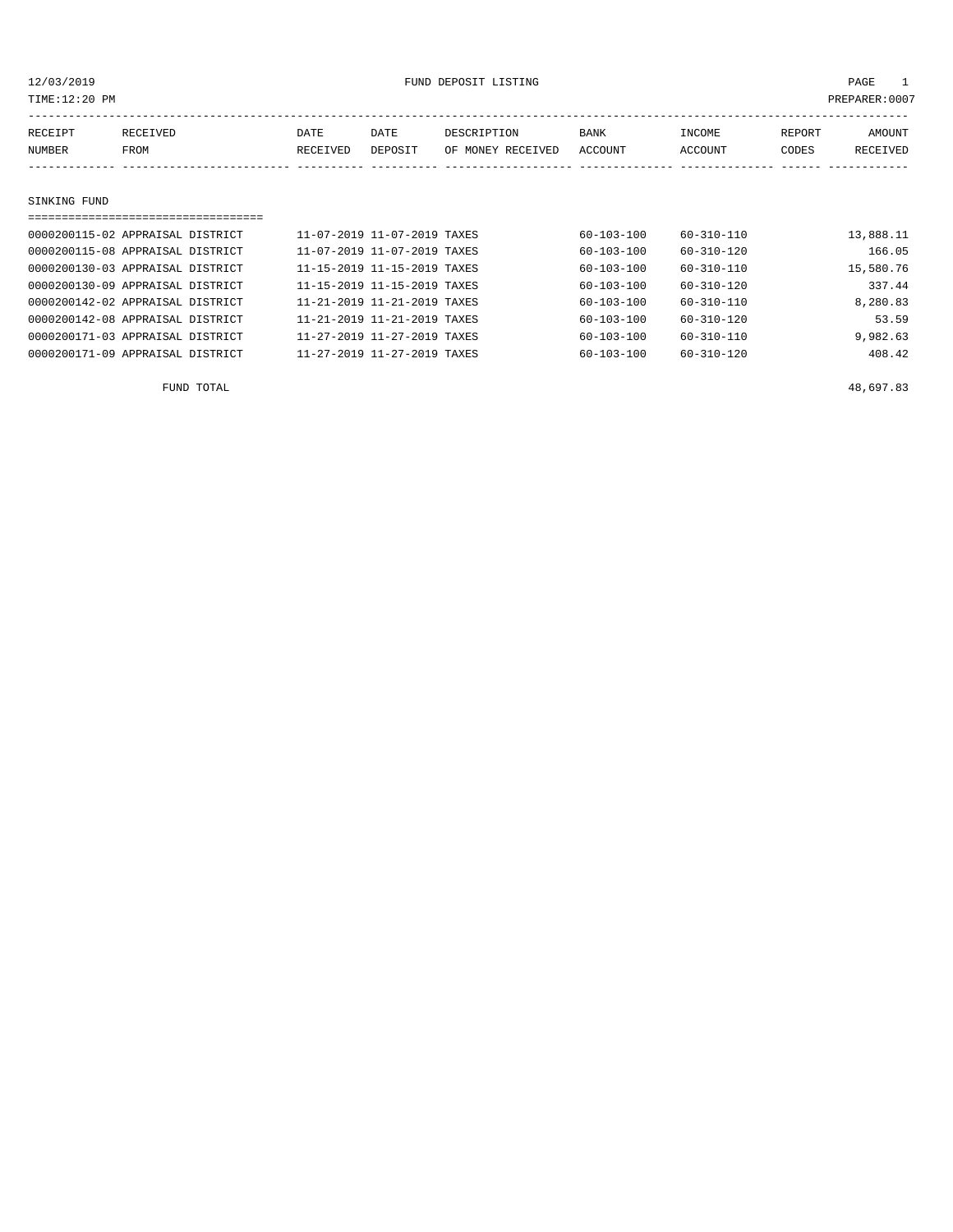| TIME: 12:20 PM<br>PREPARER: 0007 |                                  |          |                             |                   |                  |                  |        |           |  |
|----------------------------------|----------------------------------|----------|-----------------------------|-------------------|------------------|------------------|--------|-----------|--|
| RECEIPT                          | RECEIVED                         | DATE     | DATE                        | DESCRIPTION       | <b>BANK</b>      | INCOME           | REPORT | AMOUNT    |  |
| NUMBER                           | FROM                             | RECEIVED | DEPOSIT                     | OF MONEY RECEIVED | ACCOUNT          | ACCOUNT          | CODES  | RECEIVED  |  |
|                                  |                                  |          |                             |                   |                  |                  |        |           |  |
| SINKING FUND                     |                                  |          |                             |                   |                  |                  |        |           |  |
|                                  |                                  |          |                             |                   |                  |                  |        |           |  |
|                                  | 0000200115-02 APPRAISAL DISTRICT |          | 11-07-2019 11-07-2019 TAXES |                   | 60-103-100       | 60-310-110       |        | 13,888.11 |  |
|                                  | 0000200115-08 APPRAISAL DISTRICT |          | 11-07-2019 11-07-2019 TAXES |                   | $60 - 103 - 100$ | $60 - 310 - 120$ |        | 166.05    |  |
|                                  | 0000200130-03 APPRAISAL DISTRICT |          | 11-15-2019 11-15-2019 TAXES |                   | 60-103-100       | 60-310-110       |        | 15,580.76 |  |
|                                  | 0000200130-09 APPRAISAL DISTRICT |          | 11-15-2019 11-15-2019 TAXES |                   | 60-103-100       | 60-310-120       |        | 337.44    |  |
|                                  | 0000200142-02 APPRAISAL DISTRICT |          | 11-21-2019 11-21-2019 TAXES |                   | 60-103-100       | $60 - 310 - 110$ |        | 8,280.83  |  |
|                                  | 0000200142-08 APPRAISAL DISTRICT |          | 11-21-2019 11-21-2019 TAXES |                   | $60 - 103 - 100$ | $60 - 310 - 120$ |        | 53.59     |  |

0000200171-03 APPRAISAL DISTRICT 11-27-2019 11-27-2019 TAXES 60-103-100 60-310-110 9,982.63 0000200171-09 APPRAISAL DISTRICT 11-27-2019 11-27-2019 TAXES 60-103-100 60-310-120 408.42

FUND TOTAL  $^{48}$ , 697.83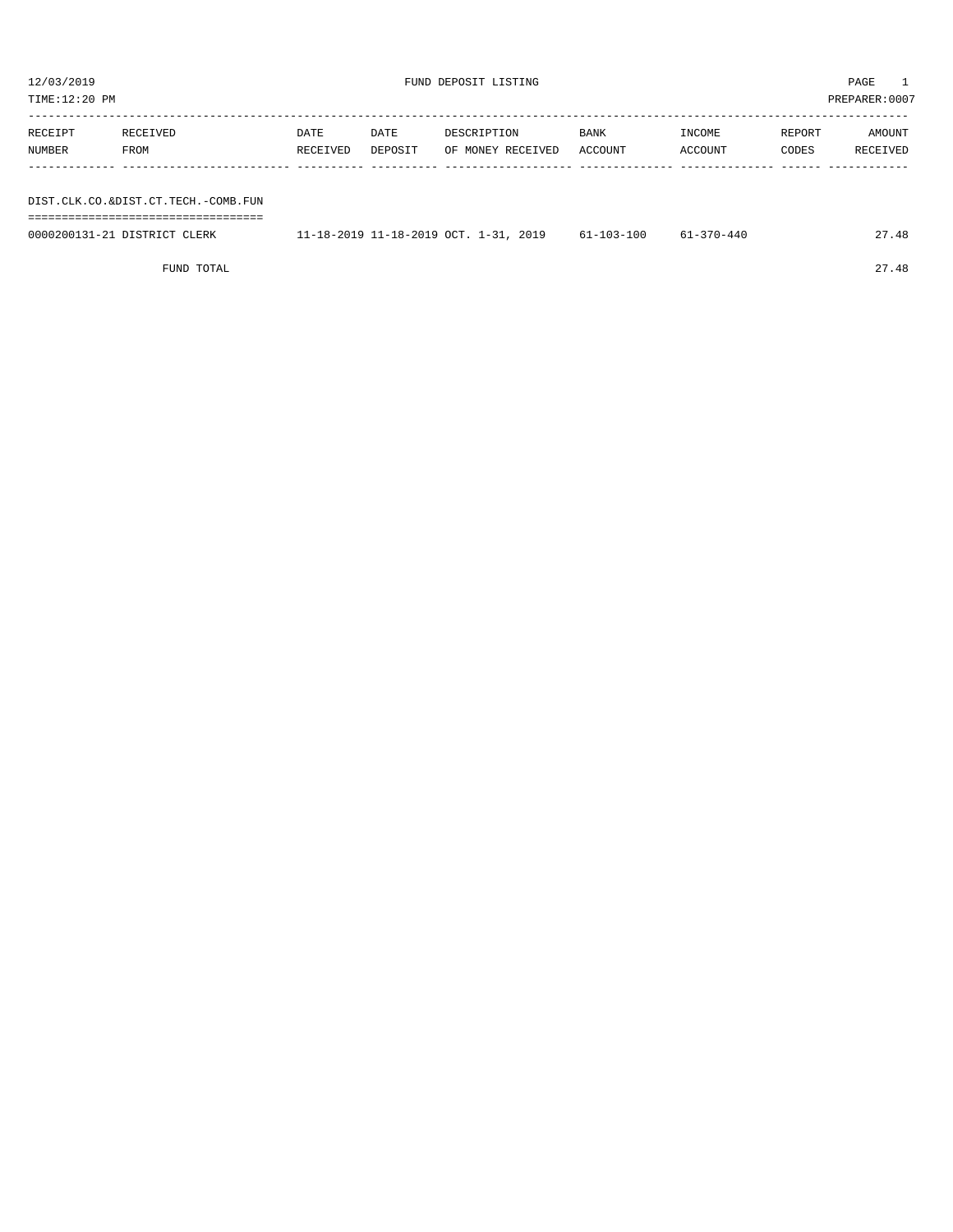TIME:12:20 PM PREPARER:0007 ----------------------------------------------------------------------------------------------------------------------------------- RECEIPT RECEIVED DATE DATE DESCRIPTION BANK INCOME REPORT AMOUNT NUMBER FROM RECEIVED DEPOSIT OF MONEY RECEIVED ACCOUNT ACCOUNT CODES RECEIVED ------------- ------------------------- ---------- ---------- ------------------- -------------- -------------- ------ ------------ DIST.CLK.CO.&DIST.CT.TECH.-COMB.FUN ===================================

| 0000200131-21<br>1 DISTRICT CLERK | 2019<br>$-18-2019$ 11-18-2019 OCT. | 51-103-100 | $-370 - 440$ | $\Lambda$ $\Omega$<br>$\sim$ $\sim$ |
|-----------------------------------|------------------------------------|------------|--------------|-------------------------------------|
|                                   |                                    |            |              |                                     |

FUND TOTAL 27.48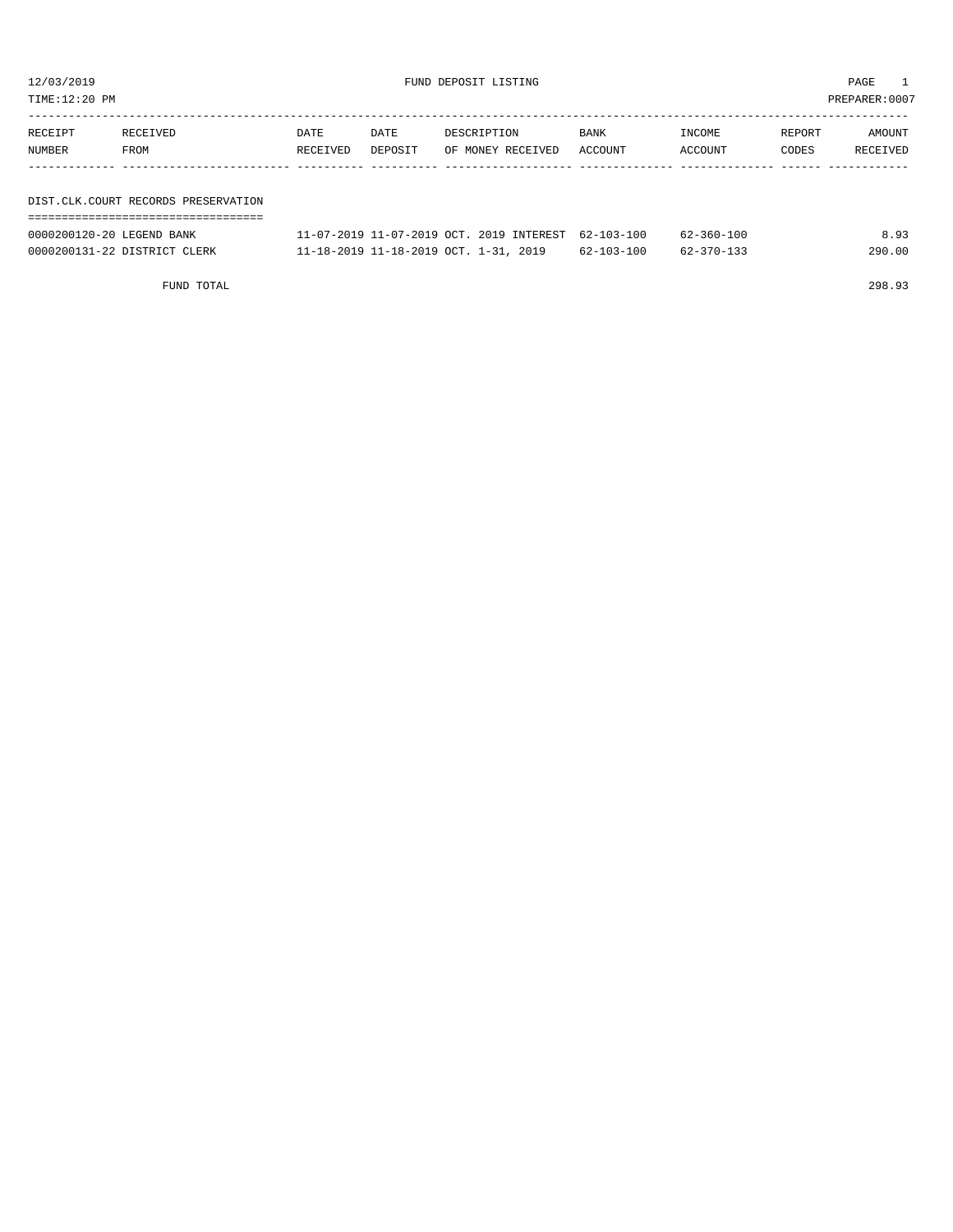| TIME:12:20 PM |                                     |          |         |                                                    |             |                                    |        | PREPARER:0007 |
|---------------|-------------------------------------|----------|---------|----------------------------------------------------|-------------|------------------------------------|--------|---------------|
| RECEIPT       | RECEIVED                            | DATE     | DATE    | DESCRIPTION                                        | <b>BANK</b> | INCOME                             | REPORT | AMOUNT        |
| NUMBER        | FROM                                | RECEIVED | DEPOSIT | OF MONEY RECEIVED                                  | ACCOUNT     | ACCOUNT                            | CODES  | RECEIVED      |
|               |                                     |          |         |                                                    |             |                                    |        |               |
|               |                                     |          |         |                                                    |             |                                    |        |               |
|               | DIST.CLK.COURT RECORDS PRESERVATION |          |         |                                                    |             |                                    |        |               |
|               |                                     |          |         |                                                    |             |                                    |        |               |
|               |                                     |          |         | 11 07 0010 11 07 0010 00m 0010 THERREAD CO 100 100 |             | $\sim$ $\sim$ $\sim$ $\sim$ $\sim$ |        | 0.02          |

| 0000200120-20 LEGEND BANK    | 11-07-2019 11-07-2019 OCT. 2019 INTEREST 62-103-100 |                  | $62 - 360 - 100$ | 8.93   |
|------------------------------|-----------------------------------------------------|------------------|------------------|--------|
| 0000200131-22 DISTRICT CLERK | 11-18-2019 11-18-2019 OCT. 1-31, 2019               | $62 - 103 - 100$ | $62 - 370 - 133$ | 290.00 |

FUND TOTAL 298.93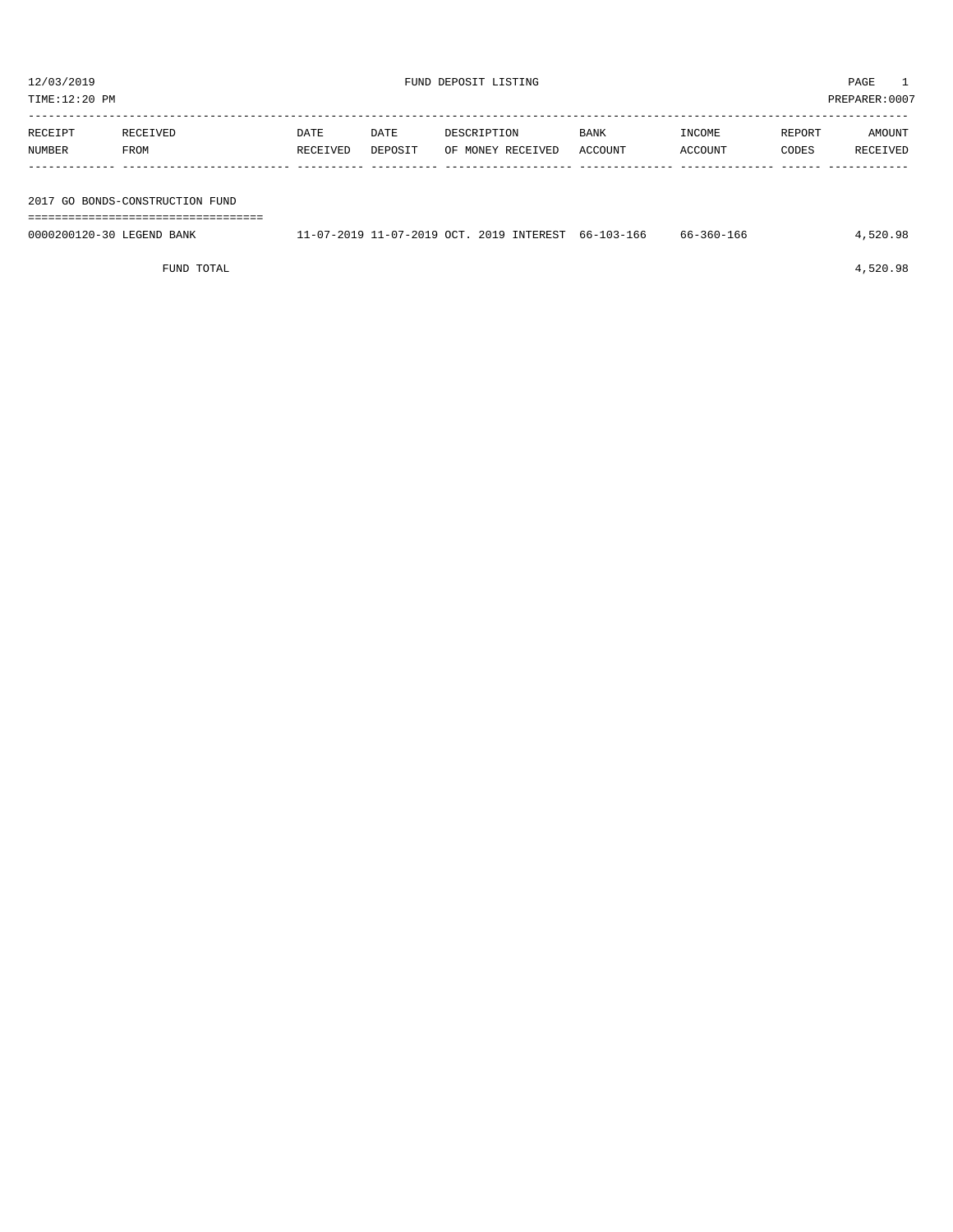| TIME:12:20 PM             |                                 |                  |                 |                                                     |                 |                   |                 | PREPARER:0007      |
|---------------------------|---------------------------------|------------------|-----------------|-----------------------------------------------------|-----------------|-------------------|-----------------|--------------------|
| RECEIPT<br>NUMBER         | RECEIVED<br>FROM                | DATE<br>RECEIVED | DATE<br>DEPOSIT | DESCRIPTION<br>OF MONEY RECEIVED                    | BANK<br>ACCOUNT | INCOME<br>ACCOUNT | REPORT<br>CODES | AMOUNT<br>RECEIVED |
|                           | 2017 GO BONDS-CONSTRUCTION FUND |                  |                 |                                                     |                 |                   |                 |                    |
| 0000200120-30 LEGEND BANK |                                 |                  |                 | 11-07-2019 11-07-2019 OCT. 2019 INTEREST 66-103-166 |                 | 66-360-166        |                 | 4,520.98           |

FUND TOTAL 4,520.98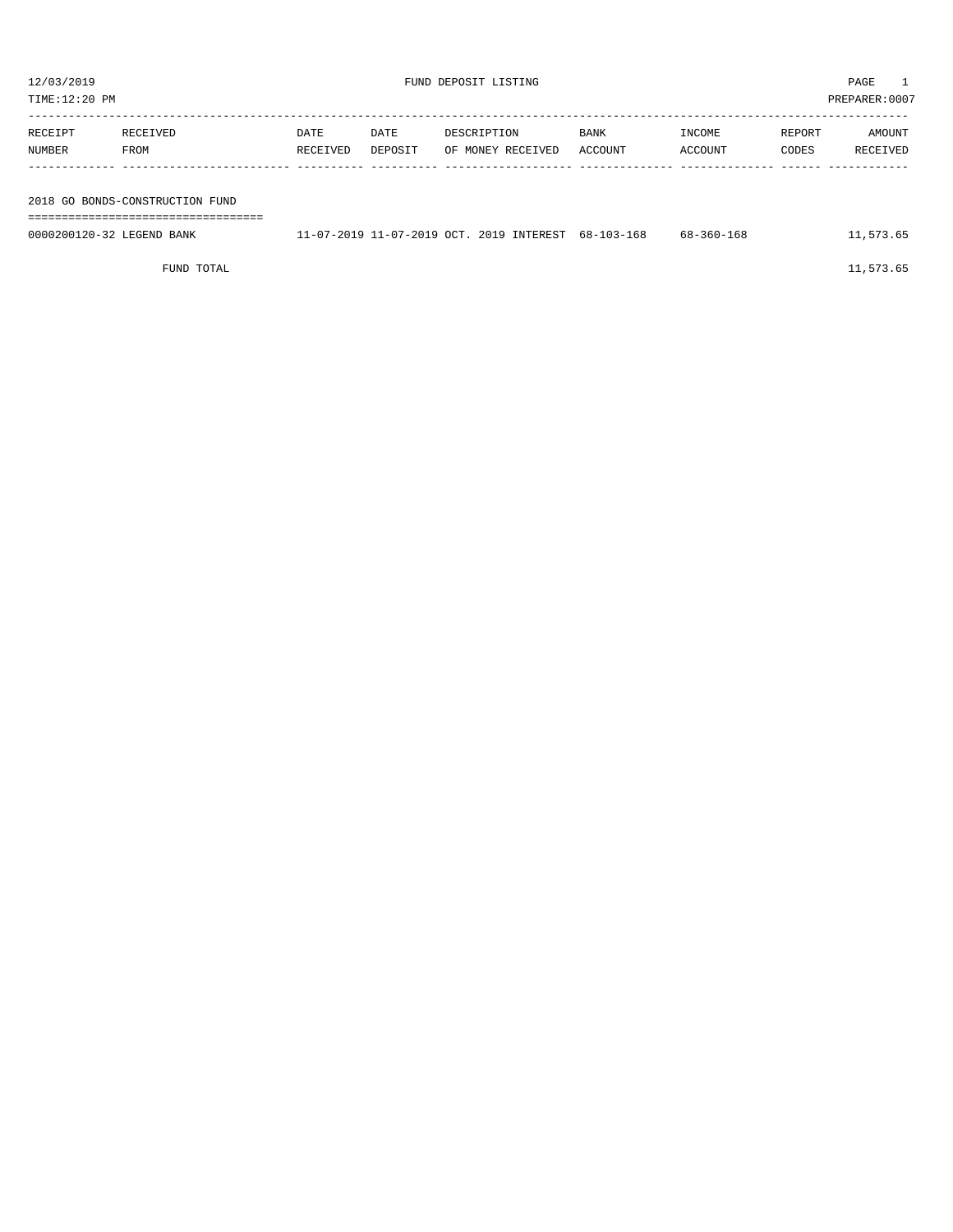| TIME:12:20 PM |                           |                                   |          |         |                                          |            |            | PREPARER:0007 |           |
|---------------|---------------------------|-----------------------------------|----------|---------|------------------------------------------|------------|------------|---------------|-----------|
|               |                           |                                   |          |         |                                          |            |            |               |           |
|               | RECEIPT                   | RECEIVED                          | DATE     | DATE    | DESCRIPTION                              | BANK       | INCOME     | REPORT        | AMOUNT    |
|               | NUMBER                    | FROM                              | RECEIVED | DEPOSIT | OF MONEY RECEIVED                        | ACCOUNT    | ACCOUNT    | CODES         | RECEIVED  |
|               |                           |                                   |          |         |                                          |            |            |               |           |
|               |                           |                                   |          |         |                                          |            |            |               |           |
|               |                           | 2018 GO BONDS-CONSTRUCTION FUND   |          |         |                                          |            |            |               |           |
|               |                           | _________________________________ |          |         |                                          |            |            |               |           |
|               | 0000200120-32 LEGEND BANK |                                   |          |         | 11-07-2019 11-07-2019 OCT. 2019 INTEREST | 68-103-168 | 68-360-168 |               | 11,573.65 |
|               |                           |                                   |          |         |                                          |            |            |               |           |

FUND TOTAL  $11,573.65$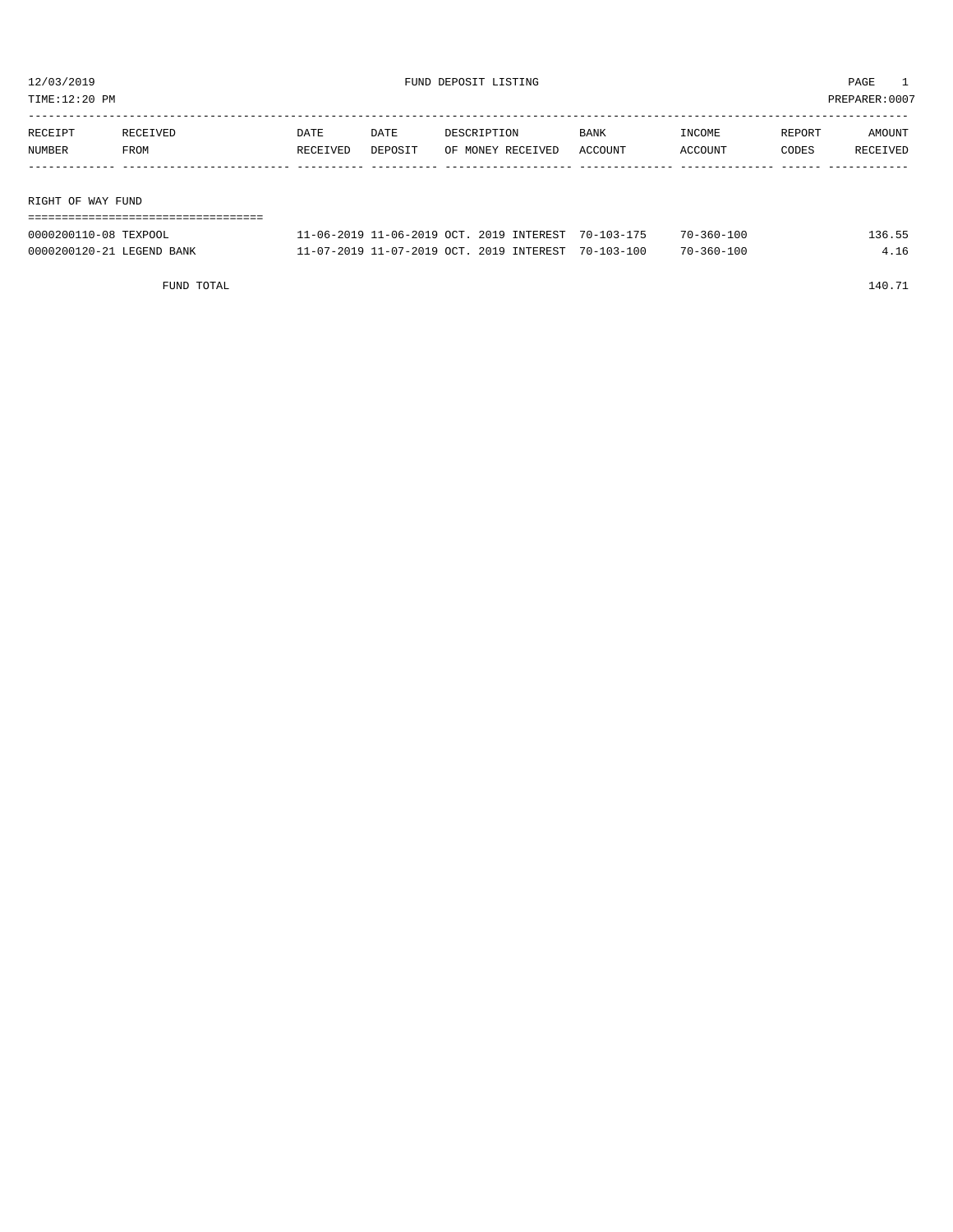TIME:12:20 PM PREPARER:0007

| RECEIPT | RECEIVED          | DATE     | DATE    | DESCRIPTION       | <b>BANK</b> | INCOME  | REPORT | AMOUNT   |  |  |  |
|---------|-------------------|----------|---------|-------------------|-------------|---------|--------|----------|--|--|--|
| NUMBER  | FROM              | RECEIVED | DEPOSIT | OF MONEY RECEIVED | ACCOUNT     | ACCOUNT | CODES  | RECEIVED |  |  |  |
|         |                   |          |         |                   |             |         |        |          |  |  |  |
|         |                   |          |         |                   |             |         |        |          |  |  |  |
|         | RIGHT OF WAY FUND |          |         |                   |             |         |        |          |  |  |  |
|         |                   |          |         |                   |             |         |        |          |  |  |  |

| 0000200110-08 TEXPOOL     | 11-06-2019 11-06-2019 OCT, 2019 INTEREST 70-103-175 | $70 - 360 - 100$ | L36.55 |
|---------------------------|-----------------------------------------------------|------------------|--------|
| 0000200120-21 LEGEND BANK | 11-07-2019 11-07-2019 OCT. 2019 INTEREST 70-103-100 | $70 - 360 - 100$ | 4.16   |

FUND TOTAL 140.71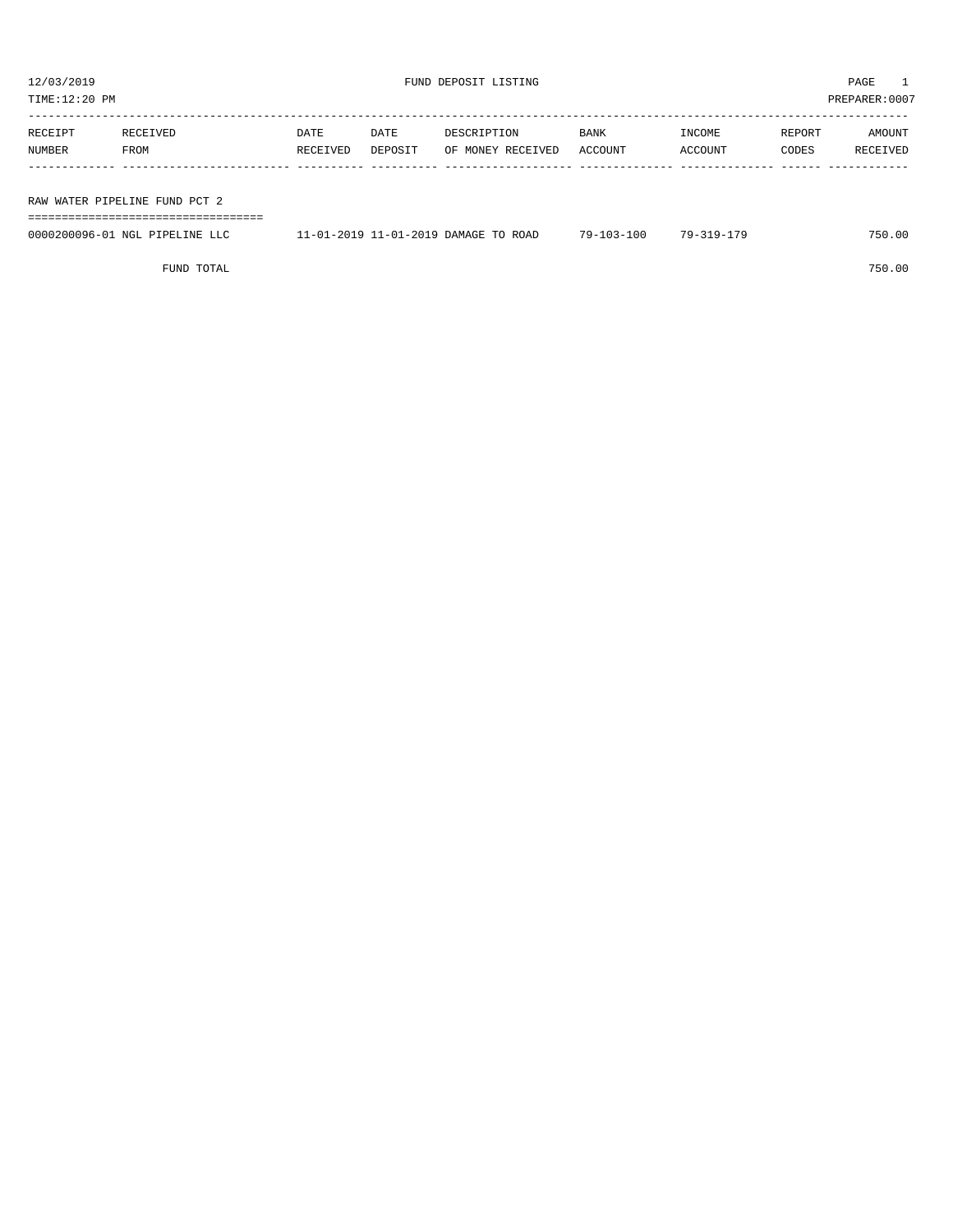TIME:12:20 PM PREPARER:0007

| RECEIPT | RECEIVED                      | DATE     | DATE    | DESCRIPTION       | BANK    | INCOME  | REPORT | AMOUNT   |  |  |  |
|---------|-------------------------------|----------|---------|-------------------|---------|---------|--------|----------|--|--|--|
| NUMBER  | FROM                          | RECEIVED | DEPOSIT | OF MONEY RECEIVED | ACCOUNT | ACCOUNT | CODES  | RECEIVED |  |  |  |
|         |                               |          |         |                   |         |         |        |          |  |  |  |
|         |                               |          |         |                   |         |         |        |          |  |  |  |
|         | RAW WATER PIPELINE FUND PCT 2 |          |         |                   |         |         |        |          |  |  |  |

===================================

| 0000200096-01<br>NGL.<br>PTPELINE | $1 - 2019$<br>ROAD<br>$1 - 01$<br>DAMAGE<br>-2019 | $13 - 100$<br>$79-$ | 70 –<br>1 Q _ | 750.00 |
|-----------------------------------|---------------------------------------------------|---------------------|---------------|--------|
|                                   |                                                   |                     |               |        |

FUND TOTAL 750.00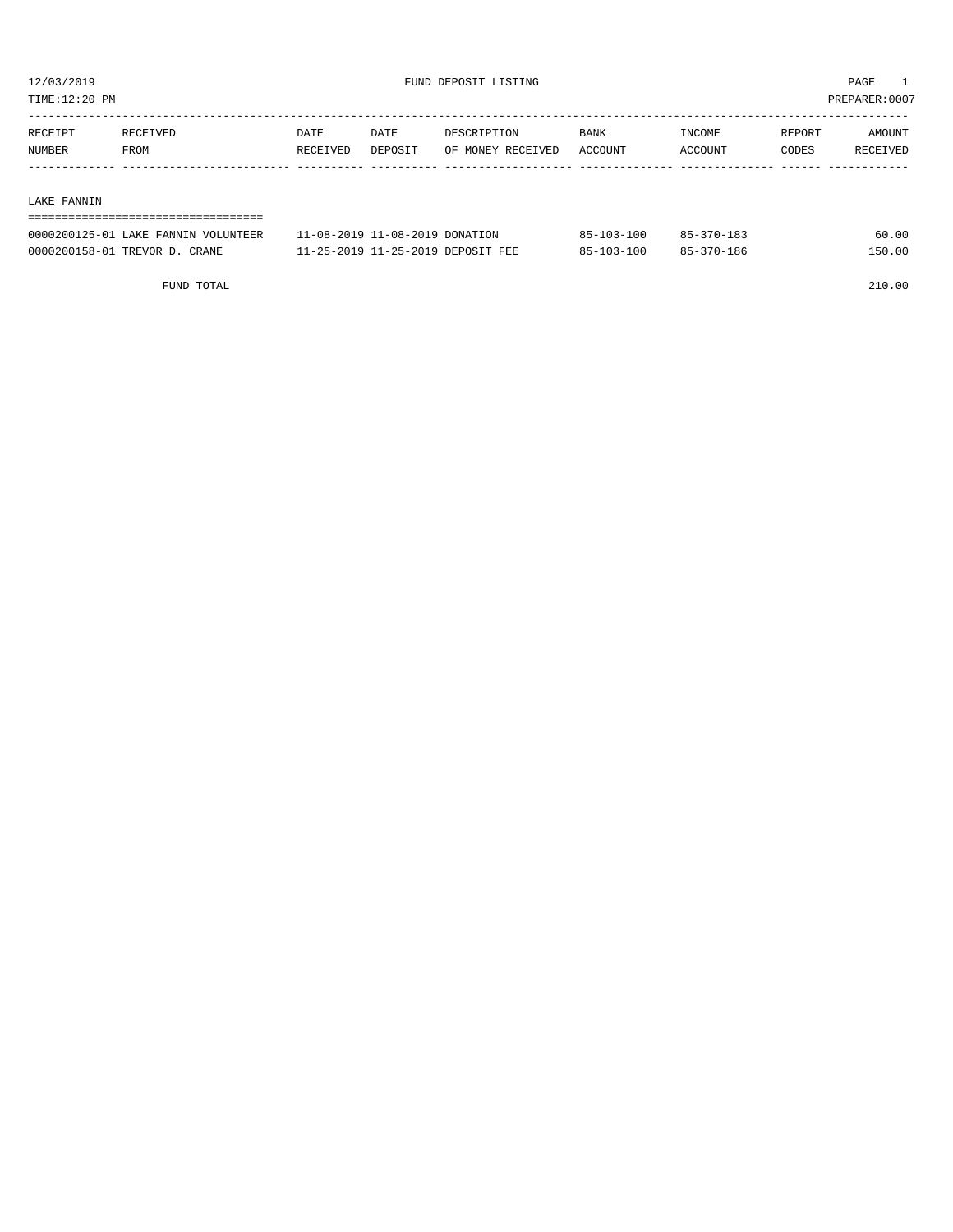TIME:12:20 PM PREPARER:0007

| RECEIPT | RECEIVED | DATE     | DATE    | DESCRIPTION       | <b>BANK</b> | INCOME  | REPORT | AMOUNT          |
|---------|----------|----------|---------|-------------------|-------------|---------|--------|-----------------|
| NUMBER  | FROM     | RECEIVED | DEPOSIT | OF MONEY RECEIVED | ACCOUNT     | ACCOUNT | CODES  | <b>RECEIVED</b> |
|         |          |          |         |                   |             |         |        |                 |

#### LAKE FANNIN

| ----------------------------------- |                                   |                  |            |        |  |  |
|-------------------------------------|-----------------------------------|------------------|------------|--------|--|--|
| 0000200125-01 LAKE FANNIN VOLUNTEER | 11-08-2019 11-08-2019 DONATION    | $85 - 103 - 100$ | 85-370-183 | 60.00  |  |  |
| 0000200158-01 TREVOR D. CRANE       | 11-25-2019 11-25-2019 DEPOSIT FEE | $85 - 103 - 100$ | 85-370-186 | 150.00 |  |  |

FUND TOTAL 210.00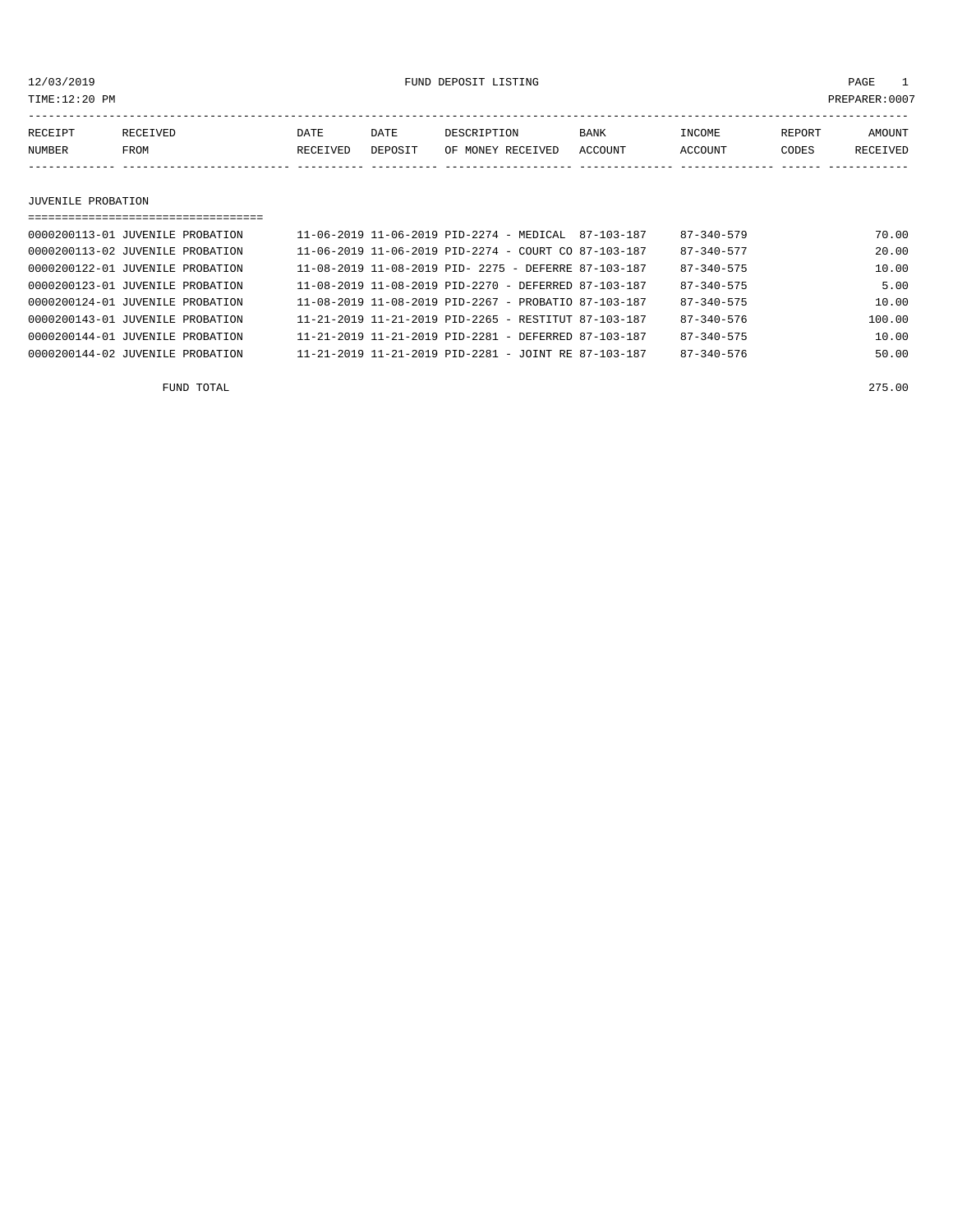12/03/2019 FUND DEPOSIT LISTING PAGE 1

| RECEIPT | RECEIVED | DATE     | DATE    | DESCRIPTION       | <b>BANK</b> | INCOME  | <b>REPORT</b> | AMOUNT          |
|---------|----------|----------|---------|-------------------|-------------|---------|---------------|-----------------|
| NUMBER  | FROM     | RECEIVED | DEPOSIT | OF MONEY RECEIVED | ACCOUNT     | ACCOUNT | CODES         | <b>RECEIVED</b> |
|         |          |          |         |                   |             |         |               |                 |

JUVENILE PROBATION

| ================================== |                                                                  |  |  |                  |        |
|------------------------------------|------------------------------------------------------------------|--|--|------------------|--------|
| 0000200113-01 JUVENILE PROBATION   | $11-06-2019$ $11-06-2019$ PID-2274 - MEDICAL 87-103-187          |  |  | $87 - 340 - 579$ | 70.00  |
| 0000200113-02 JUVENILE PROBATION   | $11 - 06 - 2019$ $11 - 06 - 2019$ PID-2274 - COURT CO 87-103-187 |  |  | $87 - 340 - 577$ | 20.00  |
| 0000200122-01 JUVENILE PROBATION   | $11-08-2019$ $11-08-2019$ PID- $2275$ - DEFERRE 87-103-187       |  |  | $87 - 340 - 575$ | 10.00  |
| 0000200123-01 JUVENILE PROBATION   | $11-08-2019$ $11-08-2019$ PID-2270 - DEFERRED 87-103-187         |  |  | $87 - 340 - 575$ | 5.00   |
| 0000200124-01 JUVENILE PROBATION   | 11-08-2019 11-08-2019 PID-2267 - PROBATIO 87-103-187             |  |  | $87 - 340 - 575$ | 10.00  |
| 0000200143-01 JUVENILE PROBATION   | 11-21-2019 11-21-2019 PID-2265 - RESTITUT 87-103-187             |  |  | $87 - 340 - 576$ | 100.00 |
| 0000200144-01 JUVENILE PROBATION   | $11 - 21 - 2019$ $11 - 21 - 2019$ PTD-2281 - DEFERRED 87-103-187 |  |  | $87 - 340 - 575$ | 10.00  |
| 0000200144-02 JUVENILE PROBATION   | $11 - 21 - 2019$ $11 - 21 - 2019$ PID-2281 - JOINT RE 87-103-187 |  |  | $87 - 340 - 576$ | 50.00  |

FUND TOTAL 275.00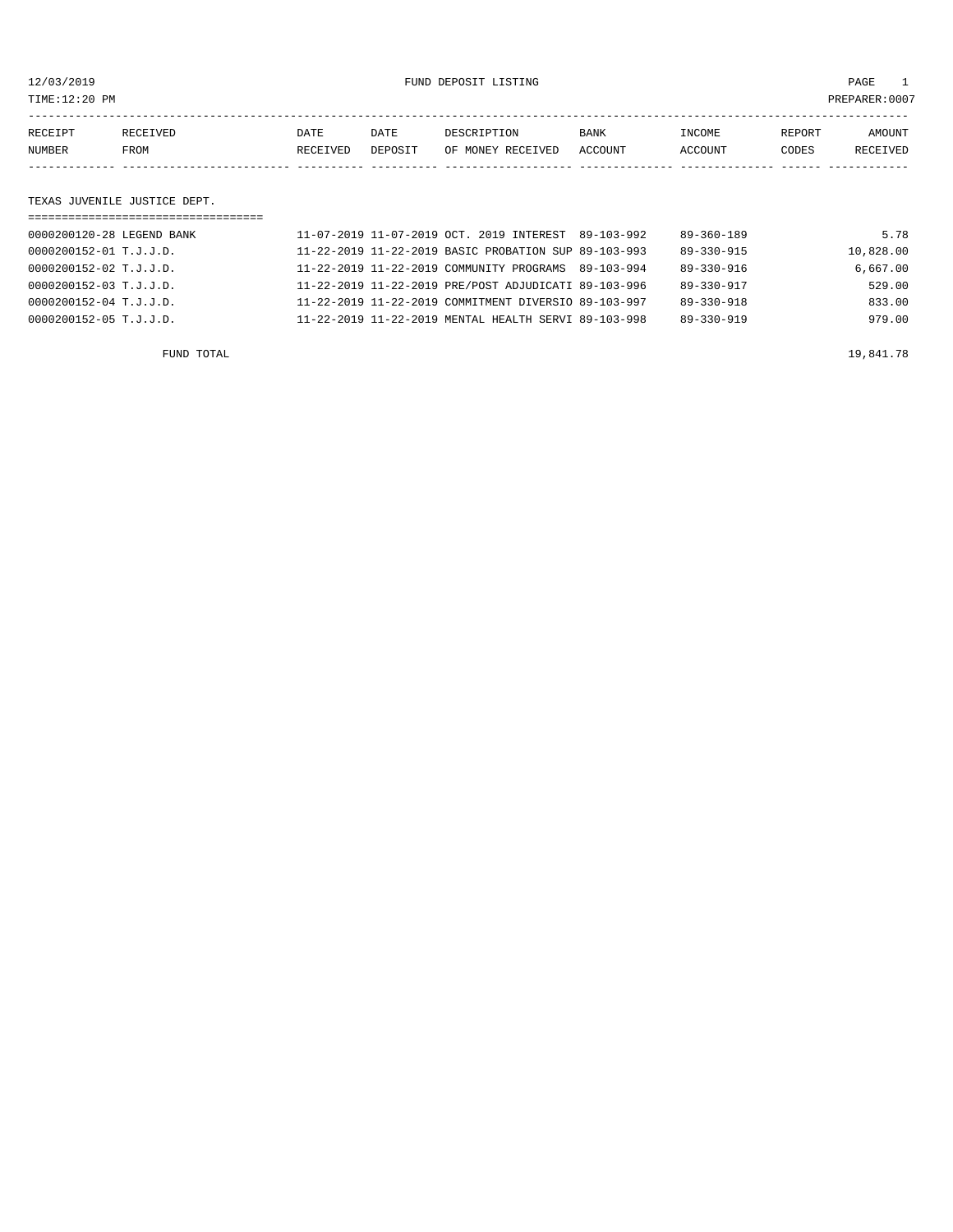12/03/2019 FUND DEPOSIT LISTING PAGE 1

| RECEIPT | RECEIVED | DATE     | DATE    | DESCRIPTION       | <b>BANK</b> | <b>TNCOME</b> | REPORT | AMOUNT   |
|---------|----------|----------|---------|-------------------|-------------|---------------|--------|----------|
| NUMBER  | FROM     | RECEIVED | DEPOSIT | OF MONEY RECEIVED | ACCOUNT     | ACCOUNT       | CODES  | RECEIVED |
|         |          |          |         |                   |             |               |        |          |

## TEXAS JUVENILE JUSTICE DEPT.

| ================================= |                                                      |                  |           |
|-----------------------------------|------------------------------------------------------|------------------|-----------|
| 0000200120-28 LEGEND BANK         | 11-07-2019 11-07-2019 OCT. 2019 INTEREST 89-103-992  | $89 - 360 - 189$ | 5.78      |
| 0000200152-01 T.J.J.D.            | 11-22-2019 11-22-2019 BASIC PROBATION SUP 89-103-993 | 89-330-915       | 10,828.00 |
| 0000200152-02 T.J.J.D.            | 11-22-2019 11-22-2019 COMMUNITY PROGRAMS 89-103-994  | $89 - 330 - 916$ | 6.667.00  |
| 0000200152-03 T.J.J.D.            | 11-22-2019 11-22-2019 PRE/POST ADJUDICATI 89-103-996 | $89 - 330 - 917$ | 529.00    |
| 0000200152-04 T.J.J.D.            | 11-22-2019 11-22-2019 COMMITMENT DIVERSIO 89-103-997 | $89 - 330 - 918$ | 833.00    |
| 0000200152-05 T.J.J.D.            | 11-22-2019 11-22-2019 MENTAL HEALTH SERVI 89-103-998 | $89 - 330 - 919$ | 979.00    |
|                                   |                                                      |                  |           |

FUND TOTAL  $19,841.78$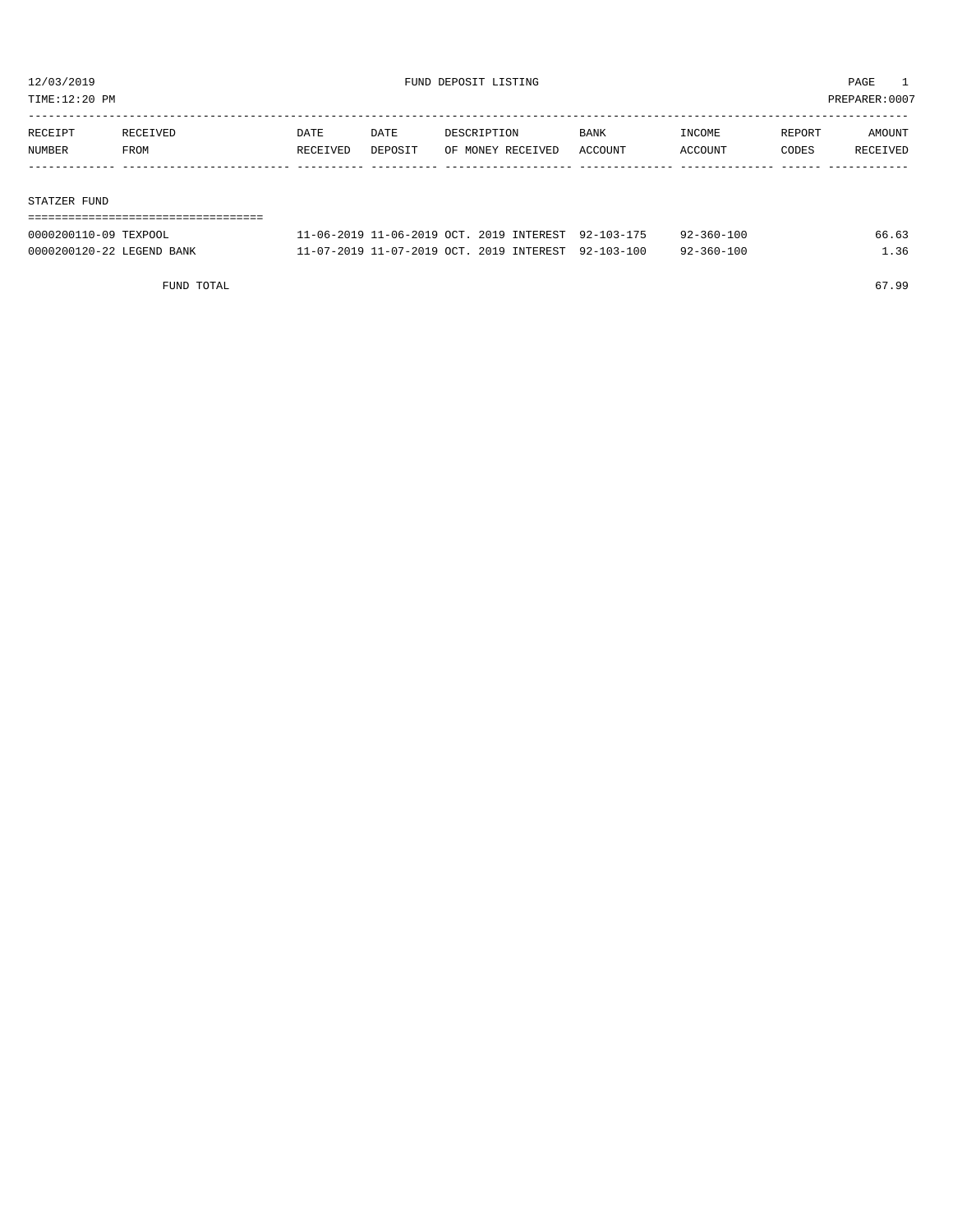TIME:12:20 PM PREPARER:0007

| RECEIPT | RECEIVED | <b>DATE</b> | DATE    | DESCRIPTION       | <b>BANK</b> | INCOME  | REPORT | AMOUNT   |
|---------|----------|-------------|---------|-------------------|-------------|---------|--------|----------|
| NUMBER  | FROM     | RECEIVED    | DEPOSIT | OF MONEY RECEIVED | ACCOUNT     | ACCOUNT | CODES  | RECEIVED |
|         |          |             |         |                   |             |         |        |          |
|         |          |             |         |                   |             |         |        |          |

#### STATZER FUND

| ================================= |                                                     |  |                  |       |
|-----------------------------------|-----------------------------------------------------|--|------------------|-------|
| 0000200110-09 TEXPOOL             | 11-06-2019 11-06-2019 OCT. 2019 INTEREST 92-103-175 |  | 92-360-100       | 66.63 |
| 0000200120-22 LEGEND BANK         | 11-07-2019 11-07-2019 OCT. 2019 INTEREST 92-103-100 |  | $92 - 360 - 100$ | 1.36  |

FUND TOTAL 67.99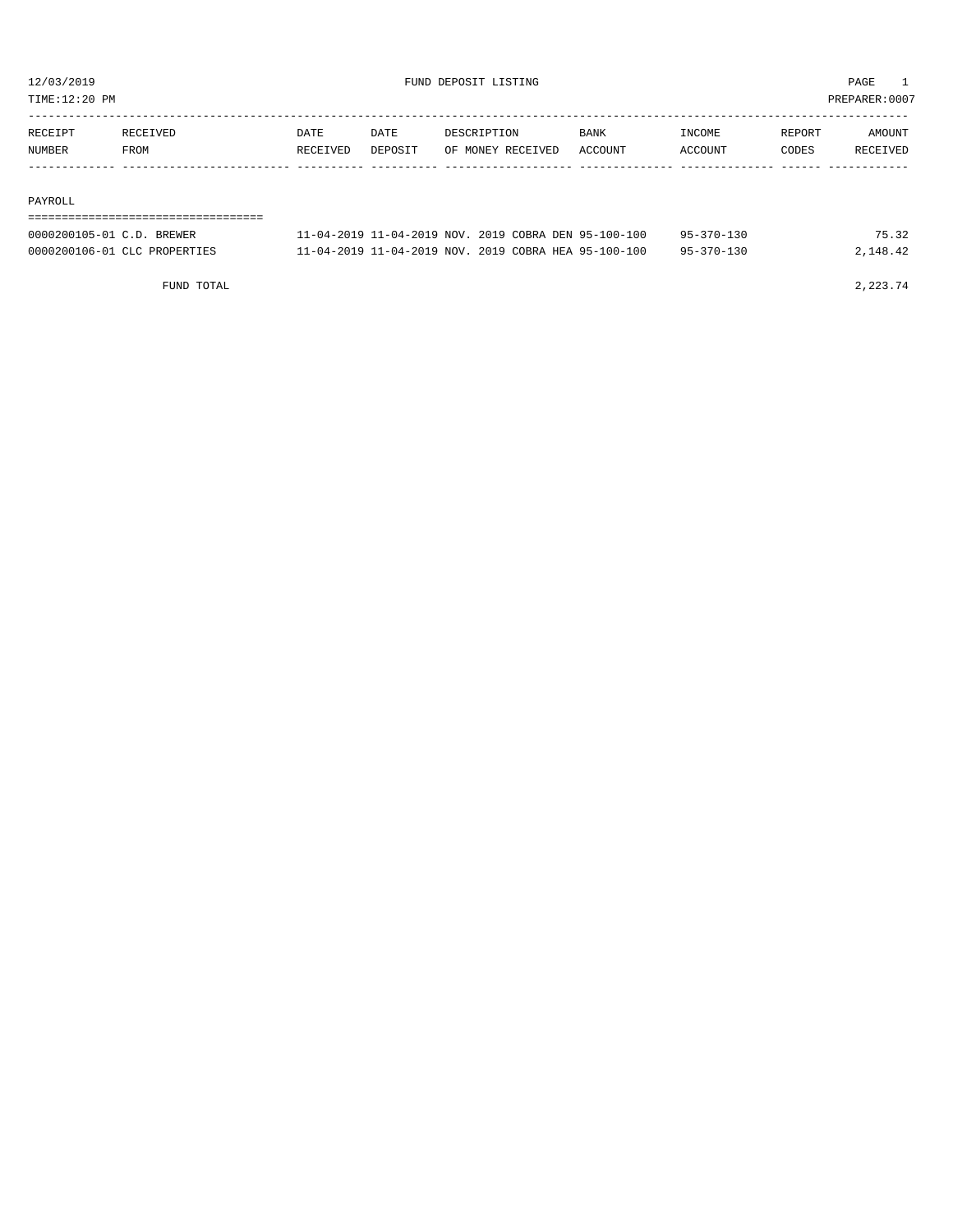TIME:12:20 PM PREPARER:0007

| RECEIPT | RECEIVED | DATE     | DATE           | DESCRIPTION       | <b>BANK</b> | INCOME  | REPORT | AMOUNT          |
|---------|----------|----------|----------------|-------------------|-------------|---------|--------|-----------------|
| NUMBER  | FROM     | RECEIVED | <b>DEPOSTT</b> | OF MONEY RECEIVED | ACCOUNT     | ACCOUNT | CODES  | <b>RECEIVED</b> |
|         |          |          |                |                   |             |         |        |                 |

#### PAYROLL

#### ===================================

| 0000200105-01 C.D. BREWER    | 11-04-2019 11-04-2019 NOV. 2019 COBRA DEN 95-100-100 |  | $95 - 370 - 130$ | 75.32    |
|------------------------------|------------------------------------------------------|--|------------------|----------|
| 0000200106-01 CLC PROPERTIES | 11-04-2019 11-04-2019 NOV. 2019 COBRA HEA 95-100-100 |  | $95 - 370 - 130$ | 2,148.42 |

FUND TOTAL  $2,223.74$